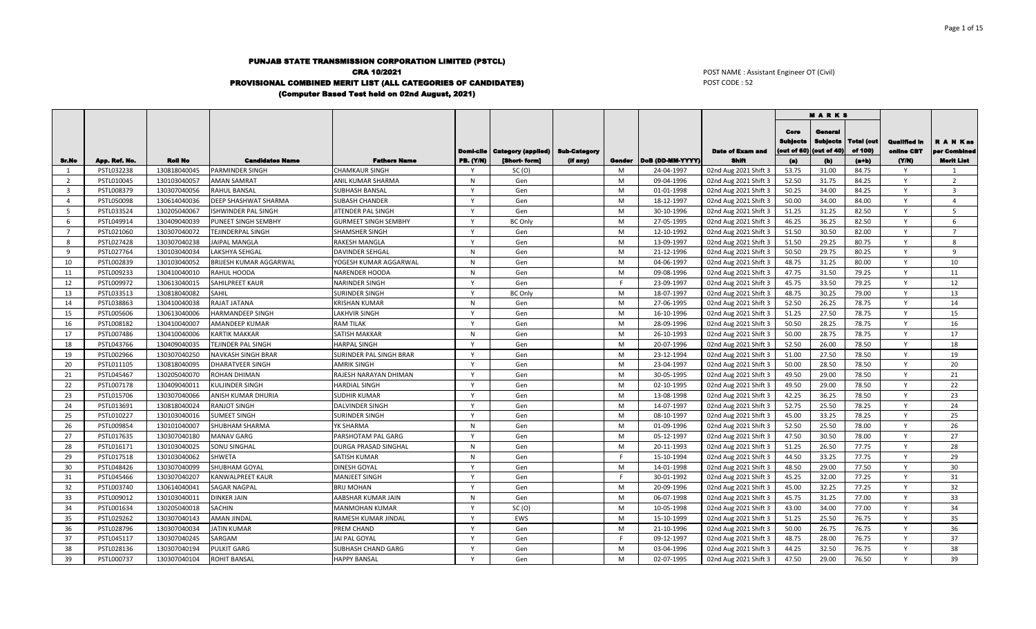## PUNJAB STATE TRANSMISSION CORPORATION LIMITED (PSTCL) CRA 10/2021 PROVISIONAL COMBINED MERIT LIST (ALL CATEGORIES OF CANDIDATES) (Computer Based Test held on 02nd August, 2021)

POST NAME : Assistant Engineer OT (Civil) POST CODE : 52

|                |               |                |                            |                             |              |                                         |                     |    |                           |                         |                                        | <b>MARKS</b>                                     |                              |                                   |                         |
|----------------|---------------|----------------|----------------------------|-----------------------------|--------------|-----------------------------------------|---------------------|----|---------------------------|-------------------------|----------------------------------------|--------------------------------------------------|------------------------------|-----------------------------------|-------------------------|
|                |               |                |                            |                             |              | <b>Domi-cile   Category (applied)  </b> | <b>Sub-Category</b> |    |                           | <b>Date of Exam and</b> | Core<br><b>Subjects</b><br>(out of 60) | <b>General</b><br><b>Subjects</b><br>(out of 40) | <b>Total (out</b><br>of 100) | <b>Qualified In</b><br>online CBT | A N Kas<br>per Combined |
| Sr.No          | App. Ref. No. | <b>Roll No</b> | <b>Candidates Name</b>     | <b>Fathers Name</b>         | PB. (Y/N)    | [Short-form]                            | (if any)            |    | Gender   DoB (DD-MM-YYYY) | <b>Shift</b>            | (a)                                    | (b)                                              | $(a+b)$                      | (YM)                              | <b>Merit List</b>       |
| 1              | PSTL032238    | 130818040045   | PARMINDER SINGH            | <b>CHAMKAUR SINGH</b>       |              | SC(0)                                   |                     | M  | 24-04-1997                | 02nd Aug 2021 Shift 3   | 53.75                                  | 31.00                                            | 84.75                        | Y                                 | 1                       |
| $\overline{2}$ | PSTL010045    | 130103040057   | <b>AMAN SAMRAT</b>         | ANIL KUMAR SHARMA           | N            | Gen                                     |                     | M  | 09-04-1996                | 02nd Aug 2021 Shift 3   | 52.50                                  | 31.75                                            | 84.25                        | Y                                 | 2                       |
| 3              | PSTL008379    | 130307040056   | RAHUL BANSAL               | <b>SUBHASH BANSAL</b>       |              | Gen                                     |                     | M  | 01-01-1998                | 02nd Aug 2021 Shift 3   | 50.25                                  | 34.00                                            | 84.25                        | Y                                 | $\overline{3}$          |
| $\overline{a}$ | PSTL050098    | 130614040036   | DEEP SHASHWAT SHARMA       | SUBASH CHANDER              | $\mathsf{v}$ | Gen                                     |                     | M  | 18-12-1997                | 02nd Aug 2021 Shift 3   | 50.00                                  | 34.00                                            | 84.00                        | Y                                 | $\overline{4}$          |
| $5^{\circ}$    | PSTL033524    | 130205040067   | <b>ISHWINDER PAL SINGH</b> | JITENDER PAL SINGH          | $\mathsf{v}$ | Gen                                     |                     | M  | 30-10-1996                | 02nd Aug 2021 Shift 3   | 51.25                                  | 31.25                                            | 82.50                        | $\mathsf{v}$                      | $\overline{5}$          |
| 6              | PSTL049914    | 130409040039   | PUNEET SINGH SEMBHY        | <b>GURMEET SINGH SEMBHY</b> | $\mathsf{v}$ | <b>BC Only</b>                          |                     | M  | 27-05-1995                | 02nd Aug 2021 Shift 3   | 46.25                                  | 36.25                                            | 82.50                        | Y                                 | 6                       |
| $\overline{7}$ | PSTL021060    | 130307040072   | TEJINDERPAL SINGH          | SHAMSHER SINGH              | $\mathsf{v}$ | Gen                                     |                     | M  | 12-10-1992                | 02nd Aug 2021 Shift 3   | 51.50                                  | 30.50                                            | 82.00                        | Y                                 | $\overline{7}$          |
| 8              | PSTL027428    | 130307040238   | <b>JAIPAL MANGLA</b>       | <b>RAKESH MANGLA</b>        |              | Gen                                     |                     | M  | 13-09-1997                | 02nd Aug 2021 Shift 3   | 51.50                                  | 29.25                                            | 80.75                        | Y                                 | 8                       |
| 9              | PSTL027764    | 130103040034   | LAKSHYA SEHGAL             | <b>DAVINDER SEHGAL</b>      | N            | Gen                                     |                     | M  | 21-12-1996                | 02nd Aug 2021 Shift 3   | 50.50                                  | 29.75                                            | 80.25                        | Y                                 | $\mathsf{q}$            |
| 10             | PSTL002839    | 130103040052   | BRIJESH KUMAR AGGARWAL     | YOGESH KUMAR AGGARWAL       | N            | Gen                                     |                     | M  | 04-06-1997                | 02nd Aug 2021 Shift 3   | 48.75                                  | 31.25                                            | 80.00                        | Y                                 | 10                      |
| 11             | PSTL009233    | 130410040010   | RAHUL HOODA                | <b>NARENDER HOODA</b>       | N            | Gen                                     |                     | M  | 09-08-1996                | 02nd Aug 2021 Shift 3   | 47.75                                  | 31.50                                            | 79.25                        | $\mathsf{v}$                      | 11                      |
| 12             | PSTL009972    | 130613040015   | SAHILPREET KAUR            | NARINDER SINGH              | v            | Gen                                     |                     | F. | 23-09-1997                | 02nd Aug 2021 Shift 3   | 45.75                                  | 33.50                                            | 79.25                        | Y                                 | 12                      |
| 13             | PSTL033513    | 130818040082   | SAHIL                      | <b>SURINDER SINGH</b>       | $\mathsf{v}$ | <b>BC Only</b>                          |                     | M  | 18-07-1997                | 02nd Aug 2021 Shift 3   | 48.75                                  | 30.25                                            | 79.00                        | Y                                 | 13                      |
| 14             | PSTL038863    | 130410040038   | RAJAT JATANA               | <b>KRISHAN KUMAR</b>        | N            | Gen                                     |                     | M  | 27-06-1995                | 02nd Aug 2021 Shift 3   | 52.50                                  | 26.25                                            | 78.75                        | Y                                 | 14                      |
| 15             | PSTL005606    | 130613040006   | HARMANDEEP SINGH           | <b>LAKHVIR SINGH</b>        | $\mathsf{v}$ | Gen                                     |                     | M  | 16-10-1996                | 02nd Aug 2021 Shift 3   | 51.25                                  | 27.50                                            | 78.75                        | Y                                 | 15                      |
| 16             | PSTL008182    | 130410040007   | AMANDEEP KUMAR             | <b>RAM TILAK</b>            |              | Gen                                     |                     | M  | 28-09-1996                | 02nd Aug 2021 Shift 3   | 50.50                                  | 28.25                                            | 78.75                        | $\mathsf{v}$                      | 16                      |
| 17             | PSTL007486    | 130410040006   | <b>KARTIK MAKKAR</b>       | <b>SATISH MAKKAR</b>        | N            | Gen                                     |                     | M  | 26-10-1993                | 02nd Aug 2021 Shift 3   | 50.00                                  | 28.75                                            | 78.75                        | Y                                 | 17                      |
| 18             | PSTL043766    | 130409040035   | TEJINDER PAL SINGH         | <b>HARPAL SINGH</b>         | $\mathsf{v}$ | Gen                                     |                     | M  | 20-07-1996                | 02nd Aug 2021 Shift 3   | 52.50                                  | 26.00                                            | 78.50                        | Y                                 | 18                      |
| 19             | PSTL002966    | 130307040250   | NAVKASH SINGH BRAR         | SURINDER PAL SINGH BRAR     | v            | Gen                                     |                     | M  | 23-12-1994                | 02nd Aug 2021 Shift 3   | 51.00                                  | 27.50                                            | 78.50                        | Y                                 | 19                      |
| 20             | PSTL011105    | 130818040095   | <b>DHARATVEER SINGH</b>    | <b>AMRIK SINGH</b>          | $\mathsf{v}$ | Gen                                     |                     | M  | 23-04-1997                | 02nd Aug 2021 Shift 3   | 50.00                                  | 28.50                                            | 78.50                        | $\mathsf{v}$                      | 20                      |
| 21             | PSTL045467    | 130205040070   | ROHAN DHIMAN               | RAJESH NARAYAN DHIMAN       | $\mathsf{v}$ | Gen                                     |                     | M  | 30-05-1995                | 02nd Aug 2021 Shift 3   | 49.50                                  | 29.00                                            | 78.50                        | $\mathsf{Y}$                      | 21                      |
| 22             | PSTL007178    | 130409040011   | KULJINDER SINGH            | <b>HARDIAL SINGH</b>        | $\mathsf{v}$ | Gen                                     |                     | M  | 02-10-1995                | 02nd Aug 2021 Shift 3   | 49.50                                  | 29.00                                            | 78.50                        | Y                                 | 22                      |
| 23             | PSTL015706    | 130307040066   | ANISH KUMAR DHURIA         | <b>SUDHIR KUMAR</b>         | v            | Gen                                     |                     | M  | 13-08-1998                | 02nd Aug 2021 Shift 3   | 42.25                                  | 36.25                                            | 78.50                        | Y                                 | 23                      |
| 24             | PSTL013691    | 130818040024   | <b>RANJOT SINGH</b>        | <b>DALVINDER SINGH</b>      |              | Gen                                     |                     | M  | 14-07-1997                | 02nd Aug 2021 Shift 3   | 52.75                                  | 25.50                                            | 78.25                        | $\mathsf{v}$                      | 24                      |
| 25             | PSTL010227    | 130103040016   | <b>SUMEET SINGH</b>        | SURINDER SINGH              | $\mathsf{v}$ | Gen                                     |                     | M  | 08-10-1997                | 02nd Aug 2021 Shift 3   | 45.00                                  | 33.25                                            | 78.25                        | Y                                 | 25                      |
| 26             | PSTL009854    | 130101040007   | SHUBHAM SHARMA             | YK SHARMA                   | N            | Gen                                     |                     | M  | 01-09-1996                | 02nd Aug 2021 Shift 3   | 52.50                                  | 25.50                                            | 78.00                        | $\mathsf{v}$                      | 26                      |
| 27             | PSTL017635    | 130307040180   | <b>MANAV GARG</b>          | PARSHOTAM PAL GARG          |              | Gen                                     |                     | M  | 05-12-1997                | 02nd Aug 2021 Shift 3   | 47.50                                  | 30.50                                            | 78.00                        | $\mathsf{v}$                      | 27                      |
| 28             | PSTL016171    | 130103040025   | SONU SINGHAL               | <b>DURGA PRASAD SINGHAL</b> | N            | Gen                                     |                     | M  | 20-11-1993                | 02nd Aug 2021 Shift 3   | 51.25                                  | 26.50                                            | 77.75                        | Y                                 | 28                      |
| 29             | PSTL017518    | 130103040062   | <b>SHWETA</b>              | SATISH KUMAR                | $\mathsf{N}$ | Gen                                     |                     | F. | 15-10-1994                | 02nd Aug 2021 Shift 3   | 44.50                                  | 33.25                                            | 77.75                        | $\mathsf{Y}$                      | 29                      |
| 30             | PSTL048426    | 130307040099   | SHUBHAM GOYAL              | DINESH GOYAL                | v            | Gen                                     |                     | M  | 14-01-1998                | 02nd Aug 2021 Shift 3   | 48.50                                  | 29.00                                            | 77.50                        | Y                                 | 30                      |
| 31             | PSTL045466    | 130307040207   | KANWALPREET KAUR           | <b>MANJEET SINGH</b>        | v            | Gen                                     |                     | F  | 30-01-1992                | 02nd Aug 2021 Shift 3   | 45.25                                  | 32.00                                            | 77.25                        | Y                                 | 31                      |
| 32             | PSTL003740    | 130614040041   | SAGAR NAGPAL               | <b>BRIJ MOHAN</b>           | v            | Gen                                     |                     | M  | 20-09-1996                | 02nd Aug 2021 Shift 3   | 45.00                                  | 32.25                                            | 77.25                        | Y                                 | 32                      |
| 33             | PSTL009012    | 130103040011   | DINKER JAIN                | AABSHAR KUMAR JAIN          | N            | Gen                                     |                     | M  | 06-07-1998                | 02nd Aug 2021 Shift 3   | 45.75                                  | 31.25                                            | 77.00                        | $\mathsf{v}$                      | 33                      |
| 34             | PSTL001634    | 130205040018   | SACHIN                     | <b>MANMOHAN KUMAR</b>       | $\mathsf{v}$ | SC(0)                                   |                     | M  | 10-05-1998                | 02nd Aug 2021 Shift 3   | 43.00                                  | 34.00                                            | 77.00                        | Y                                 | 34                      |
| 35             | PSTL029262    | 130307040143   | <b>AMAN JINDAL</b>         | RAMESH KUMAR JINDAL         | $\mathsf{v}$ | EWS                                     |                     | M  | 15-10-1999                | 02nd Aug 2021 Shift 3   | 51.25                                  | 25.50                                            | 76.75                        | Y                                 | 35                      |
| 36             | PSTL028796    | 130307040034   | <b>JATIN KUMAR</b>         | PREM CHAND                  | v            | Gen                                     |                     | M  | 21-10-1996                | 02nd Aug 2021 Shift 3   | 50.00                                  | 26.75                                            | 76.75                        | Y                                 | 36                      |
| 37             | PSTL045117    | 130307040245   | SARGAM                     | <b>JAI PAL GOYAL</b>        |              | Gen                                     |                     | E  | 09-12-1997                | 02nd Aug 2021 Shift 3   | 48.75                                  | 28.00                                            | 76.75                        | Y                                 | 37                      |
| 38             | PSTL028136    | 130307040194   | <b>PULKIT GARG</b>         | SUBHASH CHAND GARG          | $\mathsf{v}$ | Gen                                     |                     | M  | 03-04-1996                | 02nd Aug 2021 Shift 3   | 44.25                                  | 32.50                                            | 76.75                        | Υ                                 | 38                      |
| 39             | PSTL000737    | 130307040104   | <b>ROHIT BANSAL</b>        | <b>HAPPY BANSAL</b>         | $\mathsf{v}$ | Gen                                     |                     | M  | 02-07-1995                | 02nd Aug 2021 Shift 3   | 47.50                                  | 29.00                                            | 76.50                        | v                                 | 39                      |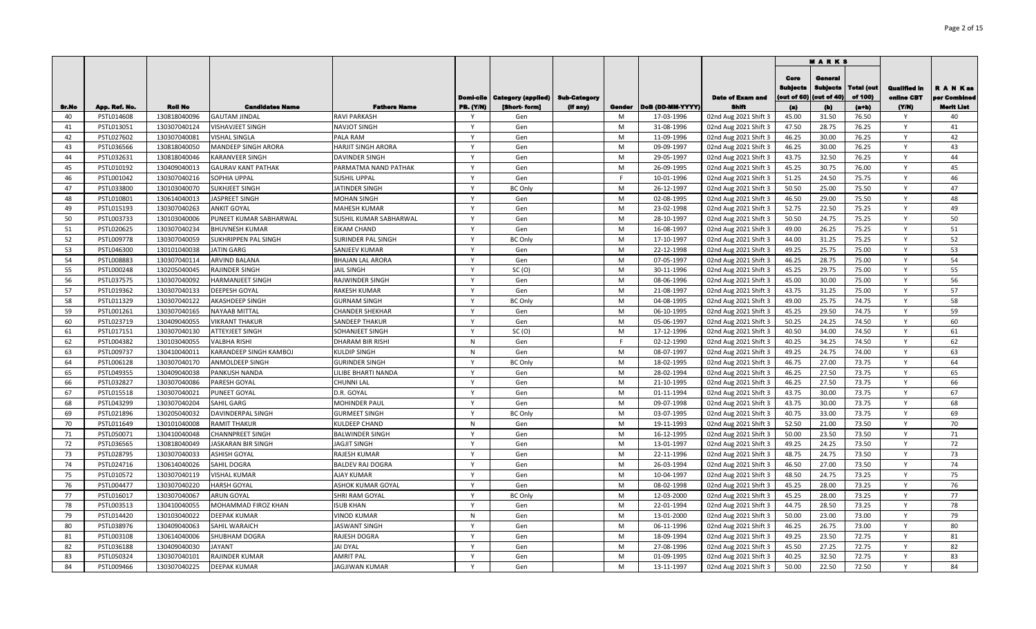|       |               |                |                            |                           |                              |                    |              |        |                  |                         |                                       | <b>MARKS</b>                             |                       |                                   |                               |
|-------|---------------|----------------|----------------------------|---------------------------|------------------------------|--------------------|--------------|--------|------------------|-------------------------|---------------------------------------|------------------------------------------|-----------------------|-----------------------------------|-------------------------------|
|       |               |                |                            |                           | Domi-cile                    | Category (appiled) | Sub-Category |        |                  | <b>Date of Exam and</b> | Core<br>Sublects<br>(out of $\bf{60}$ | Genera<br><b>Subjects</b><br>(out of 40) | Total (out<br>of 100) | <b>Qualified in</b><br>online CBT | <b>RANKas</b><br>per Combined |
| Sr.No | App. Ref. No. | <b>Roll No</b> | <b>Candidates Name</b>     | <b>Fathers Name</b>       | <b>PB. (Y/N)</b>             | [Short-form]       | (If any)     | Gonder | DoB (DD-MM-YYYY) | Shifi                   | (a)                                   | (b)                                      | $(a+b)$               | (YM)                              | Merit List                    |
| 40    | PSTL014608    | 130818040096   | <b>GAUTAM JINDAL</b>       | <b>RAVI PARKASH</b>       |                              | Gen                |              | M      | 17-03-1996       | 02nd Aug 2021 Shift 3   | 45.00                                 | 31.50                                    | 76.50                 |                                   | 40                            |
| 41    | PSTL013051    | 130307040124   | VISHAVJEET SINGH           | <b>NAVJOT SINGH</b>       | $\mathbf{v}$                 | Gen                |              | M<br>M | 31-08-1996       | 02nd Aug 2021 Shift 3   | 47.50<br>46.25                        | 28.75                                    | 76.25                 | <b>Y</b>                          | 41<br>42                      |
| 42    | PSTL027602    | 130307040081   | VISHAL SINGLA              | PALA RAM                  | Y                            | Gen                |              |        | 11-09-1996       | 02nd Aug 2021 Shift 3   |                                       | 30.00                                    | 76.25                 | Y                                 |                               |
| 43    | PSTL036566    | 130818040050   | <b>MANDEEP SINGH ARORA</b> | <b>HARJIT SINGH ARORA</b> | $\mathsf{Y}$                 | Gen                |              | M      | 09-09-1997       | 02nd Aug 2021 Shift 3   | 46.25                                 | 30.00                                    | 76.25                 | Y                                 | 43                            |
| 44    | PSTL032631    | 130818040046   | KARANVEER SINGH            | DAVINDER SINGH            | $\mathsf{Y}$                 | Gen                |              | M      | 29-05-1997       | 02nd Aug 2021 Shift 3   | 43.75                                 | 32.50                                    | 76.25                 | Y                                 | 44                            |
| 45    | PSTL010192    | 130409040013   | <b>GAURAV KANT PATHAK</b>  | PARMATMA NAND PATHAK      | $\mathsf{Y}$                 | Gen                |              | M<br>F | 26-09-1995       | 02nd Aug 2021 Shift 3   | 45.25                                 | 30.75                                    | 76.00                 | Y                                 | 45                            |
| 46    | PSTL001042    | 130307040216   | SOPHIA UPPAL               | <b>SUSHIL UPPAL</b>       | Y                            | Gen                |              |        | 10-01-1996       | 02nd Aug 2021 Shift 3   | 51.25                                 | 24.50                                    | 75.75                 | $\mathsf{Y}$                      | 46<br>47                      |
| 47    | PSTL033800    | 130103040070   | <b>SUKHJEET SINGH</b>      | <b>JATINDER SINGH</b>     | $\mathsf{Y}$                 | <b>BC Only</b>     |              | M      | 26-12-1997       | 02nd Aug 2021 Shift 3   | 50.50                                 | 25.00                                    | 75.50                 | Y                                 |                               |
| 48    | PSTL010801    | 130614040013   | <b>IASPREET SINGH</b>      | <b>MOHAN SINGH</b>        | Y                            | Gen                |              | M<br>M | 02-08-1995       | 02nd Aug 2021 Shift 3   | 46.50                                 | 29.00                                    | 75.50                 | Y                                 | 48<br>49                      |
| 49    | PSTL015193    | 130307040263   | ANKIT GOYAL                | <b>MAHESH KUMAR</b>       | Y                            | Gen                |              | M      | 23-02-1998       | 02nd Aug 2021 Shift 3   | 52.75                                 | 22.50                                    | 75.25                 | Y                                 |                               |
| 50    | PSTL003733    | 130103040006   | PUNEET KUMAR SABHARWAL     | SUSHIL KUMAR SABHARWAL    | Y                            | Gen                |              |        | 28-10-1997       | 02nd Aug 2021 Shift 3   | 50.50                                 | 24.75                                    | 75.25                 | Y                                 | 50                            |
| 51    | PSTL020625    | 130307040234   | BHUVNESH KUMAR             | <b>EIKAM CHAND</b>        |                              | Gen                |              | M      | 16-08-1997       | 02nd Aug 2021 Shift 3   | 49.00                                 | 26.25                                    | 75.25                 |                                   | 51                            |
| 52    | PSTL009778    | 130307040059   | SUKHRIPPEN PAL SINGH       | <b>SURINDER PAL SINGH</b> | Y                            | <b>BC Only</b>     |              | M      | 17-10-1997       | 02nd Aug 2021 Shift 3   | 44.00                                 | 31.25                                    | 75.25                 | Y                                 | 52                            |
| 53    | PSTL046300    | 130101040038   | <b>IATIN GARG</b>          | SANJEEV KUMAR             | Y<br>$\mathsf{Y}$            | Gen                |              | M      | 22-12-1998       | 02nd Aug 2021 Shift 3   | 49.25                                 | 25.75                                    | 75.00                 | Y                                 | 53                            |
| 54    | PSTL008883    | 130307040114   | ARVIND BALANA              | <b>BHAJAN LAL ARORA</b>   |                              | Gen                |              | M      | 07-05-1997       | 02nd Aug 2021 Shift 3   | 46.25                                 | 28.75                                    | 75.00                 | Y                                 | 54                            |
| 55    | PSTL000248    | 130205040045   | RAJINDER SINGH             | <b>JAIL SINGH</b>         | $\mathsf{Y}$<br>$\mathsf{Y}$ | SC(0)              |              | M      | 30-11-1996       | 02nd Aug 2021 Shift 3   | 45.25                                 | 29.75                                    | 75.00                 | Y                                 | 55                            |
| 56    | PSTL037575    | 130307040092   | HARMANJEET SINGH           | RAJWINDER SINGH           |                              | Gen                |              | M      | 08-06-1996       | 02nd Aug 2021 Shift 3   | 45.00                                 | 30.00                                    | 75.00                 | Y                                 | 56                            |
| 57    | PSTL019362    | 130307040133   | DEEPESH GOYAL              | <b>RAKESH KUMAR</b>       | $\mathsf{v}$                 | Gen                |              | M      | 21-08-1997       | 02nd Aug 2021 Shift 3   | 43.75                                 | 31.25                                    | 75.00                 | Y                                 | 57                            |
| 58    | PSTL011329    | 130307040122   | AKASHDEEP SINGH            | <b>GURNAM SINGH</b>       | V                            | <b>BC Only</b>     |              | M      | 04-08-1995       | 02nd Aug 2021 Shift 3   | 49.00                                 | 25.75                                    | 74.75                 | Y                                 | 58                            |
| 59    | PSTL001261    | 130307040165   | <b>NAYAAB MITTAL</b>       | <b>CHANDER SHEKHAR</b>    | <b>V</b>                     | Gen                |              | M      | 06-10-1995       | 02nd Aug 2021 Shift 3   | 45.25                                 | 29.50                                    | 74.75                 | Υ                                 | 59                            |
| 60    | PSTL023719    | 130409040055   | VIKRANT THAKUR             | <b>SANDEEP THAKUR</b>     | Y                            | Gen                |              | M      | 05-06-1997       | 02nd Aug 2021 Shift 3   | 50.25                                 | 24.25                                    | 74.50                 |                                   | 60                            |
| 61    | PSTL017151    | 130307040130   | ATTEYJEET SINGH            | <b>SOHANJEET SINGH</b>    | <b>Y</b>                     | SC(0)              |              | M      | 17-12-1996       | 02nd Aug 2021 Shift 3   | 40.50                                 | 34.00                                    | 74.50                 | Y                                 | 61                            |
| 62    | PSTL004382    | 130103040055   | VALBHA RISHI               | <b>DHARAM BIR RISHI</b>   | N                            | Gen                |              |        | 02-12-1990       | 02nd Aug 2021 Shift 3   | 40.25                                 | 34.25                                    | 74.50                 | Y                                 | 62                            |
| 63    | PSTL009737    | 130410040011   | KARANDEEP SINGH KAMBOJ     | <b>KULDIP SINGH</b>       | N                            | Gen                |              | M      | 08-07-1997       | 02nd Aug 2021 Shift 3   | 49.25                                 | 24.75                                    | 74.00                 | Y                                 | 63                            |
| 64    | PSTL006128    | 130307040170   | ANMOLDEEP SINGH            | <b>GURINDER SINGH</b>     | $\mathsf{Y}$                 | <b>BC Only</b>     |              | M      | 18-02-1995       | 02nd Aug 2021 Shift 3   | 46.75                                 | 27.00                                    | 73.75                 | Y                                 | 64                            |
| 65    | PSTL049355    | 130409040038   | PANKUSH NANDA              | LILIBE BHARTI NANDA       | $\mathsf{Y}$                 | Gen                |              | M      | 28-02-1994       | 02nd Aug 2021 Shift 3   | 46.25                                 | 27.50                                    | 73.75                 | Y                                 | 65                            |
| 66    | PSTL032827    | 130307040086   | PARESH GOYAL               | <b>CHUNNI LAL</b>         | $\mathsf{Y}$                 | Gen                |              | M      | 21-10-1995       | 02nd Aug 2021 Shift 3   | 46.25                                 | 27.50                                    | 73.75                 | Y                                 | 66                            |
| 67    | PSTL015518    | 130307040021   | PUNEET GOYAL               | D.R. GOYAL                | Y                            | Gen                |              | M      | 01-11-1994       | 02nd Aug 2021 Shift 3   | 43.75                                 | 30.00                                    | 73.75                 | Y                                 | 67                            |
| 68    | PSTL043299    | 130307040204   | SAHIL GARG                 | <b>MOHINDER PAUL</b>      | <b>V</b>                     | Gen                |              | M      | 09-07-1998       | 02nd Aug 2021 Shift 3   | 43.75                                 | 30.00                                    | 73.75                 | Y                                 | 68                            |
| 69    | PSTL021896    | 130205040032   | DAVINDERPAL SINGH          | <b>GURMEET SINGH</b>      | Y                            | <b>BC Only</b>     |              | M      | 03-07-1995       | 02nd Aug 2021 Shift 3   | 40.75                                 | 33.00                                    | 73.75                 | Y                                 | 69                            |
| 70    | PSTL011649    | 130101040008   | RAMIT THAKUR               | <b>KULDEEP CHAND</b>      | N                            | Gen                |              | M      | 19-11-1993       | 02nd Aug 2021 Shift 3   | 52.50                                 | 21.00                                    | 73.50                 | Y                                 | 70                            |
| 71    | PSTL050071    | 130410040048   | CHANNPREET SINGH           | <b>BALWINDER SINGH</b>    | $\mathsf{Y}$                 | Gen                |              | M      | 16-12-1995       | 02nd Aug 2021 Shift 3   | 50.00                                 | 23.50                                    | 73.50                 | Y                                 | 71                            |
| 72    | PSTL036565    | 130818040049   | JASKARAN BIR SINGH         | JAGJIT SINGH              | $\mathsf{Y}$                 | Gen                |              | M      | 13-01-1997       | 02nd Aug 2021 Shift 3   | 49.25                                 | 24.25                                    | 73.50                 | Y                                 | 72                            |
| 73    | PSTL028795    | 130307040033   | <b>ASHISH GOYAL</b>        | RAJESH KUMAR              | Y                            | Gen                |              | M      | 22-11-1996       | 02nd Aug 2021 Shift 3   | 48.75                                 | 24.75                                    | 73.50                 | Y                                 | 73                            |
| 74    | PSTL024716    | 130614040026   | SAHIL DOGRA                | <b>BALDEV RAJ DOGRA</b>   | Y                            | Gen                |              | M      | 26-03-1994       | 02nd Aug 2021 Shift 3   | 46.50                                 | 27.00                                    | 73.50                 | Y                                 | 74                            |
| 75    | PSTL010572    | 130307040119   | <b>VISHAL KUMAR</b>        | <b>AJAY KUMAR</b>         | Y                            | Gen                |              | M      | 10-04-1997       | 02nd Aug 2021 Shift 3   | 48.50                                 | 24.75                                    | 73.25                 | Y                                 | 75                            |
| 76    | PSTL004477    | 130307040220   | HARSH GOYAL                | ASHOK KUMAR GOYAL         | <b>V</b>                     | Gen                |              | M      | 08-02-1998       | 02nd Aug 2021 Shift 3   | 45.25                                 | 28.00                                    | 73.25                 |                                   | 76                            |
| 77    | PSTL016017    | 130307040067   | ARUN GOYAL                 | SHRI RAM GOYAL            | V                            | <b>BC Only</b>     |              | M      | 12-03-2000       | 02nd Aug 2021 Shift 3   | 45.25                                 | 28.00                                    | 73.25                 | Y                                 | 77                            |
| 78    | PSTL003513    | 130410040055   | MOHAMMAD FIROZ KHAN        | <b>ISUB KHAN</b>          | <b>V</b>                     | Gen                |              | M      | 22-01-1994       | 02nd Aug 2021 Shift 3   | 44.75                                 | 28.50                                    | 73.25                 | Y                                 | 78                            |
| 79    | PSTL014420    | 130103040022   | DEEPAK KUMAR               | <b>VINOD KUMAR</b>        | N                            | Gen                |              | M      | 13-01-2000       | 02nd Aug 2021 Shift 3   | 50.00                                 | 23.00                                    | 73.00                 | Y                                 | 79                            |
| 80    | PSTL038976    | 130409040063   | SAHIL WARAICH              | <b>JASWANT SINGH</b>      |                              | Gen                |              | M      | 06-11-1996       | 02nd Aug 2021 Shift 3   | 46.25                                 | 26.75                                    | 73.00                 | Y                                 | 80                            |
| 81    | PSTL003108    | 130614040006   | SHUBHAM DOGRA              | RAJESH DOGRA              | $\mathsf{Y}$                 | Gen                |              | M      | 18-09-1994       | 02nd Aug 2021 Shift 3   | 49.25                                 | 23.50                                    | 72.75                 | Y                                 | 81                            |
| 82    | PSTL036188    | 130409040030   | IAYANT                     | <b>JAI DYAL</b>           | $\mathsf{Y}$                 | Gen                |              | M      | 27-08-1996       | 02nd Aug 2021 Shift 3   | 45.50                                 | 27.25                                    | 72.75                 | Y                                 | 82                            |
| 83    | PSTL050324    | 130307040101   | RAJINDER KUMAR             | <b>AMRIT PAL</b>          | Y                            | Gen                |              | M      | 01-09-1995       | 02nd Aug 2021 Shift 3   | 40.25                                 | 32.50                                    | 72.75                 | Y                                 | 83                            |
| 84    | PSTL009466    | 130307040225   | <b>DEEPAK KUMAR</b>        | <b>JAGJIWAN KUMAR</b>     | Y                            | Gen                |              | M      | 13-11-1997       | 02nd Aug 2021 Shift 3   | 50.00                                 | 22.50                                    | 72.50                 | Y                                 | 84                            |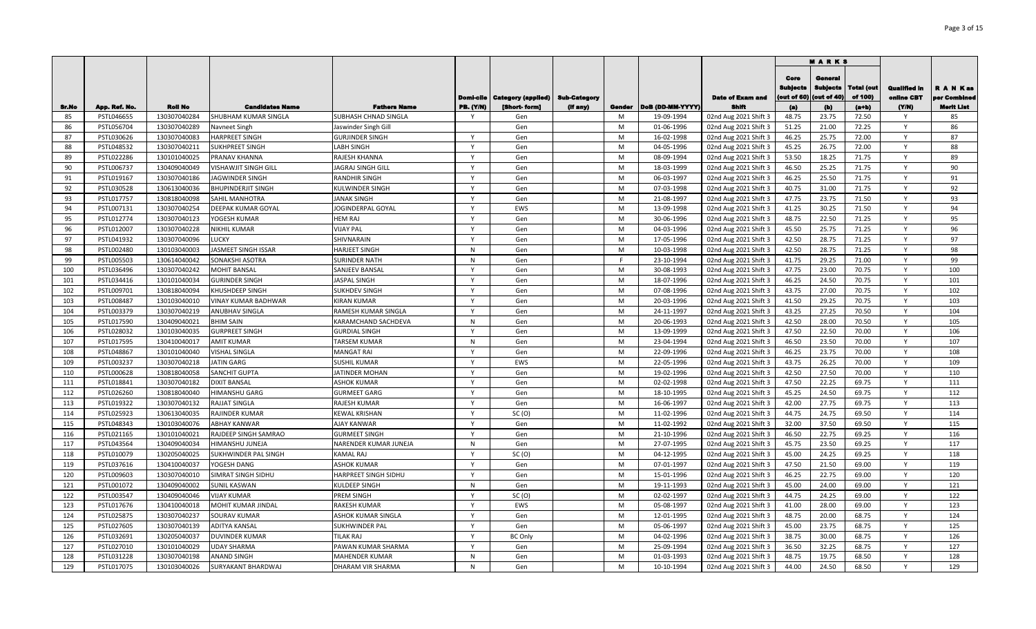|            |                          |                              |                                               |                                     |                  |                                          |          |        |                          |                                                |                                       | <b>MARKS</b>                              |                              |                                   |                               |
|------------|--------------------------|------------------------------|-----------------------------------------------|-------------------------------------|------------------|------------------------------------------|----------|--------|--------------------------|------------------------------------------------|---------------------------------------|-------------------------------------------|------------------------------|-----------------------------------|-------------------------------|
|            |                          |                              |                                               |                                     | Domi-cile        | <b>Category (applied)   Sub-Category</b> |          |        |                          | <b>Date of Exam and</b>                        | Core<br><b>Sublects</b><br>out of 60) | General<br><b>Subjects</b><br>(out of 40) | <b>Total (out</b><br>of 100) | <b>Qualified In</b><br>online CBT | <b>RANKas</b><br>per Combined |
| Sr.No      | App. Ref. No.            | <b>Roll No</b>               | <b>Candidates Name</b>                        | <b>Fathers Name</b>                 | <b>PB.</b> (Y/N) | [Short-form]                             | (If any) | Gender | DoB (DD-MM-YYYY)         | Shift                                          | (a)                                   | (b)                                       | $(a+b)$                      | (Y/N)                             | <b>Merit List</b>             |
| 85         | PSTL046655               | 130307040284                 | SHUBHAM KUMAR SINGLA                          | SUBHASH CHNAD SINGLA                |                  | Gen                                      |          | M      | 19-09-1994               | 02nd Aug 2021 Shift 3                          | 48.75                                 | 23.75                                     | 72.50                        | <sup>V</sup>                      | 85                            |
| 86         | PSTL056704               | 130307040289                 | Navneet Singh                                 | Jaswinder Singh Gill                |                  | Gen                                      |          | M      | 01-06-1996               | 02nd Aug 2021 Shift 3                          | 51.25                                 | 21.00                                     | 72.25                        | Y                                 | 86                            |
| 87         | PSTL030626               | 130307040083                 | <b>HARPREET SINGH</b>                         | <b>GURJINDER SINGH</b>              | $\mathsf{Y}$     | Gen                                      |          | M      | 16-02-1998               | 02nd Aug 2021 Shift 3                          | 46.25                                 | 25.75                                     | 72.00                        | Y                                 | 87                            |
| 88         | PSTL048532               | 130307040211                 | <b>SUKHPREET SINGH</b>                        | <b>LABH SINGH</b>                   | Y                | Gen                                      |          | M      | 04-05-1996               | 02nd Aug 2021 Shift 3                          | 45.25                                 | 26.75                                     | 72.00                        | $\mathsf{Y}$                      | 88                            |
| 89         | PSTL022286               | 130101040025                 | PRANAV KHANNA                                 | RAJESH KHANNA                       | Y                | Gen                                      |          | M      | 08-09-1994               | 02nd Aug 2021 Shift 3                          | 53.50                                 | 18.25                                     | 71.75                        | Y                                 | 89                            |
| 90         | PSTL006737               | 130409040049                 | VISHAWJIT SINGH GILL                          | JAGRAJ SINGH GILL                   | Y                | Gen                                      |          | M      | 18-03-1999               | 02nd Aug 2021 Shift 3                          | 46.50                                 | 25.25                                     | 71.75                        | Y                                 | 90                            |
| 91         | PSTL019167               | 130307040186                 | JAGWINDER SINGH                               | RANDHIR SINGH                       | $\mathsf{v}$     | Gen                                      |          | M      | 06-03-1997               | 02nd Aug 2021 Shift 3                          | 46.25                                 | 25.50                                     | 71.75                        | Y                                 | 91                            |
| 92         | PSTL030528               | 130613040036                 | <b>BHUPINDERJIT SINGH</b>                     | KULWINDER SINGH                     | Y                | Gen                                      |          | M      | 07-03-1998               | 02nd Aug 2021 Shift 3                          | 40.75                                 | 31.00                                     | 71.75                        | Y                                 | 92                            |
| 93         | PSTL017757               | 130818040098                 | <b>SAHIL MANHOTRA</b>                         | <b>JANAK SINGH</b>                  | Y                | Gen                                      |          | M      | 21-08-1997               | 02nd Aug 2021 Shift 3                          | 47.75                                 | 23.75                                     | 71.50                        | Y                                 | 93                            |
| 94         | PSTL007131               | 130307040254                 | <b>DEEPAK KUMAR GOYAL</b>                     | JOGINDERPAL GOYAL                   | Y                | EWS                                      |          | M      | 13-09-1998               | 02nd Aug 2021 Shift 3                          | 41.25                                 | 30.25                                     | 71.50                        | Y                                 | 94                            |
| 95         | PSTL012774               | 130307040123                 | YOGESH KUMAR                                  | <b>HEM RAJ</b>                      | Y                | Gen                                      |          | M      | 30-06-1996               | 02nd Aug 2021 Shift 3                          | 48.75                                 | 22.50                                     | 71.25                        | Y                                 | 95                            |
| 96         | PSTL012007               | 130307040228                 | <b>NIKHIL KUMAR</b>                           | <b>VIJAY PAL</b>                    | Y<br>Y           | Gen                                      |          | M      | 04-03-1996               | 02nd Aug 2021 Shift 3                          | 45.50                                 | 25.75                                     | 71.25                        | Y                                 | 96                            |
| 97         | PSTL041932               | 130307040096                 | LUCKY                                         | SHIVNARAIN                          |                  | Gen                                      |          | M      | 17-05-1996               | 02nd Aug 2021 Shift 3                          | 42.50                                 | 28.75                                     | 71.25                        | Y                                 | 97                            |
| 98         | PSTL002480               | 130103040003                 | JASMEET SINGH ISSAR                           | <b>HARJEET SINGH</b>                | N<br>N           | Gen                                      |          | M<br>F | 10-03-1998               | 02nd Aug 2021 Shift 3                          | 42.50                                 | 28.75                                     | 71.25                        | Y<br>Y                            | 98<br>99                      |
| 99         | PSTL005503               | 130614040042                 | SONAKSHI ASOTRA                               | <b>SURINDER NATH</b>                |                  | Gen                                      |          | M      | 23-10-1994               | 02nd Aug 2021 Shift 3                          | 41.75                                 | 29.25                                     | 71.00                        | <b>V</b>                          | 100                           |
| 100<br>101 | PSTL036496<br>PSTL034416 | 130307040242<br>130101040034 | <b>MOHIT BANSAL</b><br><b>GURINDER SINGH</b>  | SANJEEV BANSAL<br>JASPAL SINGH      |                  | Gen<br>Gen                               |          | M      | 30-08-1993<br>18-07-1996 | 02nd Aug 2021 Shift 3                          | 47.75<br>46.25                        | 23.00<br>24.50                            | 70.75<br>70.75               | Y                                 | 101                           |
|            |                          | 130818040094                 |                                               |                                     |                  |                                          |          | M      | 07-08-1996               | 02nd Aug 2021 Shift 3                          | 43.75                                 | 27.00                                     | 70.75                        | Y                                 | 102                           |
| 102<br>103 | PSTL009701<br>PSTL008487 | 130103040010                 | KHUSHDEEP SINGH<br><b>VINAY KUMAR BADHWAR</b> | SUKHDEV SINGH<br><b>KIRAN KUMAR</b> |                  | Gen<br>Gen                               |          | M      | 20-03-1996               | 02nd Aug 2021 Shift 3<br>02nd Aug 2021 Shift 3 | 41.50                                 | 29.25                                     | 70.75                        | Y                                 | 103                           |
| 104        | PSTL003379               | 130307040219                 | <b>ANUBHAV SINGLA</b>                         | <b>RAMESH KUMAR SINGLA</b>          | <b>Y</b>         | Gen                                      |          | M      | 24-11-1997               | 02nd Aug 2021 Shift 3                          | 43.25                                 | 27.25                                     | 70.50                        | Y                                 | 104                           |
| 105        | PSTL017590               | 130409040021                 | <b>BHIM SAIN</b>                              | KARAMCHAND SACHDEVA                 | N                | Gen                                      |          | M      | 20-06-1993               | 02nd Aug 2021 Shift 3                          | 42.50                                 | 28.00                                     | 70.50                        | Y                                 | 105                           |
| 106        | PSTL028032               | 130103040035                 | <b>GURPREET SINGH</b>                         | <b>GURDIAL SINGH</b>                | Y                | Gen                                      |          | M      | 13-09-1999               | 02nd Aug 2021 Shift 3                          | 47.50                                 | 22.50                                     | 70.00                        | Y                                 | 106                           |
| 107        | PSTL017595               | 130410040017                 | <b>AMIT KUMAR</b>                             | <b>TARSEM KUMAR</b>                 | N                | Gen                                      |          | M      | 23-04-1994               | 02nd Aug 2021 Shift 3                          | 46.50                                 | 23.50                                     | 70.00                        | Y                                 | 107                           |
| 108        | PSTL048867               | 130101040040                 | <b>VISHAL SINGLA</b>                          | <b>MANGAT RAI</b>                   | Y                | Gen                                      |          | M      | 22-09-1996               | 02nd Aug 2021 Shift 3                          | 46.25                                 | 23.75                                     | 70.00                        | Y                                 | 108                           |
| 109        | PSTL003237               | 130307040218                 | <b>JATIN GARG</b>                             | <b>SUSHIL KUMAR</b>                 | $\mathsf{v}$     | EWS                                      |          | M      | 22-05-1996               | 02nd Aug 2021 Shift 3                          | 43.75                                 | 26.25                                     | 70.00                        | Y                                 | 109                           |
| 110        | PSTL000628               | 130818040058                 | <b>SANCHIT GUPTA</b>                          | <b>JATINDER MOHAN</b>               | Y                | Gen                                      |          | M      | 19-02-1996               | 02nd Aug 2021 Shift 3                          | 42.50                                 | 27.50                                     | 70.00                        | Y                                 | 110                           |
| 111        | PSTL018841               | 130307040182                 | <b>DIXIT BANSAL</b>                           | <b>ASHOK KUMAR</b>                  | Y                | Gen                                      |          | M      | 02-02-1998               | 02nd Aug 2021 Shift 3                          | 47.50                                 | 22.25                                     | 69.75                        | Y                                 | 111                           |
| 112        | PSTL026260               | 130818040040                 | <b>HIMANSHU GARG</b>                          | <b>GURMEET GARG</b>                 | Y                | Gen                                      |          | M      | 18-10-1995               | 02nd Aug 2021 Shift 3                          | 45.25                                 | 24.50                                     | 69.75                        | Y                                 | 112                           |
| 113        | PSTL019322               | 130307040132                 | RAJJAT SINGLA                                 | RAJESH KUMAR                        | Y                | Gen                                      |          | M      | 16-06-1997               | 02nd Aug 2021 Shift 3                          | 42.00                                 | 27.75                                     | 69.75                        | Y                                 | 113                           |
| 114        | PSTL025923               | 130613040035                 | RAJINDER KUMAR                                | <b>KEWAL KRISHAN</b>                | Y                | SC(0)                                    |          | M      | 11-02-1996               | 02nd Aug 2021 Shift 3                          | 44.75                                 | 24.75                                     | 69.50                        | Y                                 | 114                           |
| 115        | PSTL048343               | 130103040076                 | <b>ABHAY KANWAR</b>                           | AJAY KANWAR                         | Y                | Gen                                      |          | M      | 11-02-1992               | 02nd Aug 2021 Shift 3                          | 32.00                                 | 37.50                                     | 69.50                        | Y                                 | 115                           |
| 116        | PSTL021165               | 130101040021                 | RAJDEEP SINGH SAMRAO                          | <b>GURMEET SINGH</b>                | Y                | Gen                                      |          | M      | 21-10-1996               | 02nd Aug 2021 Shift 3                          | 46.50                                 | 22.75                                     | 69.25                        | Y                                 | 116                           |
| 117        | PSTL043564               | 130409040034                 | HIMANSHU JUNEJA                               | NARENDER KUMAR JUNEJA               | N                | Gen                                      |          | M      | 27-07-1995               | 02nd Aug 2021 Shift 3                          | 45.75                                 | 23.50                                     | 69.25                        | Y                                 | 117                           |
| 118        | PSTL010079               | 130205040025                 | SUKHWINDER PAL SINGH                          | <b>KAMAL RAJ</b>                    | Y                | SC(0)                                    |          | M      | 04-12-1995               | 02nd Aug 2021 Shift 3                          | 45.00                                 | 24.25                                     | 69.25                        | $\mathsf{Y}$                      | 118                           |
| 119        | PSTL037616               | 130410040037                 | YOGESH DANG                                   | <b>ASHOK KUMAR</b>                  |                  | Gen                                      |          | M      | 07-01-1997               | 02nd Aug 2021 Shift 3                          | 47.50                                 | 21.50                                     | 69.00                        |                                   | 119                           |
| 120        | PSTL009603               | 130307040010                 | SIMRAT SINGH SIDHU                            | HARPREET SINGH SIDHU                |                  | Gen                                      |          | M      | 15-01-1996               | 02nd Aug 2021 Shift 3                          | 46.25                                 | 22.75                                     | 69.00                        | Y                                 | 120                           |
| 121        | PSTL001072               | 130409040002                 | <b>SUNIL KASWAN</b>                           | <b>KULDEEP SINGH</b>                | N                | Gen                                      |          | M      | 19-11-1993               | 02nd Aug 2021 Shift 3                          | 45.00                                 | 24.00                                     | 69.00                        | Y                                 | 121                           |
| 122        | PSTL003547               | 130409040046                 | <b>VIJAY KUMAR</b>                            | PREM SINGH                          |                  | SC(0)                                    |          | M      | 02-02-1997               | 02nd Aug 2021 Shift 3                          | 44.75                                 | 24.25                                     | 69.00                        | Y                                 | 122                           |
| 123        | PSTL017676               | 130410040018                 | MOHIT KUMAR JINDAL                            | <b>RAKESH KUMAR</b>                 | Y                | EWS                                      |          | M      | 05-08-1997               | 02nd Aug 2021 Shift 3                          | 41.00                                 | 28.00                                     | 69.00                        | Y                                 | 123                           |
| 124        | PSTL025875               | 130307040237                 | <b>SOURAV KUMAR</b>                           | <b>ASHOK KUMAR SINGLA</b>           | $\mathsf{Y}$     | Gen                                      |          | M      | 12-01-1995               | 02nd Aug 2021 Shift 3                          | 48.75                                 | 20.00                                     | 68.75                        | $\mathsf{Y}$                      | 124                           |
| 125        | PSTL027605               | 130307040139                 | <b>ADITYA KANSAL</b>                          | <b>SUKHWINDER PAL</b>               | $\mathsf{Y}$     | Gen                                      |          | M      | 05-06-1997               | 02nd Aug 2021 Shift 3                          | 45.00                                 | 23.75                                     | 68.75                        | Y                                 | 125                           |
| 126        | PSTL032691               | 130205040037                 | <b>DUVINDER KUMAR</b>                         | <b>TILAK RAJ</b>                    | Y                | <b>BC Only</b>                           |          | M      | 04-02-1996               | 02nd Aug 2021 Shift 3                          | 38.75                                 | 30.00                                     | 68.75                        | Y                                 | 126                           |
| 127        | PSTL027010               | 130101040029                 | <b>UDAY SHARMA</b>                            | PAWAN KUMAR SHARMA                  | $\mathsf{Y}$     | Gen                                      |          | M      | 25-09-1994               | 02nd Aug 2021 Shift 3                          | 36.50                                 | 32.25                                     | 68.75                        | Y                                 | 127                           |
| 128        | PSTL031228               | 130307040198                 | <b>ANAND SINGH</b>                            | <b>MAHENDER KUMAR</b>               | N                | Gen                                      |          | M      | 01-03-1993               | 02nd Aug 2021 Shift 3                          | 48.75                                 | 19.75                                     | 68.50                        | Y                                 | 128                           |
| 129        | PSTL017075               | 130103040026                 | SURYAKANT BHARDWAJ                            | DHARAM VIR SHARMA                   | N                | Gen                                      |          | M      | 10-10-1994               | 02nd Aug 2021 Shift 3                          | 44.00                                 | 24.50                                     | 68.50                        | $\mathsf{v}$                      | 129                           |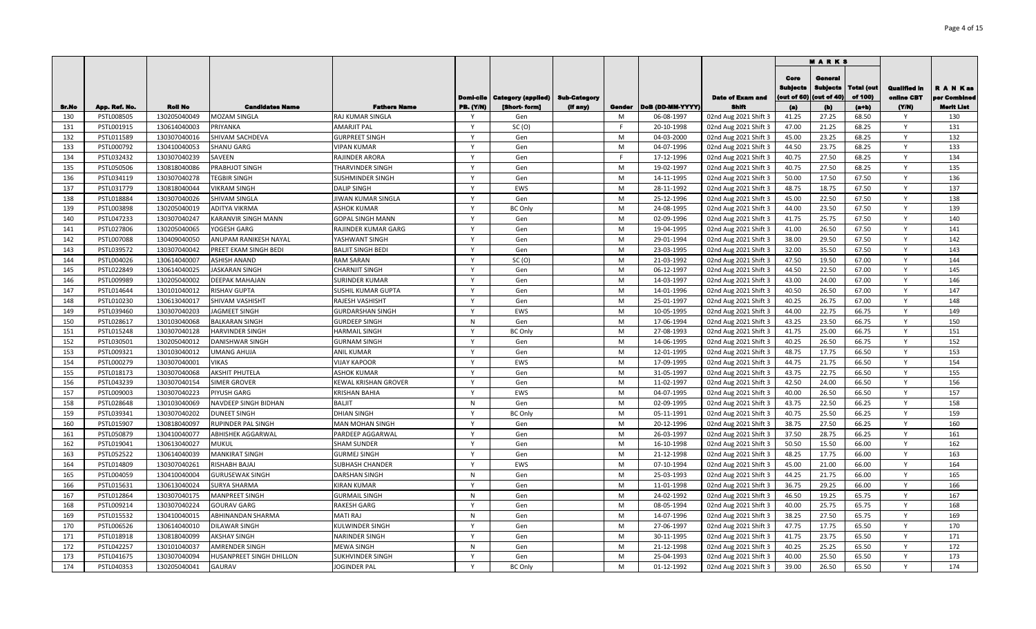|            |                          |                              |                                    |                                                |                   |                           |                     |        |                          |                                                |                                 | <b>MARKS</b>                            |                       |                                   |                           |
|------------|--------------------------|------------------------------|------------------------------------|------------------------------------------------|-------------------|---------------------------|---------------------|--------|--------------------------|------------------------------------------------|---------------------------------|-----------------------------------------|-----------------------|-----------------------------------|---------------------------|
|            |                          |                              |                                    |                                                | Domi-cile         | <b>Category (applied)</b> | <b>Sub-Category</b> |        |                          | <b>Date of Exam and</b>                        | Core<br>Sublects<br>(out of 60) | Genera<br><b>Subjects</b><br>out of 40) | Total (out<br>of 100) | <b>Qualified in</b><br>online CBT | R A N Kas<br>per Combined |
| Sr.No      | App. Ref. No.            | <b>Roll No</b>               | <b>Candidates Name</b>             | <b>Fathers Name</b>                            | PB. (Y/N)         | [Short-form]              | (If any)            | Gender | DoB (DD-MM-YYYY)         | Shifi                                          | (a)                             | (b)                                     | $(a+b)$               | (YM)                              | Merit List                |
| 130        | PSTL008505               | 130205040049                 | <b>MOZAM SINGLA</b>                | RAJ KUMAR SINGLA                               | v                 | Gen                       |                     | M      | 06-08-1997               | 02nd Aug 2021 Shift 3                          | 41.25                           | 27.25                                   | 68.50                 |                                   | 130                       |
| 131<br>132 | PSTL001915               | 130614040003                 | PRIYANKA<br>SHIVAM SACHDEVA        | <b>AMARJIT PAL</b><br><b>GURPREET SINGH</b>    | $\mathbf{v}$      | SC(0)<br>Gen              |                     | M      | 20-10-1998<br>04-03-2000 | 02nd Aug 2021 Shift 3                          | 47.00<br>45.00                  | 21.25<br>23.25                          | 68.25<br>68.25        | Y                                 | 131<br>132                |
| 133        | PSTL011589<br>PSTL000792 | 130307040016<br>130410040053 |                                    | <b>VIPAN KUMAR</b>                             | Y                 | Gen                       |                     | M      | 04-07-1996               | 02nd Aug 2021 Shift 3                          | 44.50                           | 23.75                                   | 68.25                 | Y                                 | 133                       |
| 134        | PSTL032432               | 130307040239                 | <b>SHANU GARG</b><br>SAVEEN        | RAJINDER ARORA                                 | $\mathsf{Y}$      | Gen                       |                     | E      | 17-12-1996               | 02nd Aug 2021 Shift 3                          | 40.75                           | 27.50                                   | 68.25                 | Y                                 | 134                       |
| 135        | PSTL050506               | 130818040086                 | PRABHJOT SINGH                     | THARVINDER SINGH                               | $\mathsf{Y}$      | Gen                       |                     | M      | 19-02-1997               | 02nd Aug 2021 Shift 3<br>02nd Aug 2021 Shift 3 | 40.75                           | 27.50                                   | 68.25                 | $\mathsf{v}$                      | 135                       |
| 136        | PSTL034119               | 130307040278                 | <b>TEGBIR SINGH</b>                | <b>SUSHMINDER SINGH</b>                        | Y                 | Gen                       |                     | M      | 14-11-1995               | 02nd Aug 2021 Shift 3                          | 50.00                           | 17.50                                   | 67.50                 | Y                                 | 136                       |
| 137        | PSTL031779               | 130818040044                 | <b>VIKRAM SINGH</b>                | <b>DALIP SINGH</b>                             | $\mathsf{v}$      | EWS                       |                     | M      | 28-11-1992               | 02nd Aug 2021 Shift 3                          | 48.75                           | 18.75                                   | 67.50                 | $\mathsf{Y}$                      | 137                       |
| 138        | PSTL018884               | 130307040026                 | SHIVAM SINGLA                      | JIWAN KUMAR SINGLA                             | $\mathsf{v}$      | Gen                       |                     | M      | 25-12-1996               |                                                | 45.00                           | 22.50                                   | 67.50                 | Y                                 | 138                       |
| 139        | PSTL003898               | 130205040019                 | <b>ADITYA VIKRMA</b>               | <b>ASHOK KUMAR</b>                             | Y                 | <b>BC Only</b>            |                     | M      | 24-08-1995               | 02nd Aug 2021 Shift 3<br>02nd Aug 2021 Shift 3 | 44.00                           | 23.50                                   | 67.50                 | Y                                 | 139                       |
| 140        | PSTL047233               | 130307040247                 |                                    |                                                | Y                 |                           |                     | M      | 02-09-1996               |                                                | 41.75                           | 25.75                                   | 67.50                 | Y                                 | 140                       |
| 141        | PSTL027806               | 130205040065                 | KARANVIR SINGH MANN<br>YOGESH GARG | <b>GOPAL SINGH MANN</b><br>RAJINDER KUMAR GARG | Y                 | Gen<br>Gen                |                     | M      | 19-04-1995               | 02nd Aug 2021 Shift 3                          | 41.00                           | 26.50                                   | 67.50                 | Y                                 | 141                       |
| 142        | PSTL007088               | 130409040050                 | ANUPAM RANIKESH NAYAL              |                                                | Y                 | Gen                       |                     | M      | 29-01-1994               | 02nd Aug 2021 Shift 3                          | 38.00                           | 29.50                                   | 67.50                 | Y                                 | 142                       |
|            |                          |                              |                                    | YASHWANT SINGH                                 | Y                 |                           |                     |        |                          | 02nd Aug 2021 Shift 3                          |                                 |                                         |                       | Y                                 |                           |
| 143<br>144 | PSTL039572               | 130307040042                 | PREET EKAM SINGH BEDI              | <b>BALJIT SINGH BEDI</b>                       | Y                 | Gen                       |                     | M<br>M | 23-03-1995               | 02nd Aug 2021 Shift 3                          | 32.00<br>47.50                  | 35.50<br>19.50                          | 67.50                 | Y                                 | 143<br>144                |
|            | PSTL004026               | 130614040007                 | ASHISH ANAND                       | <b>RAM SARAN</b>                               | Y                 | SC(0)                     |                     | M      | 21-03-1992               | 02nd Aug 2021 Shift 3                          | 44.50                           |                                         | 67.00                 | Y                                 | 145                       |
| 145<br>146 | PSTL022849               | 130614040025                 | <b>JASKARAN SINGH</b>              | <b>CHARNJIT SINGH</b>                          | Y                 | Gen                       |                     | M      | 06-12-1997               | 02nd Aug 2021 Shift 3                          |                                 | 22.50                                   | 67.00                 | Y                                 | 146                       |
|            | PSTL009989               | 130205040002                 | DEEPAK MAHAJAN                     | <b>SURINDER KUMAR</b>                          | $\mathsf{v}$      | Gen                       |                     | M      | 14-03-1997               | 02nd Aug 2021 Shift 3                          | 43.00                           | 24.00                                   | 67.00                 | Y                                 |                           |
| 147<br>148 | PSTL014644               | 130101040012                 | <b>RISHAV GUPTA</b>                | SUSHIL KUMAR GUPTA                             | Y                 | Gen                       |                     | M      | 14-01-1996               | 02nd Aug 2021 Shift 3                          | 40.50                           | 26.50                                   | 67.00                 | Y                                 | 147<br>148                |
|            | PSTL010230               | 130613040017                 | SHIVAM VASHISHT                    | RAJESH VASHISHT                                | <b>V</b>          | Gen                       |                     |        | 25-01-1997               | 02nd Aug 2021 Shift 3                          | 40.25                           | 26.75                                   | 67.00                 | Y                                 |                           |
| 149        | PSTL039460               | 130307040203                 | JAGMEET SINGH                      | <b>GURDARSHAN SINGH</b>                        |                   | EWS                       |                     | M<br>M | 10-05-1995               | 02nd Aug 2021 Shift 3                          | 44.00                           | 22.75<br>23.50                          | 66.75<br>66.75        | Υ                                 | 149<br>150                |
| 150        | PSTL028617               | 130103040068                 | <b>BALKARAN SINGH</b>              | <b>GURDEEP SINGH</b>                           | N<br>Y            | Gen                       |                     |        | 17-06-1994               | 02nd Aug 2021 Shift 3                          | 43.25                           |                                         |                       |                                   |                           |
| 151        | PSTL015248               | 130307040128                 | <b>HARVINDER SINGH</b>             | <b>HARMAIL SINGH</b>                           | $\mathbf{v}$      | <b>BC Only</b>            |                     | M      | 27-08-1993               | 02nd Aug 2021 Shift 3                          | 41.75                           | 25.00                                   | 66.75                 | Y                                 | 151                       |
| 152        | PSTL030501               | 130205040012                 | DANISHWAR SINGH                    | <b>GURNAM SINGH</b>                            | Y                 | Gen                       |                     | M      | 14-06-1995               | 02nd Aug 2021 Shift 3                          | 40.25                           | 26.50                                   | 66.75                 | Y                                 | 152                       |
| 153        | PSTL009321               | 130103040012                 | <b>UMANG AHUJA</b>                 | <b>ANIL KUMAR</b>                              |                   | Gen                       |                     | M      | 12-01-1995               | 02nd Aug 2021 Shift 3                          | 48.75                           | 17.75                                   | 66.50                 | Y                                 | 153                       |
| 154        | PSTL000279               | 130307040001                 | <b>VIKAS</b>                       | <b>VIJAY KAPOOR</b>                            | Y<br>$\mathsf{Y}$ | EWS                       |                     | M      | 17-09-1995               | 02nd Aug 2021 Shift 3                          | 44.75                           | 21.75                                   | 66.50                 | Y                                 | 154                       |
| 155        | PSTL018173               | 130307040068                 | <b>AKSHIT PHUTELA</b>              | <b>ASHOK KUMAR</b>                             |                   | Gen                       |                     | M      | 31-05-1997               | 02nd Aug 2021 Shift 3                          | 43.75                           | 22.75                                   | 66.50                 | Y                                 | 155                       |
| 156        | PSTL043239               | 130307040154                 | SIMER GROVER                       | <b>KEWAL KRISHAN GROVER</b>                    | Y                 | Gen                       |                     | M      | 11-02-1997               | 02nd Aug 2021 Shift 3                          | 42.50                           | 24.00                                   | 66.50                 | Y                                 | 156                       |
| 157        | PSTL009003               | 130307040223                 | PIYUSH GARG                        | <b>KRISHAN BAHIA</b>                           | $\mathsf{Y}$      | EWS                       |                     | M      | 04-07-1995               | 02nd Aug 2021 Shift 3                          | 40.00                           | 26.50                                   | 66.50                 | Y                                 | 157                       |
| 158        | PSTL028648               | 130103040069                 | NAVDEEP SINGH BIDHAN               | <b>BALJIT</b>                                  | N                 | Gen                       |                     | M      | 02-09-1995               | 02nd Aug 2021 Shift 3                          | 43.75                           | 22.50                                   | 66.25                 | Y                                 | 158                       |
| 159        | PSTL039341               | 130307040202                 | <b>DUNEET SINGH</b>                | <b>DHIAN SINGH</b>                             | Y                 | <b>BC Only</b>            |                     | M      | 05-11-1991               | 02nd Aug 2021 Shift 3                          | 40.75                           | 25.50                                   | 66.25                 | Y                                 | 159                       |
| 160        | PSTL015907               | 130818040097                 | RUPINDER PAL SINGH                 | <b>MAN MOHAN SINGH</b>                         | Y                 | Gen                       |                     | M      | 20-12-1996               | 02nd Aug 2021 Shift 3                          | 38.75                           | 27.50                                   | 66.25                 | Y                                 | 160                       |
| 161        | PSTL050879               | 130410040077                 | <b>ABHISHEK AGGARWAL</b>           | PARDEEP AGGARWAL                               | $\mathsf{Y}$      | Gen                       |                     | M      | 26-03-1997               | 02nd Aug 2021 Shift 3                          | 37.50                           | 28.75                                   | 66.25                 | Y                                 | 161                       |
| 162        | PSTL019041               | 130613040027                 | <b>MUKUL</b>                       | <b>SHAM SUNDER</b>                             | Y                 | Gen                       |                     | M      | 16-10-1998               | 02nd Aug 2021 Shift 3                          | 50.50                           | 15.50                                   | 66.00                 | Y                                 | 162                       |
| 163        | PSTL052522               | 130614040039                 | <b>MANKIRAT SINGH</b>              | <b>GURMEJ SINGH</b>                            | Y                 | Gen                       |                     | M      | 21-12-1998               | 02nd Aug 2021 Shift 3                          | 48.25                           | 17.75                                   | 66.00                 | Y                                 | 163                       |
| 164        | PSTL014809               | 130307040261                 | RISHABH BAJAJ                      | <b>SUBHASH CHANDER</b>                         | $\mathsf{Y}$      | EWS                       |                     | M      | 07-10-1994               | 02nd Aug 2021 Shift 3                          | 45.00                           | 21.00                                   | 66.00                 | Y                                 | 164                       |
| 165        | PSTL004059               | 130410040004                 | <b>GURUSEWAK SINGH</b>             | <b>DARSHAN SINGH</b>                           | $\mathsf{N}$      | Gen                       |                     | M      | 25-03-1993               | 02nd Aug 2021 Shift 3                          | 44.25                           | 21.75                                   | 66.00                 | Y                                 | 165                       |
| 166        | PSTL015631               | 130613040024                 | SURYA SHARMA                       | <b>KIRAN KUMAR</b>                             | <b>V</b>          | Gen                       |                     | M      | 11-01-1998               | 02nd Aug 2021 Shift 3                          | 36.75                           | 29.25                                   | 66.00                 |                                   | 166                       |
| 167        | PSTL012864               | 130307040175                 | <b>MANPREET SINGH</b>              | <b>GURMAIL SINGH</b>                           | N                 | Gen                       |                     | M      | 24-02-1992               | 02nd Aug 2021 Shift 3                          | 46.50                           | 19.25                                   | 65.75                 | Y                                 | 167                       |
| 168        | PSTL009214               | 130307040224                 | <b>GOURAV GARG</b>                 | <b>RAKESH GARG</b>                             | <b>V</b>          | Gen                       |                     | M      | 08-05-1994               | 02nd Aug 2021 Shift 3                          | 40.00                           | 25.75                                   | 65.75                 | Y                                 | 168                       |
| 169        | PSTL015532               | 130410040015                 | ABHINANDAN SHARMA                  | <b>MATI RAJ</b>                                | N                 | Gen                       |                     | M      | 14-07-1996               | 02nd Aug 2021 Shift 3                          | 38.25                           | 27.50                                   | 65.75                 | Y                                 | 169                       |
| 170        | PSTL006526               | 130614040010                 | <b>DILAWAR SINGH</b>               | <b>KULWINDER SINGH</b>                         | <b>Y</b>          | Gen                       |                     | M      | 27-06-1997               | 02nd Aug 2021 Shift 3                          | 47.75                           | 17.75                                   | 65.50                 | Y                                 | 170                       |
| 171        | PSTL018918               | 130818040099                 | <b>AKSHAY SINGH</b>                | <b>NARINDER SINGH</b>                          | $\mathsf{Y}$      | Gen                       |                     | M      | 30-11-1995               | 02nd Aug 2021 Shift 3                          | 41.75                           | 23.75                                   | 65.50                 | $\mathsf{Y}$                      | 171                       |
| 172        | PSTL042257               | 130101040037                 | AMRENDER SINGH                     | <b>MEWA SINGH</b>                              | N                 | Gen                       |                     | M      | 21-12-1998               | 02nd Aug 2021 Shift 3                          | 40.25                           | 25.25                                   | 65.50                 | $\mathsf{Y}$                      | 172                       |
| 173        | PSTL041675               | 130307040094                 | HUSANPREET SINGH DHILLON           | SUKHVINDER SINGH                               | Y                 | Gen                       |                     | M      | 25-04-1993               | 02nd Aug 2021 Shift 3                          | 40.00                           | 25.50                                   | 65.50                 | Y                                 | 173                       |
| 174        | PSTL040353               | 130205040041                 | <b>GAURAV</b>                      | <b>JOGINDER PAL</b>                            | Y                 | <b>BC Only</b>            |                     | M      | 01-12-1992               | 02nd Aug 2021 Shift 3                          | 39.00                           | 26.50                                   | 65.50                 | Y                                 | 174                       |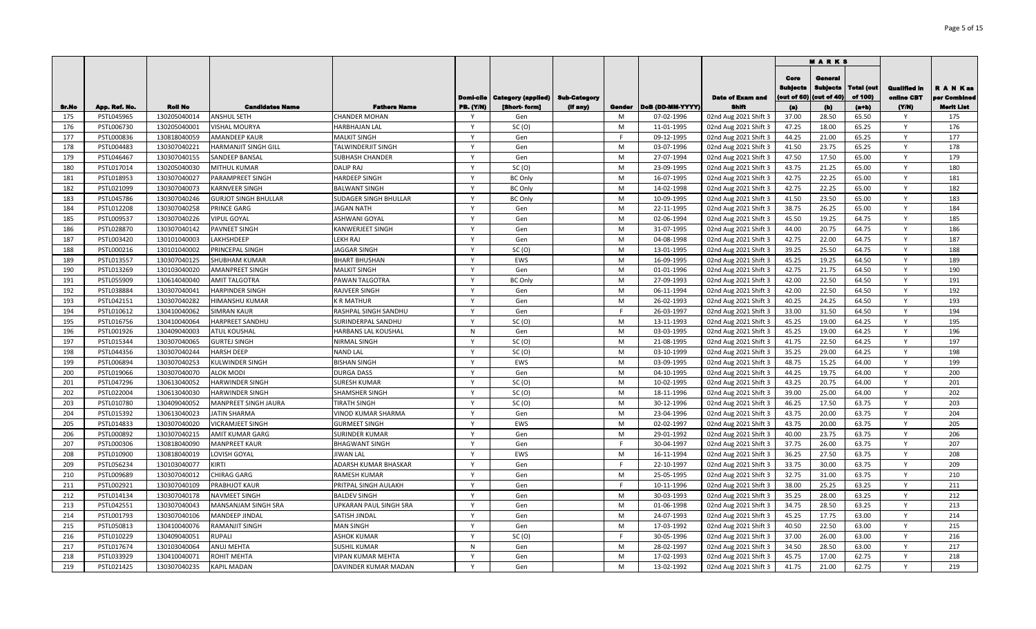|       |               |                |                             |                            |                  |                    |              |        |                  |                         |                                | <b>MARKS</b>                              |                       |                                   |                        |
|-------|---------------|----------------|-----------------------------|----------------------------|------------------|--------------------|--------------|--------|------------------|-------------------------|--------------------------------|-------------------------------------------|-----------------------|-----------------------------------|------------------------|
|       |               |                |                             |                            | <b>Domi-cile</b> | Category (applied) | Sub-Category |        |                  | <b>Date of Exam and</b> | Core<br>Sublects<br>out of 60) | General<br><b>Subjects</b><br>(out of 40) | Total (out<br>of 100) | <b>Qualified in</b><br>online CBT | RANKas<br>per Combinee |
| Sr.No | App. Ref. No. | <b>Roll No</b> | <b>Candidates Name</b>      | <b>Fathers Name</b>        | <b>PB. (Y/N)</b> | [Short-form]       | (if any)     | Gender | DoB (DD-MM-YYYY) | Shift                   | (a)                            | (b)                                       | $(a+b)$               | (YM)                              | <b>Merit List</b>      |
| 175   | PSTL045965    | 130205040014   | <b>ANSHUL SETH</b>          | <b>CHANDER MOHAN</b>       | V                | Gen                |              | M      | 07-02-1996       | 02nd Aug 2021 Shift 3   | 37.00                          | 28.50                                     | 65.50                 | <b>V</b><br>Y                     | 175                    |
| 176   | PSTL006730    | 130205040001   | <b>VISHAL MOURYA</b>        | <b>HARBHAJAN LAL</b>       | $\mathbf{v}$     | SC(0)              |              | M      | 11-01-1995       | 02nd Aug 2021 Shift 3   | 47.25<br>44.25                 | 18.00                                     | 65.25                 | Y                                 | 176<br>177             |
| 177   | PSTL000836    | 130818040059   | <b>AMANDEEP KAUR</b>        | <b>MALKIT SINGH</b>        | Y                | Gen                |              | M      | 09-12-1995       | 02nd Aug 2021 Shift 3   |                                | 21.00                                     | 65.25                 | Y                                 |                        |
| 178   | PSTL004483    | 130307040221   | HARMANJIT SINGH GILL        | <b>TALWINDERJIT SINGH</b>  | $\mathsf{Y}$     | Gen                |              |        | 03-07-1996       | 02nd Aug 2021 Shift 3   | 41.50<br>47.50                 | 23.75<br>17.50                            | 65.25                 | Y                                 | 178<br>179             |
| 179   | PSTL046467    | 130307040155   | SANDEEP BANSAL              | SUBHASH CHANDER            | $\mathsf{Y}$     | Gen                |              | M      | 27-07-1994       | 02nd Aug 2021 Shift 3   |                                |                                           | 65.00                 | $\mathsf{Y}$                      |                        |
| 180   | PSTL017014    | 130205040030   | MITHUL KUMAR                | <b>DALIP RAJ</b>           | $\mathsf{Y}$     | SC(0)              |              | M      | 23-09-1995       | 02nd Aug 2021 Shift 3   | 43.75                          | 21.25                                     | 65.00                 |                                   | 180                    |
| 181   | PSTL018953    | 130307040027   | PARAMPREET SINGH            | <b>HARDEEP SINGH</b>       | $\mathsf{v}$     | <b>BC Only</b>     |              | M      | 16-07-1995       | 02nd Aug 2021 Shift 3   | 42.75                          | 22.25                                     | 65.00                 | Y                                 | 181                    |
| 182   | PSTL021099    | 130307040073   | <b>KARNVEER SINGH</b>       | <b>BALWANT SINGH</b>       |                  | <b>BC Only</b>     |              | M      | 14-02-1998       | 02nd Aug 2021 Shift 3   | 42.75                          | 22.25                                     | 65.00                 | Y                                 | 182                    |
| 183   | PSTL045786    | 130307040246   | <b>GURJOT SINGH BHULLAR</b> | SUDAGER SINGH BHULLAR      | $\mathsf{Y}$     | <b>BC Only</b>     |              | M      | 10-09-1995       | 02nd Aug 2021 Shift 3   | 41.50                          | 23.50                                     | 65.00                 | Y                                 | 183                    |
| 184   | PSTL012208    | 130307040258   | <b>PRINCE GARG</b>          | <b>JAGAN NATH</b>          | Y                | Gen                |              | M      | 22-11-1995       | 02nd Aug 2021 Shift 3   | 38.75                          | 26.25                                     | 65.00                 | Y                                 | 184                    |
| 185   | PSTL009537    | 130307040226   | <b>VIPUL GOYAL</b>          | <b>ASHWANI GOYAL</b>       | $\mathsf{Y}$     | Gen                |              | M      | 02-06-1994       | 02nd Aug 2021 Shift 3   | 45.50                          | 19.25                                     | 64.75                 | Y                                 | 185                    |
| 186   | PSTL028870    | 130307040142   | PAVNEET SINGH               | KANWERJEET SINGH           | Y                | Gen                |              | M      | 31-07-1995       | 02nd Aug 2021 Shift 3   | 44.00                          | 20.75                                     | 64.75                 | Y                                 | 186                    |
| 187   | PSTL003420    | 130101040003   | LAKHSHDEEP                  | <b>LEKH RAJ</b>            | Y                | Gen                |              | M      | 04-08-1998       | 02nd Aug 2021 Shift 3   | 42.75                          | 22.00                                     | 64.75                 | Y                                 | 187                    |
| 188   | PSTL000216    | 130101040002   | PRINCEPAL SINGH             | <b>JAGGAR SINGH</b>        | Y                | SC(0)              |              | M      | 13-01-1995       | 02nd Aug 2021 Shift 3   | 39.25                          | 25.50                                     | 64.75                 | Y                                 | 188                    |
| 189   | PSTL013557    | 130307040125   | SHUBHAM KUMAR               | <b>BHART BHUSHAN</b>       | $\mathsf{Y}$     | EWS                |              | M      | 16-09-1995       | 02nd Aug 2021 Shift 3   | 45.25                          | 19.25                                     | 64.50                 | Y                                 | 189                    |
| 190   | PSTL013269    | 130103040020   | AMANPREET SINGH             | <b>MALKIT SINGH</b>        | Y                | Gen                |              | M      | 01-01-1996       | 02nd Aug 2021 Shift 3   | 42.75                          | 21.75                                     | 64.50                 | Y                                 | 190                    |
| 191   | PSTL055909    | 130614040040   | <b>AMIT TALGOTRA</b>        | PAWAN TALGOTRA             | Y                | <b>BC Only</b>     |              | M      | 27-09-1993       | 02nd Aug 2021 Shift 3   | 42.00                          | 22.50                                     | 64.50                 | Y                                 | 191                    |
| 192   | PSTL038884    | 130307040041   | <b>HARPINDER SINGH</b>      | <b>RAJVEER SINGH</b>       | $\mathsf{v}$     | Gen                |              | M      | 06-11-1994       | 02nd Aug 2021 Shift 3   | 42.00                          | 22.50                                     | 64.50                 | Y                                 | 192                    |
| 193   | PSTL042151    | 130307040282   | HIMANSHU KUMAR              | <b>K R MATHUR</b>          | Y                | Gen                |              | M      | 26-02-1993       | 02nd Aug 2021 Shift 3   | 40.25                          | 24.25                                     | 64.50                 | Y                                 | 193                    |
| 194   | PSTL010612    | 130410040062   | <b>SIMRAN KAUR</b>          | RASHPAL SINGH SANDHU       | <b>V</b>         | Gen                |              |        | 26-03-1997       | 02nd Aug 2021 Shift 3   | 33.00                          | 31.50                                     | 64.50                 | Υ                                 | 194                    |
| 195   | PSTL016756    | 130410040064   | HARPREET SANDHU             | SURINDERPAL SANDHU         | Y                | SC(0)              |              | M      | 13-11-1993       | 02nd Aug 2021 Shift 3   | 45.25                          | 19.00                                     | 64.25                 | Y                                 | 195                    |
| 196   | PSTL001926    | 130409040003   | <b>ATUL KOUSHAL</b>         | <b>HARBANS LAL KOUSHAL</b> | N                | Gen                |              | M      | 03-03-1995       | 02nd Aug 2021 Shift 3   | 45.25                          | 19.00                                     | 64.25                 | Y                                 | 196                    |
| 197   | PSTL015344    | 130307040065   | <b>GURTEJ SINGH</b>         | NIRMAL SINGH               | $\mathsf{v}$     | SC(0)              |              | M      | 21-08-1995       | 02nd Aug 2021 Shift 3   | 41.75                          | 22.50                                     | 64.25                 | Y                                 | 197                    |
| 198   | PSTL044356    | 130307040244   | <b>HARSH DEEP</b>           | <b>NAND LAL</b>            | $\mathsf{Y}$     | SC(0)              |              | M      | 03-10-1999       | 02nd Aug 2021 Shift 3   | 35.25                          | 29.00                                     | 64.25                 | Y                                 | 198                    |
| 199   | PSTL006894    | 130307040253   | KULWINDER SINGH             | <b>BISHAN SINGH</b>        | $\mathsf{Y}$     | EWS                |              | M      | 03-09-1995       | 02nd Aug 2021 Shift 3   | 48.75                          | 15.25                                     | 64.00                 | Y                                 | 199                    |
| 200   | PSTL019066    | 130307040070   | <b>ALOK MODI</b>            | <b>DURGA DASS</b>          | $\mathsf{Y}$     | Gen                |              | M      | 04-10-1995       | 02nd Aug 2021 Shift 3   | 44.25                          | 19.75                                     | 64.00                 | Y                                 | 200                    |
| 201   | PSTL047296    | 130613040052   | HARWINDER SINGH             | <b>SURESH KUMAR</b>        | $\mathsf{Y}$     | SC(0)              |              | M      | 10-02-1995       | 02nd Aug 2021 Shift 3   | 43.25                          | 20.75                                     | 64.00                 | Y                                 | 201                    |
| 202   | PSTL022004    | 130613040030   | HARWINDER SINGH             | <b>SHAMSHER SINGH</b>      | $\mathsf{Y}$     | SC(0)              |              | M      | 18-11-1996       | 02nd Aug 2021 Shift 3   | 39.00                          | 25.00                                     | 64.00                 | Y                                 | 202                    |
| 203   | PSTL010780    | 130409040052   | MANPREET SINGH JAURA        | TIRATH SINGH               | Y                | SC(0)              |              | M      | 30-12-1996       | 02nd Aug 2021 Shift 3   | 46.25                          | 17.50                                     | 63.75                 | Y                                 | 203                    |
| 204   | PSTL015392    | 130613040023   | JATIN SHARMA                | VINOD KUMAR SHARMA         | Y                | Gen                |              | M      | 23-04-1996       | 02nd Aug 2021 Shift 3   | 43.75                          | 20.00                                     | 63.75                 | Y                                 | 204                    |
| 205   | PSTL014833    | 130307040020   | <b>VICRAMJEET SINGH</b>     | <b>GURMEET SINGH</b>       | Y                | EWS                |              | M      | 02-02-1997       | 02nd Aug 2021 Shift 3   | 43.75                          | 20.00                                     | 63.75                 | Y                                 | 205                    |
| 206   | PSTL000892    | 130307040215   | AMIT KUMAR GARG             | <b>SURINDER KUMAR</b>      | $\mathsf{Y}$     | Gen                |              | M      | 29-01-1992       | 02nd Aug 2021 Shift 3   | 40.00                          | 23.75                                     | 63.75                 | Y                                 | 206                    |
| 207   | PSTL000306    | 130818040090   | <b>MANPREET KAUR</b>        | <b>BHAGWANT SINGH</b>      | Y                | Gen                |              | F.     | 30-04-1997       | 02nd Aug 2021 Shift 3   | 37.75                          | 26.00                                     | 63.75                 | Y                                 | 207                    |
| 208   | PSTL010900    | 130818040019   | LOVISH GOYAL                | <b>JIWAN LAL</b>           | Y                | EWS                |              | M      | 16-11-1994       | 02nd Aug 2021 Shift 3   | 36.25                          | 27.50                                     | 63.75                 | Y                                 | 208                    |
| 209   | PSTL056234    | 130103040077   | KIRTI                       | ADARSH KUMAR BHASKAR       | Y                | Gen                |              | F.     | 22-10-1997       | 02nd Aug 2021 Shift 3   | 33.75                          | 30.00                                     | 63.75                 | Y                                 | 209                    |
| 210   | PSTL009689    | 130307040012   | CHIRAG GARG                 | <b>RAMESH KUMAR</b>        | $\mathsf{Y}$     | Gen                |              | M      | 25-05-1995       | 02nd Aug 2021 Shift 3   | 32.75                          | 31.00                                     | 63.75                 | Y                                 | 210                    |
| 211   | PSTL002921    | 130307040109   | PRABHJOT KAUR               | PRITPAL SINGH AULAKH       | <b>V</b>         | Gen                |              |        | 10-11-1996       | 02nd Aug 2021 Shift 3   | 38.00                          | 25.25                                     | 63.25                 |                                   | 211                    |
| 212   | PSTL014134    | 130307040178   | <b>NAVMEET SINGH</b>        | <b>BALDEV SINGH</b>        | V                | Gen                |              | M      | 30-03-1993       | 02nd Aug 2021 Shift 3   | 35.25                          | 28.00                                     | 63.25                 | Υ                                 | 212                    |
| 213   | PSTL042551    | 130307040043   | MANSANJAM SINGH SRA         | UPKARAN PAUL SINGH SRA     | Y                | Gen                |              | M      | 01-06-1998       | 02nd Aug 2021 Shift 3   | 34.75                          | 28.50                                     | 63.25                 | Y                                 | 213                    |
| 214   | PSTL001793    | 130307040106   | MANDEEP JINDAL              | SATISH JINDAL              |                  | Gen                |              | M      | 24-07-1993       | 02nd Aug 2021 Shift 3   | 45.25                          | 17.75                                     | 63.00                 | Υ                                 | 214                    |
| 215   | PSTL050813    | 130410040076   | RAMANJIT SINGH              | <b>MAN SINGH</b>           | <b>Y</b>         | Gen                |              | M      | 17-03-1992       | 02nd Aug 2021 Shift 3   | 40.50                          | 22.50                                     | 63.00                 | $\mathsf{Y}$                      | 215                    |
| 216   | PSTL010229    | 130409040051   | RUPALI                      | <b>ASHOK KUMAR</b>         | $\mathsf{Y}$     | SC(0)              |              |        | 30-05-1996       | 02nd Aug 2021 Shift 3   | 37.00                          | 26.00                                     | 63.00                 | Y                                 | 216                    |
| 217   | PSTL017674    | 130103040064   | ANUJ MEHTA                  | <b>SUSHIL KUMAR</b>        | N                | Gen                |              | M      | 28-02-1997       | 02nd Aug 2021 Shift 3   | 34.50                          | 28.50                                     | 63.00                 | Y                                 | 217                    |
| 218   | PSTL033929    | 130410040071   | ROHIT MEHTA                 | <b>VIPAN KUMAR MEHTA</b>   | $\mathsf{Y}$     | Gen                |              | M      | 17-02-1993       | 02nd Aug 2021 Shift 3   | 45.75                          | 17.00                                     | 62.75                 | Y                                 | 218                    |
| 219   | PSTL021425    | 130307040235   | <b>KAPIL MADAN</b>          | DAVINDER KUMAR MADAN       | Y                | Gen                |              | M      | 13-02-1992       | 02nd Aug 2021 Shift 3   | 41.75                          | 21.00                                     | 62.75                 | Y                                 | 219                    |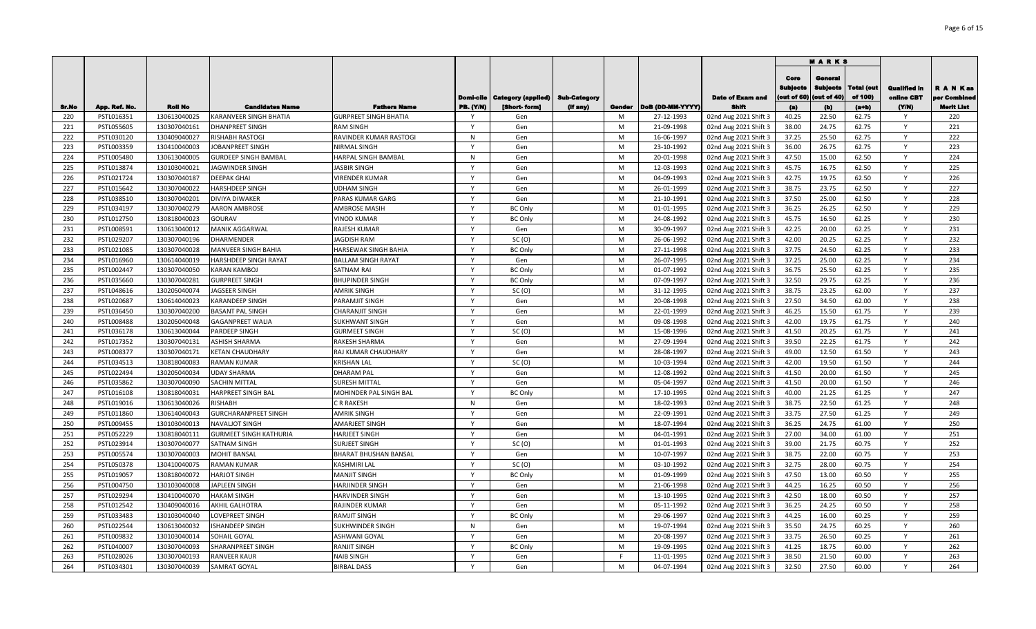|       |               |                |                             |                              |                              |                                         |                     |        |                  |                         |                                | <b>MARKS</b>                              |                              |                                   |                               |
|-------|---------------|----------------|-----------------------------|------------------------------|------------------------------|-----------------------------------------|---------------------|--------|------------------|-------------------------|--------------------------------|-------------------------------------------|------------------------------|-----------------------------------|-------------------------------|
|       |               |                |                             |                              |                              | <b>Domi-cile   Category (applied)  </b> | <b>Sub-Category</b> |        |                  | <b>Date of Exam and</b> | Core<br>Subjects<br>out of 60) | General<br><b>Subjects</b><br>(out of 40) | <b>Total (out</b><br>of 100) | <b>Qualified in</b><br>online CBT | <b>RANKas</b><br>per Combined |
| Sr.No | App. Ref. No. | <b>Roll No</b> | <b>Candidates Name</b>      | <b>Fathers Name</b>          | <b>PB.</b> (Y/N)             | [Short-form]                            | (if any)            | Gender | DoB (DD-MM-YYYY) | Shift                   | (a)                            | (b)                                       | $(a+b)$                      | (YM)                              | Merit List                    |
| 220   | PSTL016351    | 130613040025   | KARANVEER SINGH BHATIA      | <b>GURPREET SINGH BHATIA</b> | - Y                          | Gen                                     |                     | M      | 27-12-1993       | 02nd Aug 2021 Shift 3   | 40.25                          | 22.50                                     | 62.75                        | Y                                 | 220                           |
| 221   | PSTL055605    | 130307040161   | <b>DHANPREET SINGH</b>      | RAM SINGH                    | $\mathsf{v}$                 | Gen                                     |                     | M      | 21-09-1998       | 02nd Aug 2021 Shift 3   | 38.00                          | 24.75                                     | 62.75                        | Y                                 | 221                           |
| 222   | PSTL030120    | 130409040027   | RISHABH RASTOGI             | RAVINDER KUMAR RASTOGI       | N<br>$\mathsf{v}$            | Gen                                     |                     | M      | 16-06-1997       | 02nd Aug 2021 Shift 3   | 37.25                          | 25.50                                     | 62.75                        | $\mathsf{Y}$                      | 222                           |
| 223   | PSTL003359    | 130410040003   | <b>JOBANPREET SINGH</b>     | <b>NIRMAL SINGH</b>          |                              | Gen                                     |                     | M      | 23-10-1992       | 02nd Aug 2021 Shift 3   | 36.00                          | 26.75                                     | 62.75                        | Y                                 | 223                           |
| 224   | PSTL005480    | 130613040005   | <b>GURDEEP SINGH BAMBAL</b> | HARPAL SINGH BAMBAL          | $\mathsf{N}$<br>$\mathsf{v}$ | Gen                                     |                     | M      | 20-01-1998       | 02nd Aug 2021 Shift 3   | 47.50                          | 15.00                                     | 62.50                        | Y                                 | 224                           |
| 225   | PSTL013874    | 130103040021   | <b>JAGWINDER SINGH</b>      | <b>IASBIR SINGH</b>          |                              | Gen                                     |                     | M      | 12-03-1993       | 02nd Aug 2021 Shift 3   | 45.75                          | 16.75                                     | 62.50                        | $\mathsf{Y}$                      | 225                           |
| 226   | PSTL021724    | 130307040187   | <b>DEEPAK GHAI</b>          | <b>VIRENDER KUMAR</b>        | $\mathsf{v}$<br>$\mathsf{v}$ | Gen                                     |                     | M      | 04-09-1993       | 02nd Aug 2021 Shift 3   | 42.75                          | 19.75                                     | 62.50                        | Y                                 | 226                           |
| 227   | PSTL015642    | 130307040022   | HARSHDEEP SINGH             | <b>UDHAM SINGH</b>           | $\mathsf{v}$                 | Gen                                     |                     | M      | 26-01-1999       | 02nd Aug 2021 Shift 3   | 38.75                          | 23.75                                     | 62.50                        | Y                                 | 227                           |
| 228   | PSTL038510    | 130307040201   | DIVIYA DIWAKER              | PARAS KUMAR GARG             |                              | Gen                                     |                     | M      | 21-10-1991       | 02nd Aug 2021 Shift 3   | 37.50                          | 25.00                                     | 62.50                        | Y                                 | 228                           |
| 229   | PSTL034197    | 130307040279   | <b>AARON AMBROSE</b>        | <b>AMBROSE MASIH</b>         | Y                            | <b>BC Only</b>                          |                     | M      | 01-01-1995       | 02nd Aug 2021 Shift 3   | 36.25                          | 26.25                                     | 62.50                        | Y                                 | 229                           |
| 230   | PSTL012750    | 130818040023   | GOURAV                      | <b>VINOD KUMAR</b>           | $\mathsf{Y}$                 | <b>BC Only</b>                          |                     | M      | 24-08-1992       | 02nd Aug 2021 Shift 3   | 45.75                          | 16.50                                     | 62.25                        | Y                                 | 230                           |
| 231   | PSTL008591    | 130613040012   | MANIK AGGARWAL              | RAJESH KUMAR                 | $\mathsf{Y}$                 | Gen                                     |                     | M      | 30-09-1997       | 02nd Aug 2021 Shift 3   | 42.25                          | 20.00                                     | 62.25                        | Y                                 | 231                           |
| 232   | PSTL029207    | 130307040196   | <b>DHARMENDER</b>           | <b>AGDISH RAM</b>            | Y                            | SC(0)                                   |                     | M      | 26-06-1992       | 02nd Aug 2021 Shift 3   | 42.00                          | 20.25                                     | 62.25                        | Y                                 | 232                           |
| 233   | PSTL021085    | 130307040028   | MANVEER SINGH BAHIA         | HARSEWAK SINGH BAHIA         | $\mathsf{Y}$                 | <b>BC Only</b>                          |                     | M      | 27-11-1998       | 02nd Aug 2021 Shift 3   | 37.75                          | 24.50                                     | 62.25                        | Y                                 | 233                           |
| 234   | PSTL016960    | 130614040019   | HARSHDEEP SINGH RAYAT       | <b>BALLAM SINGH RAYAT</b>    | $\mathsf{Y}$                 | Gen                                     |                     | M      | 26-07-1995       | 02nd Aug 2021 Shift 3   | 37.25                          | 25.00                                     | 62.25                        | Y                                 | 234                           |
| 235   | PSTL002447    | 130307040050   | <b>KARAN KAMBOJ</b>         | SATNAM RAI                   | Y                            | <b>BC Only</b>                          |                     | M      | 01-07-1992       | 02nd Aug 2021 Shift 3   | 36.75                          | 25.50                                     | 62.25                        | Y                                 | 235                           |
| 236   | PSTL035660    | 130307040281   | <b>GURPREET SINGH</b>       | <b>BHUPINDER SINGH</b>       | $\mathsf{Y}$                 | <b>BC Only</b>                          |                     | M      | 07-09-1997       | 02nd Aug 2021 Shift 3   | 32.50                          | 29.75                                     | 62.25                        | Y                                 | 236                           |
| 237   | PSTL048616    | 130205040074   | JAGSEER SINGH               | AMRIK SINGH                  | $\mathsf{v}$                 | SC(0)                                   |                     | M      | 31-12-1995       | 02nd Aug 2021 Shift 3   | 38.75                          | 23.25                                     | 62.00                        | Y                                 | 237                           |
| 238   | PSTL020687    | 130614040023   | <b>KARANDEEP SINGH</b>      | PARAMJIT SINGH               | Y                            | Gen                                     |                     | M      | 20-08-1998       | 02nd Aug 2021 Shift 3   | 27.50                          | 34.50                                     | 62.00                        | Y                                 | 238                           |
| 239   | PSTL036450    | 130307040200   | BASANT PAL SINGH            | CHARANJIT SINGH              | $\mathsf{v}$                 | Gen                                     |                     | M      | 22-01-1999       | 02nd Aug 2021 Shift 3   | 46.25                          | 15.50                                     | 61.75                        | $\mathsf{Y}$                      | 239                           |
| 240   | PSTL008488    | 130205040048   | <b>GAGANPREET WALIA</b>     | SUKHWANT SINGH               | <b>V</b>                     | Gen                                     |                     | M      | 09-08-1998       | 02nd Aug 2021 Shift 3   | 42.00                          | 19.75                                     | 61.75                        | Y                                 | 240                           |
| 241   | PSTL036178    | 130613040044   | PARDEEP SINGH               | GURMEET SINGH                | $\mathsf{Y}$                 | SC(0)                                   |                     | M      | 15-08-1996       | 02nd Aug 2021 Shift 3   | 41.50                          | 20.25                                     | 61.75                        | $\mathsf{Y}$                      | 241                           |
| 242   | PSTL017352    | 130307040131   | ASHISH SHARMA               | RAKESH SHARMA                | $\mathsf{v}$                 | Gen                                     |                     | M      | 27-09-1994       | 02nd Aug 2021 Shift 3   | 39.50                          | 22.25                                     | 61.75                        | $\mathsf{Y}$                      | 242                           |
| 243   | PSTL008377    | 130307040171   | KETAN CHAUDHARY             | RAJ KUMAR CHAUDHARY          | $\mathsf{Y}$                 | Gen                                     |                     | M      | 28-08-1997       | 02nd Aug 2021 Shift 3   | 49.00                          | 12.50                                     | 61.50                        | Y                                 | 243                           |
| 244   | PSTL034513    | 130818040083   | <b>RAMAN KUMAR</b>          | <b>KRISHAN LAL</b>           | $\mathsf{Y}$                 | SC(0)                                   |                     | M      | 10-03-1994       | 02nd Aug 2021 Shift 3   | 42.00                          | 19.50                                     | 61.50                        | Y                                 | 244                           |
| 245   | PSTL022494    | 130205040034   | UDAY SHARMA                 | DHARAM PAL                   | $\mathsf{v}$                 | Gen                                     |                     | M      | 12-08-1992       | 02nd Aug 2021 Shift 3   | 41.50                          | 20.00                                     | 61.50                        | Y                                 | 245                           |
| 246   | PSTL035862    | 130307040090   | SACHIN MITTAL               | SURESH MITTAL                | Y                            | Gen                                     |                     | M      | 05-04-1997       | 02nd Aug 2021 Shift 3   | 41.50                          | 20.00                                     | 61.50                        | Y                                 | 246                           |
| 247   | PSTL016108    | 130818040031   | HARPREET SINGH BAL          | MOHINDER PAL SINGH BAL       | $\mathsf{Y}$                 | <b>BC Only</b>                          |                     | M      | 17-10-1995       | 02nd Aug 2021 Shift 3   | 40.00                          | 21.25                                     | 61.25                        | Y                                 | 247                           |
| 248   | PSTL019016    | 130613040026   | RISHABH                     | CR RAKESH                    | $\mathsf{N}$                 | Gen                                     |                     | M      | 18-02-1993       | 02nd Aug 2021 Shift 3   | 38.75                          | 22.50                                     | 61.25                        | Y                                 | 248                           |
| 249   | PSTL011860    | 130614040043   | <b>GURCHARANPREET SINGH</b> | <b>AMRIK SINGH</b>           | $\mathsf{Y}$                 | Gen                                     |                     | M      | 22-09-1991       | 02nd Aug 2021 Shift 3   | 33.75                          | 27.50                                     | 61.25                        | Y                                 | 249                           |
| 250   | PSTL009455    | 130103040013   | <b>NAVALIOT SINGH</b>       | AMARJEET SINGH               | $\mathsf{Y}$                 | Gen                                     |                     | M      | 18-07-1994       | 02nd Aug 2021 Shift 3   | 36.25                          | 24.75                                     | 61.00                        | Y                                 | 250                           |
| 251   | PSTL052229    | 130818040111   | GURMEET SINGH KATHURIA      | HARJEET SINGH                | $\mathsf{Y}$                 | Gen                                     |                     | M      | 04-01-1991       | 02nd Aug 2021 Shift 3   | 27.00                          | 34.00                                     | 61.00                        | Y                                 | 251                           |
| 252   | PSTL023914    | 130307040077   | SATNAM SINGH                | SURJEET SINGH                | Y                            | SC(0)                                   |                     | M      | 01-01-1993       | 02nd Aug 2021 Shift 3   | 39.00                          | 21.75                                     | 60.75                        | Y                                 | 252                           |
| 253   | PSTL005574    | 130307040003   | <b>MOHIT BANSAL</b>         | BHARAT BHUSHAN BANSAL        | Y                            | Gen                                     |                     | M      | 10-07-1997       | 02nd Aug 2021 Shift 3   | 38.75                          | 22.00                                     | 60.75                        | Y                                 | 253                           |
| 254   | PSTL050378    | 130410040075   | <b>RAMAN KUMAR</b>          | KASHMIRI LAL                 | Y                            | SC(0)                                   |                     | M      | 03-10-1992       | 02nd Aug 2021 Shift 3   | 32.75                          | 28.00                                     | 60.75                        | Y                                 | 254                           |
| 255   | PSTL019057    | 130818040072   | <b>HARJOT SINGH</b>         | <b>MANJIT SINGH</b>          | $\mathsf{Y}$                 | <b>BC Only</b>                          |                     | M      | 01-09-1999       | 02nd Aug 2021 Shift 3   | 47.50                          | 13.00                                     | 60.50                        | Y                                 | 255                           |
| 256   | PSTL004750    | 130103040008   | <b>JAPLEEN SINGH</b>        | HARJINDER SINGH              | <b>V</b>                     | Gen                                     |                     | M      | 21-06-1998       | 02nd Aug 2021 Shift 3   | 44.25                          | 16.25                                     | 60.50                        | Y                                 | 256                           |
| 257   | PSTL029294    | 130410040070   | HAKAM SINGH                 | HARVINDER SINGH              | $\mathsf{v}$                 | Gen                                     |                     | M      | 13-10-1995       | 02nd Aug 2021 Shift 3   | 42.50                          | 18.00                                     | 60.50                        | $\mathsf{v}$                      | 257                           |
| 258   | PSTL012542    | 130409040016   | AKHIL GALHOTRA              | RAJINDER KUMAR               | <b>V</b>                     | Gen                                     |                     | M      | 05-11-1992       | 02nd Aug 2021 Shift 3   | 36.25                          | 24.25                                     | 60.50                        | Y                                 | 258                           |
| 259   | PSTL033483    | 130103040040   | <b>LOVEPREET SINGH</b>      | RAMJIT SINGH                 | v                            | <b>BC Only</b>                          |                     | M      | 29-06-1997       | 02nd Aug 2021 Shift 3   | 44.25                          | 16.00                                     | 60.25                        | Y                                 | 259                           |
| 260   | PSTL022544    | 130613040032   | <b>ISHANDEEP SINGH</b>      | SUKHWINDER SINGH             | N                            | Gen                                     |                     | M      | 19-07-1994       | 02nd Aug 2021 Shift 3   | 35.50                          | 24.75                                     | 60.25                        | Y                                 | 260                           |
| 261   | PSTL009832    | 130103040014   | SOHAIL GOYAL                | ASHWANI GOYAI                | $\mathsf{Y}$                 | Gen                                     |                     | M      | 20-08-1997       | 02nd Aug 2021 Shift 3   | 33.75                          | 26.50                                     | 60.25                        | Y                                 | 261                           |
| 262   | PSTL040007    | 130307040093   | SHARANPREET SINGH           | RANJIT SINGH                 | $\mathsf{Y}$                 | <b>BC Only</b>                          |                     | M      | 19-09-1995       | 02nd Aug 2021 Shift 3   | 41.25                          | 18.75                                     | 60.00                        | Y                                 | 262                           |
| 263   | PSTL028026    | 130307040193   | RANVEER KAUR                | <b>NAIB SINGH</b>            | $\mathsf{Y}$                 | Gen                                     |                     | E      | 11-01-1995       | 02nd Aug 2021 Shift 3   | 38.50                          | 21.50                                     | 60.00                        | Y                                 | 263                           |
| 264   | PSTL034301    | 130307040039   | SAMRAT GOYAL                | <b>BIRBAL DASS</b>           | $\mathsf{Y}$                 | Gen                                     |                     | M      | 04-07-1994       | 02nd Aug 2021 Shift 3   | 32.50                          | 27.50                                     | 60.00                        | Y                                 | 264                           |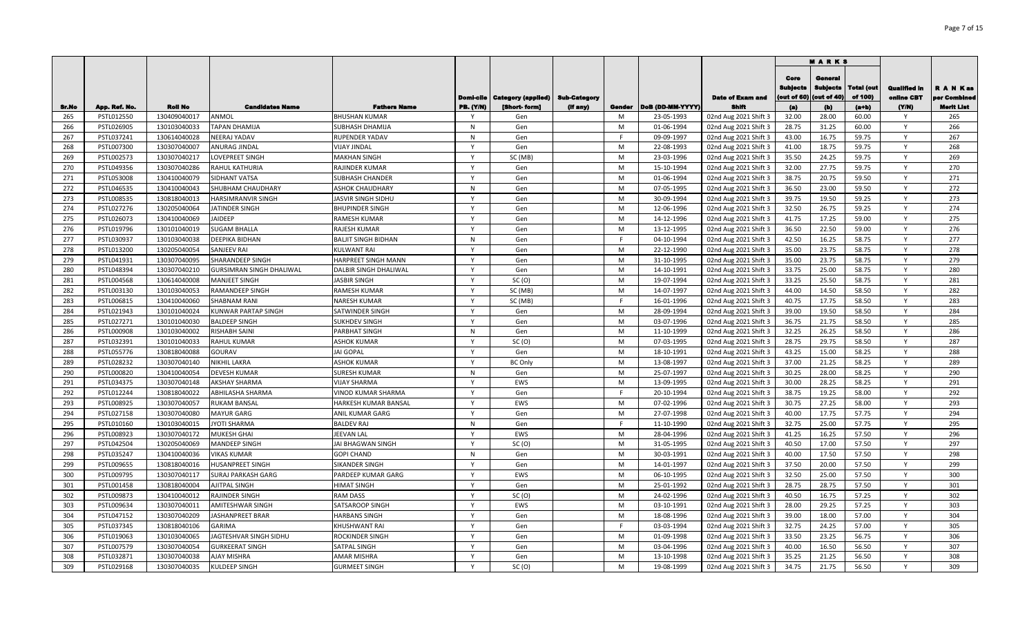|       |               |                |                                 |                            |                  |                                   |          |        |                  |                       |                                       | <b>MARKS</b>                              |                              |                                   |                               |
|-------|---------------|----------------|---------------------------------|----------------------------|------------------|-----------------------------------|----------|--------|------------------|-----------------------|---------------------------------------|-------------------------------------------|------------------------------|-----------------------------------|-------------------------------|
|       |               |                |                                 |                            | Domi-cile        | Category (applied)   Sub-Category |          |        |                  | Date of Exam and      | Core<br><b>Sublects</b><br>out of 60) | General<br><b>Subjects</b><br>(out of 40) | <b>Total (out</b><br>of 100) | <b>Qualified in</b><br>online CBT | <b>RANKas</b><br>per Combined |
| Sr.No | App. Ref. No. | <b>Roll No</b> | <b>Candidates Name</b>          | <b>Fathers Name</b>        | <b>PB.</b> (Y/N) | [Short-form]                      | (if any) | Gender | DoB (DD-MM-YYYY) | Shift                 | (a)                                   | (b)                                       | $(a+b)$                      | (YM)                              | Merit List                    |
| 265   | PSTL012550    | 130409040017   | ANMOL                           | <b>BHUSHAN KUMAR</b>       |                  | Gen                               |          | M      | 23-05-1993       | 02nd Aug 2021 Shift 3 | 32.00                                 | 28.00                                     | 60.00                        | Y                                 | 265                           |
| 266   | PSTL026905    | 130103040033   | <b>TAPAN DHAMIJA</b>            | SUBHASH DHAMIJA            | N                | Gen                               |          | M      | 01-06-1994       | 02nd Aug 2021 Shift 3 | 28.75                                 | 31.25                                     | 60.00                        | Y                                 | 266                           |
| 267   | PSTL037241    | 130614040028   | NEERAJ YADAV                    | RUPENDER YADAV             | N                | Gen                               |          | F      | 09-09-1997       | 02nd Aug 2021 Shift 3 | 43.00                                 | 16.75                                     | 59.75                        | Y                                 | 267                           |
| 268   | PSTL007300    | 130307040007   | ANURAG JINDAL                   | <b>VIJAY JINDAL</b>        | $\mathsf{Y}$     | Gen                               |          | M      | 22-08-1993       | 02nd Aug 2021 Shift 3 | 41.00                                 | 18.75                                     | 59.75                        | Y                                 | 268                           |
| 269   | PSTL002573    | 130307040217   | LOVEPREET SINGH                 | <b>MAKHAN SINGH</b>        | $\mathsf{Y}$     | SC (MB)                           |          | M      | 23-03-1996       | 02nd Aug 2021 Shift 3 | 35.50                                 | 24.25                                     | 59.75                        | Y                                 | 269                           |
| 270   | PSTL049356    | 130307040286   | RAHUL KATHURIA                  | RAJINDER KUMAR             | $\mathsf{v}$     | Gen                               |          | M      | 15-10-1994       | 02nd Aug 2021 Shift 3 | 32.00                                 | 27.75                                     | 59.75                        | Y                                 | 270                           |
| 271   | PSTL053008    | 130410040079   | SIDHANT VATSA                   | SUBHASH CHANDER            | $\mathsf{v}$     | Gen                               |          | M      | 01-06-1994       | 02nd Aug 2021 Shift 3 | 38.75                                 | 20.75                                     | 59.50                        | Y                                 | 271                           |
| 272   | PSTL046535    | 130410040043   | SHUBHAM CHAUDHARY               | ASHOK CHAUDHARY            | N                | Gen                               |          | M      | 07-05-1995       | 02nd Aug 2021 Shift 3 | 36.50                                 | 23.00                                     | 59.50                        | Y                                 | 272                           |
| 273   | PSTL008535    | 130818040013   | <b>HARSIMRANVIR SINGH</b>       | JASVIR SINGH SIDHU         | Y                | Gen                               |          | M      | 30-09-1994       | 02nd Aug 2021 Shift 3 | 39.75                                 | 19.50                                     | 59.25                        | Y                                 | 273                           |
| 274   | PSTL027276    | 130205040064   | JATINDER SINGH                  | <b>BHUPINDER SINGH</b>     | Y                | Gen                               |          | M      | 12-06-1996       | 02nd Aug 2021 Shift 3 | 32.50                                 | 26.75                                     | 59.25                        | Y                                 | 274                           |
| 275   | PSTL026073    | 130410040069   | <b>JAIDEEP</b>                  | RAMESH KUMAR               | $\mathsf{Y}$     | Gen                               |          | M      | 14-12-1996       | 02nd Aug 2021 Shift 3 | 41.75                                 | 17.25                                     | 59.00                        | Y                                 | 275                           |
| 276   | PSTL019796    | 130101040019   | <b>SUGAM BHALLA</b>             | RAJESH KUMAR               | Y                | Gen                               |          | M      | 13-12-1995       | 02nd Aug 2021 Shift 3 | 36.50                                 | 22.50                                     | 59.00                        | Y                                 | 276                           |
| 277   | PSTL030937    | 130103040038   | DEEPIKA BIDHAN                  | <b>BALJIT SINGH BIDHAN</b> | N                | Gen                               |          | F.     | 04-10-1994       | 02nd Aug 2021 Shift 3 | 42.50                                 | 16.25                                     | 58.75                        | Y                                 | 277                           |
| 278   | PSTL013200    | 130205040054   | SANJEEV RAI                     | KULWANT RAI                | Y                | Gen                               |          | M      | 22-12-1990       | 02nd Aug 2021 Shift 3 | 35.00                                 | 23.75                                     | 58.75                        | Y                                 | 278                           |
| 279   | PSTL041931    | 130307040095   | SHARANDEEP SINGH                | HARPREET SINGH MANN        | <sup>V</sup>     | Gen                               |          | M      | 31-10-1995       | 02nd Aug 2021 Shift 3 | 35.00                                 | 23.75                                     | 58.75                        | Y                                 | 279                           |
| 280   | PSTL048394    | 130307040210   | <b>GURSIMRAN SINGH DHALIWAL</b> | DALBIR SINGH DHALIWAL      | <b>V</b>         | Gen                               |          | M      | 14-10-1991       | 02nd Aug 2021 Shift 3 | 33.75                                 | 25.00                                     | 58.75                        | Y                                 | 280                           |
| 281   | PSTL004568    | 130614040008   | <b>MANJEET SINGH</b>            | <b>JASBIR SINGH</b>        | Y                | SC (O)                            |          | M      | 19-07-1994       | 02nd Aug 2021 Shift 3 | 33.25                                 | 25.50                                     | 58.75                        | Y                                 | 281                           |
| 282   | PSTL003130    | 130103040053   | <b>RAMANDEEP SINGH</b>          | RAMESH KUMAR               |                  | SC (MB)                           |          | M      | 14-07-1997       | 02nd Aug 2021 Shift 3 | 44.00                                 | 14.50                                     | 58.50                        | Y                                 | 282                           |
| 283   | PSTL006815    | 130410040060   | <b>SHABNAM RANI</b>             | <b>NARESH KUMAR</b>        | Y                | SC (MB)                           |          |        | 16-01-1996       | 02nd Aug 2021 Shift 3 | 40.75                                 | 17.75                                     | 58.50                        | Y                                 | 283                           |
| 284   | PSTL021943    | 130101040024   | KUNWAR PARTAP SINGH             | SATWINDER SINGH            | $\mathbf{v}$     | Gen                               |          | M      | 28-09-1994       | 02nd Aug 2021 Shift 3 | 39.00                                 | 19.50                                     | 58.50                        | Y                                 | 284                           |
| 285   | PSTL027271    | 130101040030   | <b>BALDEEP SINGH</b>            | <b>SUKHDEV SINGH</b>       | <sup>V</sup>     | Gen                               |          | M      | 03-07-1996       | 02nd Aug 2021 Shift 3 | 36.75                                 | 21.75                                     | 58.50                        | Y                                 | 285                           |
| 286   | PSTL000908    | 130103040002   | <b>RISHABH SAINI</b>            | PARBHAT SINGH              | N                | Gen                               |          | M      | 11-10-1999       | 02nd Aug 2021 Shift 3 | 32.25                                 | 26.25                                     | 58.50                        | Y                                 | 286                           |
| 287   | PSTL032391    | 130101040033   | <b>RAHUL KUMAR</b>              | ASHOK KUMAR                | $\mathsf{Y}$     | SC(0)                             |          | M      | 07-03-1995       | 02nd Aug 2021 Shift 3 | 28.75                                 | 29.75                                     | 58.50                        | Y                                 | 287                           |
| 288   | PSTL055776    | 130818040088   | GOURAV                          | <b>JAI GOPAL</b>           | Y                | Gen                               |          | M      | 18-10-1991       | 02nd Aug 2021 Shift 3 | 43.25                                 | 15.00                                     | 58.25                        | Y                                 | 288                           |
| 289   | PSTL028232    | 130307040140   | <b>NIKHIL LAKRA</b>             | ASHOK KUMAR                | $\mathsf{v}$     | <b>BC Only</b>                    |          | M      | 13-08-1997       | 02nd Aug 2021 Shift 3 | 37.00                                 | 21.25                                     | 58.25                        | Y                                 | 289                           |
| 290   | PSTL000820    | 130410040054   | <b>DEVESH KUMAR</b>             | <b>SURESH KUMAR</b>        | N                | Gen                               |          | M      | 25-07-1997       | 02nd Aug 2021 Shift 3 | 30.25                                 | 28.00                                     | 58.25                        | Y                                 | 290                           |
| 291   | PSTL034375    | 130307040148   | <b>AKSHAY SHARMA</b>            | <b>VIJAY SHARMA</b>        | $\mathsf{Y}$     | EWS                               |          | M      | 13-09-1995       | 02nd Aug 2021 Shift 3 | 30.00                                 | 28.25                                     | 58.25                        | Y                                 | 291                           |
| 292   | PSTL012244    | 130818040022   | ABHILASHA SHARMA                | VINOD KUMAR SHARMA         | Y                | Gen                               |          | F.     | 20-10-1994       | 02nd Aug 2021 Shift 3 | 38.75                                 | 19.25                                     | 58.00                        | Y                                 | 292                           |
| 293   | PSTL008925    | 130307040057   | <b>RUKAM BANSAL</b>             | HARKESH KUMAR BANSAL       | Y                | EWS                               |          | M      | 07-02-1996       | 02nd Aug 2021 Shift 3 | 30.75                                 | 27.25                                     | 58.00                        | Y                                 | 293                           |
| 294   | PSTL027158    | 130307040080   | <b>MAYUR GARG</b>               | ANIL KUMAR GARG            | Y                | Gen                               |          | M      | 27-07-1998       | 02nd Aug 2021 Shift 3 | 40.00                                 | 17.75                                     | 57.75                        | Y                                 | 294                           |
| 295   | PSTL010160    | 130103040015   | <b>JYOTI SHARMA</b>             | <b>BALDEV RAJ</b>          | N                | Gen                               |          | -F     | 11-10-1990       | 02nd Aug 2021 Shift 3 | 32.75                                 | 25.00                                     | 57.75                        | Y                                 | 295                           |
| 296   | PSTL008923    | 130307040172   | <b>MUKESH GHAI</b>              | JEEVAN LAL                 | Y                | EWS                               |          | M      | 28-04-1996       | 02nd Aug 2021 Shift 3 | 41.25                                 | 16.25                                     | 57.50                        | Y                                 | 296                           |
| 297   | PSTL042504    | 130205040069   | <b>MANDEEP SINGH</b>            | JAI BHAGWAN SINGH          | Y                | SC(0)                             |          | M      | 31-05-1995       | 02nd Aug 2021 Shift 3 | 40.50                                 | 17.00                                     | 57.50                        | Y                                 | 297                           |
| 298   | PSTL035247    | 130410040036   | <b>VIKAS KUMAR</b>              | <b>GOPI CHAND</b>          | N                | Gen                               |          | M      | 30-03-1991       | 02nd Aug 2021 Shift 3 | 40.00                                 | 17.50                                     | 57.50                        | Y                                 | 298                           |
| 299   | PSTL009655    | 130818040016   | <b>HUSANPREET SINGH</b>         | <b>SIKANDER SINGH</b>      | Y                | Gen                               |          | M      | 14-01-1997       | 02nd Aug 2021 Shift 3 | 37.50                                 | 20.00                                     | 57.50                        | $\mathsf{Y}$                      | 299                           |
| 300   | PSTL009795    | 130307040117   | <b>SURAJ PARKASH GARG</b>       | PARDEEP KUMAR GARG         | <sup>V</sup>     | EWS                               |          | M      | 06-10-1995       | 02nd Aug 2021 Shift 3 | 32.50                                 | 25.00                                     | 57.50                        | Y                                 | 300                           |
| 301   | PSTL001458    | 130818040004   | AJITPAL SINGH                   | HIMAT SINGH                |                  | Gen                               |          | M      | 25-01-1992       | 02nd Aug 2021 Shift 3 | 28.75                                 | 28.75                                     | 57.50                        | Y                                 | 301                           |
| 302   | PSTL009873    | 130410040012   | RAJINDER SINGH                  | <b>RAM DASS</b>            | N                | SC(0)                             |          | M      | 24-02-1996       | 02nd Aug 2021 Shift 3 | 40.50                                 | 16.75                                     | 57.25                        | Y                                 | 302                           |
| 303   | PSTL009634    | 130307040011   | <b>AMITESHWAR SINGH</b>         | SATSAROOP SINGH            | N                | EWS                               |          | M      | 03-10-1991       | 02nd Aug 2021 Shift 3 | 28.00                                 | 29.25                                     | 57.25                        | Y                                 | 303                           |
| 304   | PSTL047152    | 130307040209   | <b>JASHANPREET BRAR</b>         | <b>HARBANS SINGH</b>       | Y                | Gen                               |          | M      | 18-08-1996       | 02nd Aug 2021 Shift 3 | 39.00                                 | 18.00                                     | 57.00                        | $\mathsf{Y}$                      | 304                           |
| 305   | PSTL037345    | 130818040106   | <b>GARIMA</b>                   | KHUSHWANT RAI              | $\mathsf{Y}$     | Gen                               |          | E      | 03-03-1994       | 02nd Aug 2021 Shift 3 | 32.75                                 | 24.25                                     | 57.00                        | Y                                 | 305                           |
| 306   | PSTL019063    | 130103040065   | JAGTESHVAR SINGH SIDHU          | ROCKINDER SINGH            | Y                | Gen                               |          | M      | 01-09-1998       | 02nd Aug 2021 Shift 3 | 33.50                                 | 23.25                                     | 56.75                        | Y                                 | 306                           |
| 307   | PSTL007579    | 130307040054   | <b>GURKEERAT SINGH</b>          | SATPAL SINGH               | $\mathsf{Y}$     | Gen                               |          | M      | 03-04-1996       | 02nd Aug 2021 Shift 3 | 40.00                                 | 16.50                                     | 56.50                        | Y                                 | 307                           |
| 308   | PSTL032871    | 130307040038   | <b>AJAY MISHRA</b>              | AMAR MISHRA                | <sup>V</sup>     | Gen                               |          | M      | 13-10-1998       | 02nd Aug 2021 Shift 3 | 35.25                                 | 21.25                                     | 56.50                        | Y                                 | 308                           |
| 309   | PSTL029168    | 130307040035   | <b>KULDEEP SINGH</b>            | <b>GURMEET SINGH</b>       | Y                | SC(0)                             |          | M      | 19-08-1999       | 02nd Aug 2021 Shift 3 | 34.75                                 | 21.75                                     | 56.50                        | $\mathsf{Y}$                      | 309                           |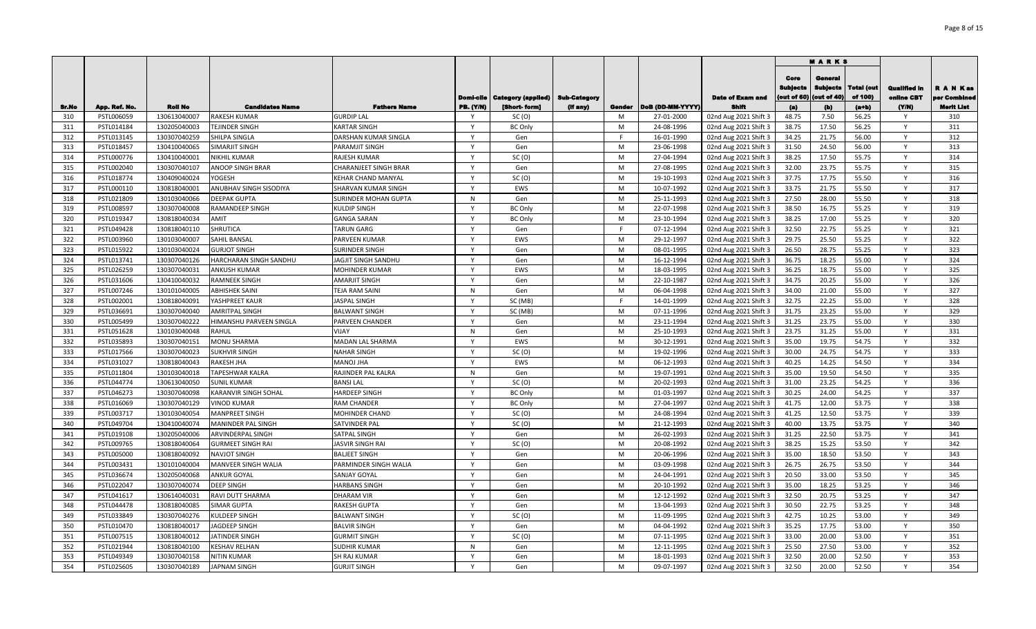|       |               |                |                             |                             |                  |                                |                     |        |                  |                         |             | <b>MARKS</b>    |            |              |              |
|-------|---------------|----------------|-----------------------------|-----------------------------|------------------|--------------------------------|---------------------|--------|------------------|-------------------------|-------------|-----------------|------------|--------------|--------------|
|       |               |                |                             |                             |                  |                                |                     |        |                  |                         | Core        | Genera          |            |              |              |
|       |               |                |                             |                             |                  |                                |                     |        |                  |                         | Subjects    | <b>Subjects</b> | Total (out | Qualified in | R A N Kas    |
|       |               |                |                             |                             |                  | Domi-cile   Category (applied) | <b>Sub-Category</b> |        |                  | <b>Date of Exam and</b> | (out of 60) | (out of 40)     | of 100)    | online CBT   | per Combined |
| Sr.No | App. Ref. No. | <b>Roll No</b> | <b>Candidates Name</b>      | <b>Fathers Name</b>         | <b>PB. (Y/N)</b> | [Short-form]                   | (if any)            | Gender | DoB (DD-MM-YYYY) | Shift                   | (a)         | (b)             | $(a+b)$    | (YM)         | Merit List   |
| 310   | PSTL006059    | 130613040007   | <b>RAKESH KUMAR</b>         | <b>GURDIP LAL</b>           | Y                | SC(0)                          |                     | M      | 27-01-2000       | 02nd Aug 2021 Shift 3   | 48.75       | 7.50            | 56.25      | Y            | 310          |
| 311   | PSTL014184    | 130205040003   | TEJINDER SINGH              | <b>KARTAR SINGH</b>         | Y                | <b>BC Only</b>                 |                     | M      | 24-08-1996       | 02nd Aug 2021 Shift 3   | 38.75       | 17.50           | 56.25      | Y            | 311          |
| 312   | PSTL013145    | 130307040259   | SHILPA SINGLA               | DARSHAN KUMAR SINGLA        | Y                | Gen                            |                     | F      | 16-01-1990       | 02nd Aug 2021 Shift 3   | 34.25       | 21.75           | 56.00      | Y            | 312          |
| 313   | PSTL018457    | 130410040065   | SIMARJIT SINGH              | PARAMJIT SINGH              | Y                | Gen                            |                     | M      | 23-06-1998       | 02nd Aug 2021 Shift 3   | 31.50       | 24.50           | 56.00      | Y            | 313          |
| 314   | PSTL000776    | 130410040001   | <b>NIKHIL KUMAR</b>         | RAJESH KUMAR                | $\mathsf{Y}$     | SC(0)                          |                     | M      | 27-04-1994       | 02nd Aug 2021 Shift 3   | 38.25       | 17.50           | 55.75      | Y            | 314          |
| 315   | PSTL002040    | 130307040107   | ANOOP SINGH BRAR            | CHARANJEET SINGH BRAR       | Y                | Gen                            |                     | M      | 27-08-1995       | 02nd Aug 2021 Shift 3   | 32.00       | 23.75           | 55.75      | Y            | 315          |
| 316   | PSTL018774    | 130409040024   | YOGESH                      | KEHAR CHAND MANYAL          | $\mathsf{v}$     | SC(0)                          |                     | M      | 19-10-1993       | 02nd Aug 2021 Shift 3   | 37.75       | 17.75           | 55.50      | Y            | 316          |
| 317   | PSTL000110    | 130818040001   | ANUBHAV SINGH SISODIYA      | <b>SHARVAN KUMAR SINGH</b>  | $\mathsf{v}$     | EWS                            |                     | M      | 10-07-1992       | 02nd Aug 2021 Shift 3   | 33.75       | 21.75           | 55.50      | <b>V</b>     | 317          |
| 318   | PSTL021809    | 130103040066   | <b>DEEPAK GUPTA</b>         | <b>SURINDER MOHAN GUPTA</b> | N                | Gen                            |                     | M      | 25-11-1993       | 02nd Aug 2021 Shift 3   | 27.50       | 28.00           | 55.50      | Υ            | 318          |
| 319   | PSTL008597    | 130307040008   | <b>RAMANDEEP SINGH</b>      | <b>KULDIP SINGH</b>         | <b>V</b>         | <b>BC Only</b>                 |                     | M      | 22-07-1998       | 02nd Aug 2021 Shift 3   | 38.50       | 16.75           | 55.25      |              | 319          |
| 320   | PSTL019347    | 130818040034   | AMIT                        | <b>GANGA SARAN</b>          | Y                | <b>BC Only</b>                 |                     | M      | 23-10-1994       | 02nd Aug 2021 Shift 3   | 38.25       | 17.00           | 55.25      | Y            | 320          |
| 321   | PSTL049428    | 130818040110   | SHRUTICA                    | <b>TARUN GARG</b>           | $\mathsf{Y}$     | Gen                            |                     | F      | 07-12-1994       | 02nd Aug 2021 Shift 3   | 32.50       | 22.75           | 55.25      | Y            | 321          |
| 322   | PSTL003960    | 130103040007   | <b>SAHIL BANSAL</b>         | PARVEEN KUMAR               | Y                | EWS                            |                     | M      | 29-12-1997       | 02nd Aug 2021 Shift 3   | 29.75       | 25.50           | 55.25      | Y            | 322          |
| 323   | PSTL015922    | 130103040024   | <b>GURJOT SINGH</b>         | <b>SURINDER SINGH</b>       | Y                | Gen                            |                     | M      | 08-01-1995       | 02nd Aug 2021 Shift 3   | 26.50       | 28.75           | 55.25      | Y            | 323          |
| 324   | PSTL013741    | 130307040126   | HARCHARAN SINGH SANDHU      | JAGJIT SINGH SANDHU         | $\mathsf{Y}$     | Gen                            |                     | M      | 16-12-1994       | 02nd Aug 2021 Shift 3   | 36.75       | 18.25           | 55.00      | Y            | 324          |
| 325   | PSTL026259    | 130307040031   | <b>ANKUSH KUMAR</b>         | <b>MOHINDER KUMAR</b>       | Y                | EWS                            |                     | M      | 18-03-1995       | 02nd Aug 2021 Shift 3   | 36.25       | 18.75           | 55.00      | $\mathsf{Y}$ | 325          |
| 326   | PSTL031606    | 130410040032   | <b>RAMNEEK SINGH</b>        | <b>AMARJIT SINGH</b>        | $\mathsf{Y}$     | Gen                            |                     | M      | 22-10-1987       | 02nd Aug 2021 Shift 3   | 34.75       | 20.25           | 55.00      | Y            | 326          |
| 327   | PSTL007246    | 130101040005   | <b>ABHISHEK SAINI</b>       | <b>TEJA RAM SAINI</b>       | N                | Gen                            |                     | M      | 06-04-1998       | 02nd Aug 2021 Shift 3   | 34.00       | 21.00           | 55.00      | Y            | 327          |
| 328   | PSTL002001    | 130818040091   | YASHPREET KAUR              | <b>JASPAL SINGH</b>         | Y                | SC (MB)                        |                     | F.     | 14-01-1999       | 02nd Aug 2021 Shift 3   | 32.75       | 22.25           | 55.00      | Y            | 328          |
| 329   | PSTL036691    | 130307040040   | <b>AMRITPAL SINGH</b>       | <b>BALWANT SINGH</b>        | Y                | SC (MB)                        |                     | M      | 07-11-1996       | 02nd Aug 2021 Shift 3   | 31.75       | 23.25           | 55.00      | Y            | 329          |
| 330   | PSTL005499    | 130307040222   | HIMANSHU PARVEEN SINGLA     | PARVEEN CHANDER             | <b>V</b>         | Gen                            |                     | M      | 23-11-1994       | 02nd Aug 2021 Shift 3   | 31.25       | 23.75           | 55.00      | Y            | 330          |
| 331   | PSTL051628    | 130103040048   | <b>RAHUL</b>                | VIJAY                       | N                | Gen                            |                     | M      | 25-10-1993       | 02nd Aug 2021 Shift 3   | 23.75       | 31.25           | 55.00      | $\mathsf{Y}$ | 331          |
| 332   | PSTL035893    | 130307040151   | MONU SHARMA                 | MADAN LAL SHARMA            | <b>V</b>         | EWS                            |                     | M      | 30-12-1991       | 02nd Aug 2021 Shift 3   | 35.00       | 19.75           | 54.75      | Y            | 332          |
| 333   | PSTL017566    | 130307040023   | <b>SUKHVIR SINGH</b>        | <b>NAHAR SINGH</b>          | Y                | SC(0)                          |                     | M      | 19-02-1996       | 02nd Aug 2021 Shift 3   | 30.00       | 24.75           | 54.75      | Y            | 333          |
| 334   | PSTL031027    | 130818040043   | <b>RAKESH JHA</b>           | <b>MANOJ JHA</b>            | Y                | EWS                            |                     | M      | 06-12-1993       | 02nd Aug 2021 Shift 3   | 40.25       | 14.25           | 54.50      | Y            | 334          |
| 335   | PSTL011804    | 130103040018   | TAPESHWAR KALRA             | RAJINDER PAL KALRA          | N                | Gen                            |                     | M      | 19-07-1991       | 02nd Aug 2021 Shift 3   | 35.00       | 19.50           | 54.50      | Y            | 335          |
| 336   | PSTL044774    | 130613040050   | <b>SUNIL KUMAR</b>          | <b>BANSI LAL</b>            | Y                | SC(0)                          |                     | M      | 20-02-1993       | 02nd Aug 2021 Shift 3   | 31.00       | 23.25           | 54.25      | Y            | 336          |
| 337   | PSTL046273    | 130307040098   | <b>KARANVIR SINGH SOHAL</b> | <b>HARDEEP SINGH</b>        | Y                | <b>BC Only</b>                 |                     | M      | 01-03-1997       | 02nd Aug 2021 Shift 3   | 30.25       | 24.00           | 54.25      | Y            | 337          |
| 338   | PSTL016069    | 130307040129   | <b>VINOD KUMAR</b>          | <b>RAM CHANDER</b>          | Y                | <b>BC Only</b>                 |                     | M      | 27-04-1997       | 02nd Aug 2021 Shift 3   | 41.75       | 12.00           | 53.75      | Y            | 338          |
| 339   | PSTL003717    | 130103040054   | <b>MANPREET SINGH</b>       | <b>MOHINDER CHAND</b>       | Y                | SC(0)                          |                     | M      | 24-08-1994       | 02nd Aug 2021 Shift 3   | 41.25       | 12.50           | 53.75      | Y            | 339          |
| 340   | PSTL049704    | 130410040074   | MANINDER PAL SINGH          | SATVINDER PAL               | <b>V</b>         | SC(0)                          |                     | M      | 21-12-1993       | 02nd Aug 2021 Shift 3   | 40.00       | 13.75           | 53.75      |              | 340          |
| 341   | PSTL019108    | 130205040006   | ARVINDERPAL SINGH           | SATPAL SINGH                | $\mathsf{v}$     | Gen                            |                     | M      | 26-02-1993       | 02nd Aug 2021 Shift 3   | 31.25       | 22.50           | 53.75      | Y            | 341          |
| 342   | PSTL009765    | 130818040064   | <b>GURMEET SINGH RAI</b>    | <b>JASVIR SINGH RAI</b>     | Y                | SC(0)                          |                     | M      | 20-08-1992       | 02nd Aug 2021 Shift 3   | 38.25       | 15.25           | 53.50      | Y            | 342          |
| 343   | PSTL005000    | 130818040092   | <b>NAVJOT SINGH</b>         | <b>BALJEET SINGH</b>        | Y                | Gen                            |                     | M      | 20-06-1996       | 02nd Aug 2021 Shift 3   | 35.00       | 18.50           | 53.50      | Y            | 343          |
| 344   | PSTL003431    | 130101040004   | <b>MANVEER SINGH WALIA</b>  | PARMINDER SINGH WALIA       | Y                | Gen                            |                     | M      | 03-09-1998       | 02nd Aug 2021 Shift 3   | 26.75       | 26.75           | 53.50      |              | 344          |
| 345   | PSTL036674    | 130205040068   | <b>ANKUR GOYAL</b>          | <b>SANJAY GOYAL</b>         | <b>V</b>         | Gen                            |                     | M      | 24-04-1991       | 02nd Aug 2021 Shift 3   | 20.50       | 33.00           | 53.50      |              | 345          |
| 346   | PSTL022047    | 130307040074   | <b>DEEP SINGH</b>           | <b>HARBANS SINGH</b>        | Y                | Gen                            |                     | M      | 20-10-1992       | 02nd Aug 2021 Shift 3   | 35.00       | 18.25           | 53.25      | Y            | 346          |
| 347   | PSTL041617    | 130614040031   | RAVI DUTT SHARMA            | <b>DHARAM VIR</b>           | Y                | Gen                            |                     | M      | 12-12-1992       | 02nd Aug 2021 Shift 3   | 32.50       | 20.75           | 53.25      | Y            | 347          |
| 348   | PSTL044478    | 130818040085   | <b>SIMAR GUPTA</b>          | <b>RAKESH GUPTA</b>         | Y                | Gen                            |                     | M      | 13-04-1993       | 02nd Aug 2021 Shift 3   | 30.50       | 22.75           | 53.25      | $\mathsf{Y}$ | 348          |
| 349   | PSTL033849    | 130307040276   | <b>KULDEEP SINGH</b>        | <b>BALWANT SINGH</b>        | $\mathsf{Y}$     | SC(0)                          |                     | M      | 11-09-1995       | 02nd Aug 2021 Shift 3   | 42.75       | 10.25           | 53.00      | Y            | 349          |
| 350   | PSTL010470    | 130818040017   | JAGDEEP SINGH               | <b>BALVIR SINGH</b>         | $\mathsf{Y}$     | Gen                            |                     | M      | 04-04-1992       | 02nd Aug 2021 Shift 3   | 35.25       | 17.75           | 53.00      | Y            | 350          |
| 351   | PSTL007515    | 130818040012   | JATINDER SINGH              | <b>GURMIT SINGH</b>         | $\mathsf{Y}$     | SC(0)                          |                     | M      | 07-11-1995       | 02nd Aug 2021 Shift 3   | 33.00       | 20.00           | 53.00      | Y            | 351          |
| 352   | PSTL021944    | 130818040100   | <b>KESHAV RELHAN</b>        | <b>SUDHIR KUMAR</b>         | N                | Gen                            |                     | M      | 12-11-1995       | 02nd Aug 2021 Shift 3   | 25.50       | 27.50           | 53.00      | Y            | 352          |
| 353   | PSTL049349    | 130307040158   | <b>NITIN KUMAR</b>          | <b>SH RAJ KUMAR</b>         | Y                | Gen                            |                     | M      | 18-01-1993       | 02nd Aug 2021 Shift 3   | 32.50       | 20.00           | 52.50      | Y            | 353          |
| 354   | PSTL025605    | 130307040189   | <b>JAPNAM SINGH</b>         | <b>GURJIT SINGH</b>         | Y                | Gen                            |                     | M      | 09-07-1997       | 02nd Aug 2021 Shift 3   | 32.50       | 20.00           | 52.50      | Y            | 354          |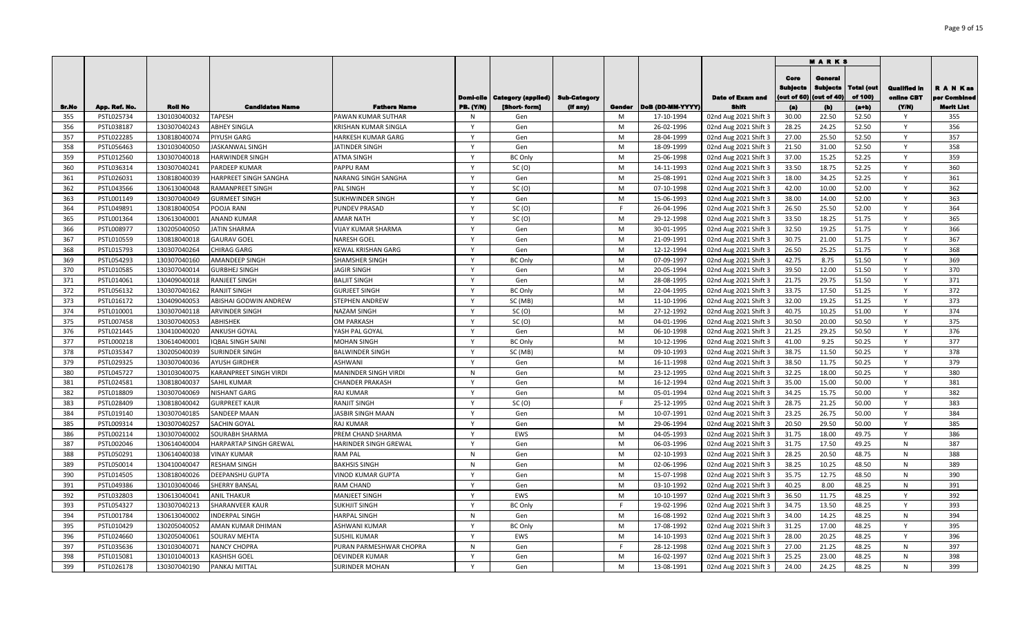|       |               |                |                               |                             |                  |                           |                     |        |                  |                         |                                        | <b>MARKS</b>                             |                        |                                   |                           |
|-------|---------------|----------------|-------------------------------|-----------------------------|------------------|---------------------------|---------------------|--------|------------------|-------------------------|----------------------------------------|------------------------------------------|------------------------|-----------------------------------|---------------------------|
|       |               |                |                               |                             | Domi-cile        | <b>Category (applied)</b> | <b>Sub-Category</b> |        |                  | <b>Date of Exam and</b> | Core<br><b>Subjects</b><br>(out of 60) | Genera<br><b>Subjects</b><br>(out of 40) | l'otal (out<br>of 100) | <b>Qualified In</b><br>online CBT | R A N Kas<br>per Combined |
| Sr.No | App. Ref. No. | <b>Roll No</b> | <b>Candidates Name</b>        | <b>Fathers Name</b>         | <b>PB. (Y/N)</b> | [Short-form]              | (if any)            | Gender | DoB (DD-MM-YYYY) | Shift                   | (a)                                    | (b)                                      | $(a+b)$                | (YM)                              | Merit List                |
| 355   | PSTL025734    | 130103040032   | <b>TAPESH</b>                 | <b>PAWAN KUMAR SUTHAR</b>   | N                | Gen                       |                     | M      | 17-10-1994       | 02nd Aug 2021 Shift 3   | 30.00                                  | 22.50                                    | 52.50                  | Y                                 | 355                       |
| 356   | PSTL038187    | 130307040243   | <b>ABHEY SINGLA</b>           | <b>KRISHAN KUMAR SINGLA</b> | Y                | Gen                       |                     | M      | 26-02-1996       | 02nd Aug 2021 Shift 3   | 28.25                                  | 24.25                                    | 52.50                  | Y                                 | 356                       |
| 357   | PSTL022285    | 130818040074   | PIYUSH GARG                   | HARKESH KUMAR GARG          | $\mathsf{Y}$     | Gen                       |                     | M      | 28-04-1999       | 02nd Aug 2021 Shift 3   | 27.00                                  | 25.50                                    | 52.50                  | Y                                 | 357                       |
| 358   | PSTL056463    | 130103040050   | JASKANWAL SINGH               | JATINDER SINGH              | $\mathsf{Y}$     | Gen                       |                     | M      | 18-09-1999       | 02nd Aug 2021 Shift 3   | 21.50                                  | 31.00                                    | 52.50                  | Y                                 | 358                       |
| 359   | PSTL012560    | 130307040018   | <b>HARWINDER SINGH</b>        | <b>ATMA SINGH</b>           | $\mathsf{Y}$     | <b>BC Only</b>            |                     | M      | 25-06-1998       | 02nd Aug 2021 Shift 3   | 37.00                                  | 15.25                                    | 52.25                  | Y                                 | 359                       |
| 360   | PSTL036314    | 130307040241   | PARDEEP KUMAR                 | <b>PAPPU RAM</b>            | Y                | SC(0)                     |                     | M      | 14-11-1993       | 02nd Aug 2021 Shift 3   | 33.50                                  | 18.75                                    | 52.25                  | Y                                 | 360                       |
| 361   | PSTL026031    | 130818040039   | HARPREET SINGH SANGHA         | NARANG SINGH SANGHA         | Y                | Gen                       |                     | M      | 25-08-1991       | 02nd Aug 2021 Shift 3   | 18.00                                  | 34.25                                    | 52.25                  | Y                                 | 361                       |
| 362   | PSTL043566    | 130613040048   | <b>RAMANPREET SINGH</b>       | <b>PAL SINGH</b>            | Y                | SC(0)                     |                     | M      | 07-10-1998       | 02nd Aug 2021 Shift 3   | 42.00                                  | 10.00                                    | 52.00                  | Y                                 | 362                       |
| 363   | PSTL001149    | 130307040049   | <b>GURMEET SINGH</b>          | <b>SUKHWINDER SINGH</b>     | Y                | Gen                       |                     | M      | 15-06-1993       | 02nd Aug 2021 Shift 3   | 38.00                                  | 14.00                                    | 52.00                  | Y                                 | 363                       |
| 364   | PSTL049891    | 130818040054   | POOJA RANI                    | <b>PUNDEV PRASAD</b>        | $\mathsf{Y}$     | SC(0)                     |                     | E      | 26-04-1996       | 02nd Aug 2021 Shift 3   | 26.50                                  | 25.50                                    | 52.00                  | Y                                 | 364                       |
| 365   | PSTL001364    | 130613040001   | <b>ANAND KUMAR</b>            | <b>AMAR NATH</b>            | Y                | SC(0)                     |                     | M      | 29-12-1998       | 02nd Aug 2021 Shift 3   | 33.50                                  | 18.25                                    | 51.75                  | Y                                 | 365                       |
| 366   | PSTL008977    | 130205040050   | <b>JATIN SHARMA</b>           | <b>VIJAY KUMAR SHARMA</b>   | Y                | Gen                       |                     | M      | 30-01-1995       | 02nd Aug 2021 Shift 3   | 32.50                                  | 19.25                                    | 51.75                  | Y                                 | 366                       |
| 367   | PSTL010559    | 130818040018   | <b>GAURAV GOEL</b>            | <b>NARESH GOEL</b>          | <b>V</b>         | Gen                       |                     | M      | 21-09-1991       | 02nd Aug 2021 Shift 3   | 30.75                                  | 21.00                                    | 51.75                  | Y                                 | 367                       |
| 368   | PSTL015793    | 130307040264   | <b>CHIRAG GARG</b>            | KEWAL KRISHAN GARG          | $\mathsf{v}$     | Gen                       |                     | M      | 12-12-1994       | 02nd Aug 2021 Shift 3   | 26.50                                  | 25.25                                    | 51.75                  | Y                                 | 368                       |
| 369   | PSTL054293    | 130307040160   | <b>AMANDEEP SINGH</b>         | <b>SHAMSHER SINGH</b>       | Y                | <b>BC</b> Only            |                     | M      | 07-09-1997       | 02nd Aug 2021 Shift 3   | 42.75                                  | 8.75                                     | 51.50                  | Y                                 | 369                       |
| 370   | PSTL010585    | 130307040014   | <b>GURBHEJ SINGH</b>          | <b>JAGIR SINGH</b>          | $\mathbf{v}$     | Gen                       |                     | M      | 20-05-1994       | 02nd Aug 2021 Shift 3   | 39.50                                  | 12.00                                    | 51.50                  |                                   | 370                       |
| 371   | PSTL014061    | 130409040018   | <b>RANJEET SINGH</b>          | <b>BALJIT SINGH</b>         | Y                | Gen                       |                     | M      | 28-08-1995       | 02nd Aug 2021 Shift 3   | 21.75                                  | 29.75                                    | 51.50                  | Y                                 | 371                       |
| 372   | PSTL056132    | 130307040162   | <b>RANJIT SINGH</b>           | <b>GURJEET SINGH</b>        | Y                | <b>BC Only</b>            |                     | M      | 22-04-1995       | 02nd Aug 2021 Shift 3   | 33.75                                  | 17.50                                    | 51.25                  | Y                                 | 372                       |
| 373   | PSTL016172    | 130409040053   | ABISHAI GODWIN ANDREW         | <b>STEPHEN ANDREW</b>       | Y                | SC (MB)                   |                     | M      | 11-10-1996       | 02nd Aug 2021 Shift 3   | 32.00                                  | 19.25                                    | 51.25                  | Y                                 | 373                       |
| 374   | PSTL010001    | 130307040118   | <b>ARVINDER SINGH</b>         | <b>NAZAM SINGH</b>          | Y                | SC(0)                     |                     | M      | 27-12-1992       | 02nd Aug 2021 Shift 3   | 40.75                                  | 10.25                                    | 51.00                  | Y                                 | 374                       |
| 375   | PSTL007458    | 130307040053   | ABHISHEK                      | OM PARKASH                  | Y                | SC(0)                     |                     | M      | 04-01-1996       | 02nd Aug 2021 Shift 3   | 30.50                                  | 20.00                                    | 50.50                  | $\mathsf{Y}$                      | 375                       |
| 376   | PSTL021445    | 130410040020   | <b>ANKUSH GOYAL</b>           | YASH PAL GOYAI              | Y                | Gen                       |                     | M      | 06-10-1998       | 02nd Aug 2021 Shift 3   | 21.25                                  | 29.25                                    | 50.50                  | Y                                 | 376                       |
| 377   | PSTL000218    | 130614040001   | <b>IQBAL SINGH SAINI</b>      | <b>MOHAN SINGH</b>          | Y                | <b>BC Only</b>            |                     | M      | 10-12-1996       | 02nd Aug 2021 Shift 3   | 41.00                                  | 9.25                                     | 50.25                  | Y                                 | 377                       |
| 378   | PSTL035347    | 130205040039   | <b>SURINDER SINGH</b>         | <b>BALWINDER SINGH</b>      | Y                | SC (MB)                   |                     | M      | 09-10-1993       | 02nd Aug 2021 Shift 3   | 38.75                                  | 11.50                                    | 50.25                  | Y                                 | 378                       |
| 379   | PSTL029325    | 130307040036   | <b>AYUSH GIRDHER</b>          | <b>ASHWANI</b>              | $\mathsf{Y}$     | Gen                       |                     | M      | 16-11-1998       | 02nd Aug 2021 Shift 3   | 38.50                                  | 11.75                                    | 50.25                  | $\mathsf{Y}$                      | 379                       |
| 380   | PSTL045727    | 130103040075   | <b>KARANPREET SINGH VIRDI</b> | MANINDER SINGH VIRDI        | N                | Gen                       |                     | M      | 23-12-1995       | 02nd Aug 2021 Shift 3   | 32.25                                  | 18.00                                    | 50.25                  | Y                                 | 380                       |
| 381   | PSTL024581    | 130818040037   | <b>SAHIL KUMAR</b>            | <b>CHANDER PRAKASH</b>      | Y                | Gen                       |                     | M      | 16-12-1994       | 02nd Aug 2021 Shift 3   | 35.00                                  | 15.00                                    | 50.00                  | Y                                 | 381                       |
| 382   | PSTL018809    | 130307040069   | <b>NISHANT GARG</b>           | <b>RAJ KUMAR</b>            | Y                | Gen                       |                     | M      | 05-01-1994       | 02nd Aug 2021 Shift 3   | 34.25                                  | 15.75                                    | 50.00                  | Y                                 | 382                       |
| 383   | PSTL028409    | 130818040042   | <b>GURPREET KAUR</b>          | <b>RANJIT SINGH</b>         | Y                | SC(0)                     |                     | F.     | 25-12-1995       | 02nd Aug 2021 Shift 3   | 28.75                                  | 21.25                                    | 50.00                  | Y                                 | 383                       |
| 384   | PSTL019140    | 130307040185   | <b>SANDEEP MAAN</b>           | JASBIR SINGH MAAN           | Y                | Gen                       |                     | M      | 10-07-1991       | 02nd Aug 2021 Shift 3   | 23.25                                  | 26.75                                    | 50.00                  | Y                                 | 384                       |
| 385   | PSTL009314    | 130307040257   | SACHIN GOYAL                  | <b>RAJ KUMAR</b>            | Y                | Gen                       |                     | M      | 29-06-1994       | 02nd Aug 2021 Shift 3   | 20.50                                  | 29.50                                    | 50.00                  | Y                                 | 385                       |
| 386   | PSTL002114    | 130307040002   | <b>SOURABH SHARMA</b>         | PREM CHAND SHARMA           | $\mathsf{Y}$     | EWS                       |                     | M      | 04-05-1993       | 02nd Aug 2021 Shift 3   | 31.75                                  | 18.00                                    | 49.75                  | Y                                 | 386                       |
| 387   | PSTL002046    | 130614040004   | HARPARTAP SINGH GREWAL        | HARINDER SINGH GREWAL       | Y                | Gen                       |                     | M      | 06-03-1996       | 02nd Aug 2021 Shift 3   | 31.75                                  | 17.50                                    | 49.25                  | N                                 | 387                       |
| 388   | PSTL050291    | 130614040038   | <b>VINAY KUMAR</b>            | <b>RAM PAL</b>              | N                | Gen                       |                     | M      | 02-10-1993       | 02nd Aug 2021 Shift 3   | 28.25                                  | 20.50                                    | 48.75                  | N                                 | 388                       |
| 389   | PSTL050014    | 130410040047   | <b>RESHAM SINGH</b>           | <b>BAKHSIS SINGH</b>        | N                | Gen                       |                     | M      | 02-06-1996       | 02nd Aug 2021 Shift 3   | 38.25                                  | 10.25                                    | 48.50                  | N                                 | 389                       |
| 390   | PSTL014505    | 130818040026   | <b>DEEPANSHU GUPTA</b>        | <b>VINOD KUMAR GUPTA</b>    | $\mathsf{v}$     | Gen                       |                     | M      | 15-07-1998       | 02nd Aug 2021 Shift 3   | 35.75                                  | 12.75                                    | 48.50                  | N                                 | 390                       |
| 391   | PSTL049386    | 130103040046   | <b>SHERRY BANSAL</b>          | <b>RAM CHAND</b>            | $\mathsf{v}$     | Gen                       |                     | M      | 03-10-1992       | 02nd Aug 2021 Shift 3   | 40.25                                  | 8.00                                     | 48.25                  | N                                 | 391                       |
| 392   | PSTL032803    | 130613040041   | <b>ANIL THAKUR</b>            | <b>MANJEET SINGH</b>        | Y                | EWS                       |                     | M      | 10-10-1997       | 02nd Aug 2021 Shift 3   | 36.50                                  | 11.75                                    | 48.25                  | Y                                 | 392                       |
| 393   | PSTL054327    | 130307040213   | <b>SHARANVEER KAUR</b>        | SUKHJIT SINGH               | $\mathsf{v}$     | <b>BC Only</b>            |                     | E      | 19-02-1996       | 02nd Aug 2021 Shift 3   | 34.75                                  | 13.50                                    | 48.25                  | Y                                 | 393                       |
| 394   | PSTL001784    | 130613040002   | <b>INDERPAL SINGH</b>         | <b>HARPAL SINGH</b>         | N                | Gen                       |                     | M      | 16-08-1992       | 02nd Aug 2021 Shift 3   | 34.00                                  | 14.25                                    | 48.25                  | N                                 | 394                       |
| 395   | PSTL010429    | 130205040052   | AMAN KUMAR DHIMAN             | <b>ASHWANI KUMAR</b>        | Y                | <b>BC Only</b>            |                     | M      | 17-08-1992       | 02nd Aug 2021 Shift 3   | 31.25                                  | 17.00                                    | 48.25                  | Y                                 | 395                       |
| 396   | PSTL024660    | 130205040061   | <b>SOURAV MEHTA</b>           | <b>SUSHIL KUMAR</b>         | Y                | EWS                       |                     | M      | 14-10-1993       | 02nd Aug 2021 Shift 3   | 28.00                                  | 20.25                                    | 48.25                  | $\mathsf{Y}$                      | 396                       |
| 397   | PSTL035636    | 130103040071   | <b>NANCY CHOPRA</b>           | PURAN PARMESHWAR CHOPRA     | N                | Gen                       |                     | F.     | 28-12-1998       | 02nd Aug 2021 Shift 3   | 27.00                                  | 21.25                                    | 48.25                  | N                                 | 397                       |
| 398   | PSTL015081    | 130101040013   | <b>KASHISH GOEL</b>           | <b>DEVINDER KUMAR</b>       | $\mathsf{Y}$     | Gen                       |                     | M      | 16-02-1997       | 02nd Aug 2021 Shift 3   | 25.25                                  | 23.00                                    | 48.25                  | N                                 | 398                       |
| 399   | PSTL026178    | 130307040190   | PANKAJ MITTAL                 | <b>SURINDER MOHAN</b>       | Y                | Gen                       |                     | M      | 13-08-1991       | 02nd Aug 2021 Shift 3   | 24.00                                  | 24.25                                    | 48.25                  | N                                 | 399                       |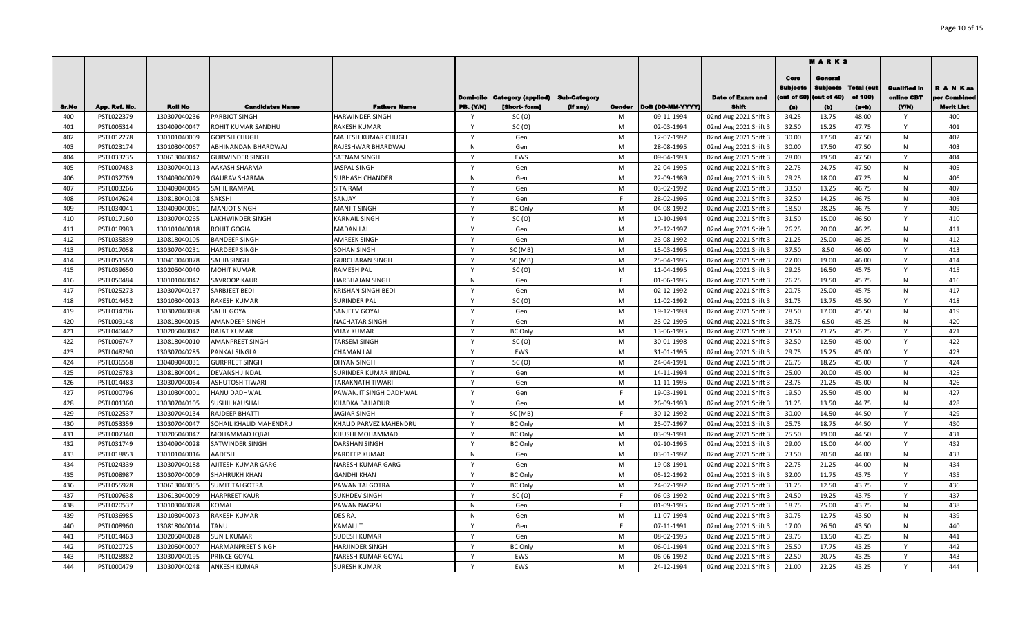|              |                          |                              |                                         |                                        |               |                                               |          |             |                          |                                                |                                       | <b>MARKS</b>                              |                              |                                   |                           |
|--------------|--------------------------|------------------------------|-----------------------------------------|----------------------------------------|---------------|-----------------------------------------------|----------|-------------|--------------------------|------------------------------------------------|---------------------------------------|-------------------------------------------|------------------------------|-----------------------------------|---------------------------|
|              |                          |                              |                                         |                                        |               | Domi-cile   Category (applied)   Sub-Category |          |             |                          | <b>Date of Exam and</b>                        | Core<br><b>Sublects</b><br>out of 60) | General<br><b>Subjects</b><br>(out of 40) | <b>Total (out</b><br>of 100) | <b>Qualified in</b><br>online CBT | R A N Kas<br>per Combined |
| Sr.No<br>400 | App. Ref. No.            | <b>Roll No</b>               | <b>Candidates Name</b><br>PARBJOT SINGH | <b>Fathers Name</b><br>HARWINDER SINGH | PB. (Y/N)     | [Short-form]                                  | (If any) | Gender<br>M | DoB (DD-MM-YYYY)         | Shift                                          | (a)<br>34.25                          | (b)                                       | $(a+b)$<br>48.00             | (Y/N)<br><b>V</b>                 | Merit List<br>400         |
| 401          | PSTL022379<br>PSTL005314 | 130307040236<br>130409040047 | ROHIT KUMAR SANDHU                      | RAKESH KUMAR                           | <b>V</b>      | SC(0)<br>SC(0)                                |          | M           | 09-11-1994<br>02-03-1994 | 02nd Aug 2021 Shift 3<br>02nd Aug 2021 Shift 3 | 32.50                                 | 13.75<br>15.25                            | 47.75                        | Y                                 | 401                       |
| 402          | PSTL012278               | 130101040009                 | GOPESH CHUGH                            | MAHESH KUMAR CHUGH                     | <b>V</b>      | Gen                                           |          | M           | 12-07-1992               | 02nd Aug 2021 Shift 3                          | 30.00                                 | 17.50                                     | 47.50                        | N                                 | 402                       |
| 403          | PSTL023174               | 130103040067                 | ABHINANDAN BHARDWAJ                     | RAJESHWAR BHARDWAJ                     | N             | Gen                                           |          | M           | 28-08-1995               | 02nd Aug 2021 Shift 3                          | 30.00                                 | 17.50                                     | 47.50                        | N                                 | 403                       |
| 404          | PSTL033235               | 130613040042                 | <b>GURWINDER SINGH</b>                  | SATNAM SINGH                           | $\mathsf{Y}$  | EWS                                           |          | M           | 09-04-1993               | 02nd Aug 2021 Shift 3                          | 28.00                                 | 19.50                                     | 47.50                        | Y                                 | 404                       |
| 405          | PSTL007483               | 130307040113                 | AAKASH SHARMA                           | <b>IASPAL SINGH</b>                    | $\mathsf{Y}$  | Gen                                           |          | M           | 22-04-1995               | 02nd Aug 2021 Shift 3                          | 22.75                                 | 24.75                                     | 47.50                        | N                                 | 405                       |
| 406          | PSTL032769               | 130409040029                 | GAURAV SHARMA                           | SUBHASH CHANDER                        | N             | Gen                                           |          | M           | 22-09-1989               | 02nd Aug 2021 Shift 3                          | 29.25                                 | 18.00                                     | 47.25                        | N                                 | 406                       |
| 407          | PSTL003266               | 130409040045                 | SAHIL RAMPAL                            | SITA RAM                               | $\mathsf{Y}$  | Gen                                           |          | M           | 03-02-1992               | 02nd Aug 2021 Shift 3                          | 33.50                                 | 13.25                                     | 46.75                        | N                                 | 407                       |
| 408          | PSTL047624               | 130818040108                 | SAKSHI                                  | SANJAY                                 | $\mathsf{v}$  | Gen                                           |          | E           | 28-02-1996               | 02nd Aug 2021 Shift 3                          | 32.50                                 | 14.25                                     | 46.75                        | N                                 | 408                       |
| 409          | PSTL034041               | 130409040061                 | MANJOT SINGH                            | MANJIT SINGH                           | $\mathsf{v}$  | <b>BC Only</b>                                |          | M           | 04-08-1992               | 02nd Aug 2021 Shift 3                          | 18.50                                 | 28.25                                     | 46.75                        | Y                                 | 409                       |
| 410          | PSTL017160               | 130307040265                 | LAKHWINDER SINGH                        | KARNAIL SINGH                          | $\mathsf{Y}$  | SC(0)                                         |          | M           | 10-10-1994               | 02nd Aug 2021 Shift 3                          | 31.50                                 | 15.00                                     | 46.50                        | $\mathsf{Y}$                      | 410                       |
| 411          | PSTL018983               | 130101040018                 | ROHIT GOGIA                             | <b>MADAN LAL</b>                       | Y             | Gen                                           |          | M           | 25-12-1997               | 02nd Aug 2021 Shift 3                          | 26.25                                 | 20.00                                     | 46.25                        | N                                 | 411                       |
| 412          | PSTL035839               | 130818040105                 | BANDEEP SINGH                           | AMREEK SINGH                           | $\mathsf{Y}$  | Gen                                           |          | M           | 23-08-1992               | 02nd Aug 2021 Shift 3                          | 21.25                                 | 25.00                                     | 46.25                        | N                                 | 412                       |
| 413          | PSTL017058               | 130307040231                 | HARDEEP SINGH                           | SOHAN SINGH                            | $\mathsf{Y}$  | SC (MB)                                       |          | M           | 15-03-1995               | 02nd Aug 2021 Shift 3                          | 37.50                                 | 8.50                                      | 46.00                        | Y                                 | 413                       |
| 414          | PSTL051569               | 130410040078                 | SAHIB SINGH                             | GURCHARAN SINGH                        | $\mathsf{Y}$  | SC (MB)                                       |          | M           | 25-04-1996               | 02nd Aug 2021 Shift 3                          | 27.00                                 | 19.00                                     | 46.00                        | Y                                 | 414                       |
| 415          | PSTL039650               | 130205040040                 | MOHIT KUMAR                             | RAMESH PAL                             | $\mathsf{Y}$  | SC(0)                                         |          | M           | 11-04-1995               | 02nd Aug 2021 Shift 3                          | 29.25                                 | 16.50                                     | 45.75                        | Y                                 | 415                       |
| 416          | PSTL050484               | 130101040042                 | <b>SAVROOP KAUR</b>                     | HARBHAJAN SINGH                        | N             | Gen                                           |          | F           | 01-06-1996               | 02nd Aug 2021 Shift 3                          | 26.25                                 | 19.50                                     | 45.75                        | N                                 | 416                       |
| 417          | PSTL025273               | 130307040137                 | SARBJEET BEDI                           | KRISHAN SINGH BEDI                     | <b>Y</b>      | Gen                                           |          | M           | 02-12-1992               | 02nd Aug 2021 Shift 3                          | 20.75                                 | 25.00                                     | 45.75                        | N                                 | 417                       |
| 418          | PSTL014452               | 130103040023                 | RAKESH KUMAR                            | SURINDER PAL                           | Y             | SC(0)                                         |          | M           | 11-02-1992               | 02nd Aug 2021 Shift 3                          | 31.75                                 | 13.75                                     | 45.50                        | Y                                 | 418                       |
| 419          | PSTL034706               | 130307040088                 | SAHIL GOYAL                             | SANJEEV GOYAL                          | $\checkmark$  | Gen                                           |          | M           | 19-12-1998               | 02nd Aug 2021 Shift 3                          | 28.50                                 | 17.00                                     | 45.50                        | N                                 | 419                       |
| 420          | PSTL009148               | 130818040015                 | AMANDEEP SINGH                          | NACHATAR SINGH                         | Y             | Gen                                           |          | M           | 23-02-1996               | 02nd Aug 2021 Shift 3                          | 38.75                                 | 6.50                                      | 45.25                        | N                                 | 420                       |
| 421          | PSTL040442               | 130205040042                 | RAJAT KUMAR                             | <b>VIJAY KUMAR</b>                     |               | <b>BC Only</b>                                |          | M           | 13-06-1995               | 02nd Aug 2021 Shift 3                          | 23.50                                 | 21.75                                     | 45.25                        |                                   | 421                       |
| 422          | PSTL006747               | 130818040010                 | <b>AMANPREET SINGH</b>                  | TARSEM SINGH                           | $\checkmark$  | SC(0)                                         |          | M           | 30-01-1998               | 02nd Aug 2021 Shift 3                          | 32.50                                 | 12.50                                     | 45.00                        | Y                                 | 422                       |
| 423          | PSTL048290               | 130307040285                 | PANKAJ SINGLA                           | CHAMAN LAL                             | $\mathsf{v}$  | EWS                                           |          | M           | 31-01-1995               | 02nd Aug 2021 Shift 3                          | 29.75                                 | 15.25                                     | 45.00                        | Y                                 | 423                       |
| 424          | PSTL036558               | 130409040031                 | <b>GURPREET SINGH</b>                   | <b>DHYAN SINGH</b>                     | $\mathsf{v}$  | SC(0)                                         |          | M           | 24-04-1991               | 02nd Aug 2021 Shift 3                          | 26.75                                 | 18.25                                     | 45.00                        | $\mathsf{Y}$                      | 424                       |
| 425          | PSTL026783               | 130818040041                 | DEVANSH JINDAL                          | SURINDER KUMAR JINDAL                  | $\mathsf{Y}$  | Gen                                           |          | M           | 14-11-1994               | 02nd Aug 2021 Shift 3                          | 25.00                                 | 20.00                                     | 45.00                        | N                                 | 425                       |
| 426          | PSTL014483               | 130307040064                 | ASHUTOSH TIWARI                         | TARAKNATH TIWARI                       | $\mathsf{Y}$  | Gen                                           |          | M           | 11-11-1995               | 02nd Aug 2021 Shift 3                          | 23.75                                 | 21.25                                     | 45.00                        | N                                 | 426                       |
| 427          | PSTL000796               | 130103040001                 | HANU DADHWAL                            | PAWANJIT SINGH DADHWAL                 | $\mathsf{v}$  | Gen                                           |          | E           | 19-03-1991               | 02nd Aug 2021 Shift 3                          | 19.50                                 | 25.50                                     | 45.00                        | N                                 | 427                       |
| 428          | PSTL001360               | 130307040105                 | SUSHIL KAUSHAL                          | KHADKA BAHADUR                         | $\mathsf{v}$  | Gen                                           |          | M           | 26-09-1993               | 02nd Aug 2021 Shift 3                          | 31.25                                 | 13.50                                     | 44.75                        | N                                 | 428                       |
| 429          | PSTL022537               | 130307040134                 | RAJDEEP BHATTI                          | <b>IAGIAR SINGH</b>                    | $\mathsf{v}$  | SC (MB)                                       |          | F.          | 30-12-1992               | 02nd Aug 2021 Shift 3                          | 30.00                                 | 14.50                                     | 44.50                        | Y                                 | 429                       |
| 430          | PSTL053359               | 130307040047                 | SOHAIL KHALID MAHENDRU                  | KHALID PARVEZ MAHENDRU                 | $\mathsf{Y}$  | <b>BC Only</b>                                |          | M           | 25-07-1997               | 02nd Aug 2021 Shift 3                          | 25.75                                 | 18.75                                     | 44.50                        | Y                                 | 430                       |
| 431          | PSTL007340               | 130205040047                 | MOHAMMAD IQBAL                          | KHUSHI MOHAMMAD                        | $\mathsf{Y}$  | <b>BC Only</b>                                |          | M           | 03-09-1991               | 02nd Aug 2021 Shift 3                          | 25.50                                 | 19.00                                     | 44.50                        | $\mathsf{Y}$                      | 431                       |
| 432          | PSTL031749               | 130409040028                 | SATWINDER SINGH                         | DARSHAN SINGH                          | $\mathsf{Y}$  | <b>BC Only</b>                                |          | M           | 02-10-1995               | 02nd Aug 2021 Shift 3                          | 29.00                                 | 15.00                                     | 44.00                        | Y                                 | 432                       |
| 433          | PSTL018853               | 130101040016                 | AADESH                                  | PARDEEP KUMAR                          | N             | Gen                                           |          | M           | 03-01-1997               | 02nd Aug 2021 Shift 3                          | 23.50                                 | 20.50                                     | 44.00                        | N                                 | 433                       |
| 434          | PSTL024339               | 130307040188                 | AJITESH KUMAR GARG                      | NARESH KUMAR GARG                      | Y             | Gen                                           |          | M           | 19-08-1991               | 02nd Aug 2021 Shift 3                          | 22.75                                 | 21.25                                     | 44.00                        | N                                 | 434                       |
| 435          | PSTL008987               | 130307040009                 | SHAHRUKH KHAN                           | <b>GANDHI KHAN</b>                     | $\mathsf{Y}$  | <b>BC Only</b>                                |          | M           | 05-12-1992               | 02nd Aug 2021 Shift 3                          | 32.00                                 | 11.75                                     | 43.75                        | Y                                 | 435                       |
| 436          | PSTL055928               | 130613040055                 | SUMIT TALGOTRA                          | PAWAN TALGOTRA                         | $\mathsf{Y}$  | <b>BC Only</b>                                |          | M           | 24-02-1992               | 02nd Aug 2021 Shift 3                          | 31.25                                 | 12.50                                     | 43.75                        | Y                                 | 436                       |
| 437          | PSTL007638               | 130613040009                 | HARPREET KAUR                           | SUKHDEV SINGH                          | Y             | SC(0)                                         |          | F           | 06-03-1992               | 02nd Aug 2021 Shift 3                          | 24.50                                 | 19.25                                     | 43.75                        | Y                                 | 437                       |
| 438          | PSTL020537               | 130103040028                 | <b>COMAL</b>                            | PAWAN NAGPAL                           | N             | Gen                                           |          | F           | 01-09-1995               | 02nd Aug 2021 Shift 3                          | 18.75                                 | 25.00                                     | 43.75                        | N                                 | 438                       |
| 439          | PSTL036985               | 130103040073                 | RAKESH KUMAR                            | DES RAJ                                | N             | Gen                                           |          | M           | 11-07-1994               | 02nd Aug 2021 Shift 3                          | 30.75                                 | 12.75                                     | 43.50                        | N                                 | 439                       |
| 440          | PSTL008960               | 130818040014                 | TANU                                    | <b>KAMALIIT</b>                        |               | Gen                                           |          |             | 07-11-1991               | 02nd Aug 2021 Shift 3                          | 17.00                                 | 26.50                                     | 43.50                        | N                                 | 440                       |
| 441          | PSTL014463               | 130205040028                 | SUNIL KUMAR                             | SUDESH KUMAR                           | v             | Gen                                           |          | M           | 08-02-1995               | 02nd Aug 2021 Shift 3                          | 29.75                                 | 13.50                                     | 43.25                        | N                                 | 441                       |
| 442          | PSTL020725               | 130205040007                 | <b>HARMANPREET SINGH</b>                | HARJINDER SINGH                        | <b>V</b><br>Y | <b>BC Only</b>                                |          | M           | 06-01-1994               | 02nd Aug 2021 Shift 3                          | 25.50                                 | 17.75                                     | 43.25                        | Y<br>Y                            | 442                       |
| 443          | PSTL028882               | 130307040195                 | PRINCE GOYAL                            | NARESH KUMAR GOYAL                     | $\mathsf{Y}$  | EWS                                           |          | M           | 06-06-1992               | 02nd Aug 2021 Shift 3                          | 22.50                                 | 20.75                                     | 43.25                        | $\mathsf{v}$                      | 443                       |
| 444          | PSTL000479               | 130307040248                 | ANKESH KUMAR                            | SURESH KUMAR                           |               | EWS                                           |          | M           | 24-12-1994               | 02nd Aug 2021 Shift 3                          | 21.00                                 | 22.25                                     | 43.25                        |                                   | 444                       |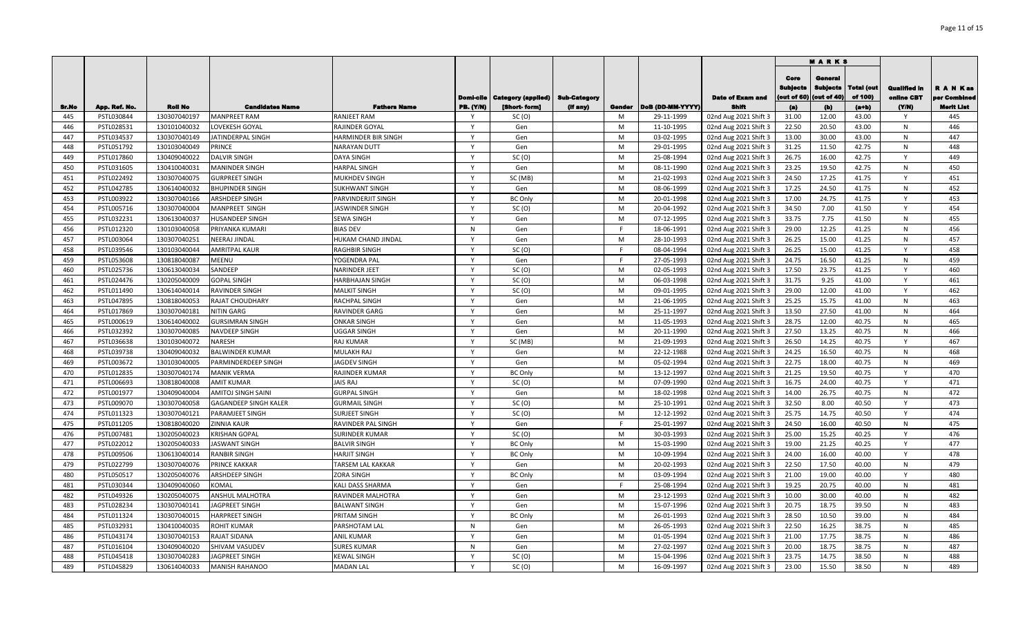|            |                          |                              |                                             |                                       |                              |                                         |              |        |                          |                                                |                                        | <b>MARKS</b>                              |                              |                                   |                               |
|------------|--------------------------|------------------------------|---------------------------------------------|---------------------------------------|------------------------------|-----------------------------------------|--------------|--------|--------------------------|------------------------------------------------|----------------------------------------|-------------------------------------------|------------------------------|-----------------------------------|-------------------------------|
|            |                          |                              |                                             |                                       |                              | <b>Domi-cile   Category (applied)  </b> | Sub-Category |        |                          | <b>Date of Exam and</b>                        | Core<br><b>Sublects</b><br>(out of 60) | General<br><b>Subjects</b><br>(out of 40) | <b>Total (out</b><br>of 100) | <b>Qualified in</b><br>online CBT | <b>RANKas</b><br>per Combined |
| Sr.No      | App. Ref. No.            | <b>Roll No</b>               | <b>Candidates Name</b>                      | <b>Fathers Name</b>                   | <b>PB. (Y/N)</b>             | [Short-form]                            | (If any)     | Gender | DoB (DD-MM-YYYY)         | <b>Shift</b>                                   | (a)                                    | (b)                                       | (a+b)                        | (YM)                              | <b>Merit List</b>             |
| 445        | PSTL030844               | 130307040197                 | <b>MANPREET RAM</b>                         | RANJEET RAM                           |                              | SC(0)                                   |              | M      | 29-11-1999               | 02nd Aug 2021 Shift 3                          | 31.00                                  | 12.00                                     | 43.00                        |                                   | 445                           |
| 446        | PSTL028531               | 130101040032                 | LOVEKESH GOYAL                              | RAJINDER GOYAL                        | $\mathsf{Y}$                 | Gen                                     |              | M      | 11-10-1995               | 02nd Aug 2021 Shift 3                          | 22.50                                  | 20.50                                     | 43.00                        | N                                 | 446                           |
| 447        | PSTL034537               | 130307040149                 | <b>ATINDERPAL SINGH</b>                     | HARMINDER BIR SINGH                   | $\mathsf{Y}$                 | Gen                                     |              | M      | 03-02-1995               | 02nd Aug 2021 Shift 3                          | 13.00                                  | 30.00                                     | 43.00                        | N                                 | 447                           |
| 448        | PSTL051792               | 130103040049                 | PRINCE                                      | <b>NARAYAN DUTT</b>                   | $\mathsf{Y}$<br>$\mathsf{Y}$ | Gen                                     |              | M      | 29-01-1995               | 02nd Aug 2021 Shift 3                          | 31.25                                  | 11.50                                     | 42.75                        | N<br>$\mathsf{Y}$                 | 448                           |
| 449        | PSTL017860               | 130409040022                 | DALVIR SINGH                                | DAYA SINGH                            | $\mathsf{Y}$                 | SC(0)                                   |              | M      | 25-08-1994               | 02nd Aug 2021 Shift 3                          | 26.75                                  | 16.00                                     | 42.75                        |                                   | 449                           |
| 450        | PSTL031605               | 130410040031                 | MANINDER SINGH                              | <b>HARPAL SINGH</b>                   | $\mathsf{Y}$                 | Gen                                     |              | M      | 08-11-1990               | 02nd Aug 2021 Shift 3                          | 23.25                                  | 19.50                                     | 42.75                        | N                                 | 450                           |
| 451        | PSTL022492               | 130307040075                 | <b>GURPREET SINGH</b>                       | MUKHDEV SINGH                         | $\mathsf{v}$                 | SC (MB)                                 |              | M      | 21-02-1993               | 02nd Aug 2021 Shift 3                          | 24.50                                  | 17.25                                     | 41.75                        | Y                                 | 451                           |
| 452        | PSTL042785               | 130614040032                 | <b>BHUPINDER SINGH</b>                      | SUKHWANT SINGH                        | $\mathsf{v}$                 | Gen                                     |              | M      | 08-06-1999               | 02nd Aug 2021 Shift 3                          | 17.25                                  | 24.50                                     | 41.75                        | N                                 | 452                           |
| 453        | PSTL003922               | 130307040166                 | ARSHDEEP SINGH                              | PARVINDERJIT SINGH                    | $\mathsf{v}$                 | <b>BC Only</b>                          |              | M      | 20-01-1998               | 02nd Aug 2021 Shift 3                          | 17.00                                  | 24.75                                     | 41.75                        | Y<br>Y                            | 453                           |
| 454        | PSTL005716               | 130307040004                 | MANPREET SINGH                              | <b>ASWINDER SINGH</b>                 | $\mathsf{v}$                 | SC(0)                                   |              | M      | 20-04-1992               | 02nd Aug 2021 Shift 3                          | 34.50                                  | 7.00                                      | 41.50                        |                                   | 454                           |
| 455        | PSTL032231               | 130613040037                 | HUSANDEEP SINGH                             | SEWA SINGH                            |                              | Gen                                     |              | M      | 07-12-1995               | 02nd Aug 2021 Shift 3                          | 33.75                                  | 7.75                                      | 41.50                        | N                                 | 455                           |
| 456        | PSTL012320               | 130103040058                 | PRIYANKA KUMARI                             | <b>BIAS DEV</b>                       | N<br>$\mathsf{Y}$            | Gen                                     |              | F      | 18-06-1991               | 02nd Aug 2021 Shift 3                          | 29.00                                  | 12.25                                     | 41.25                        | N                                 | 456<br>457                    |
| 457        | PSTL003064               | 130307040251                 | NEERAJ JINDAL                               | HUKAM CHAND JINDAL                    |                              | Gen                                     |              | M      | 28-10-1993               | 02nd Aug 2021 Shift 3                          | 26.25                                  | 15.00                                     | 41.25                        | N                                 |                               |
| 458        | PSTL039546               | 130103040044                 | AMRITPAL KAUR                               | RAGHBIR SINGH                         | $\mathsf{Y}$<br>$\mathsf{Y}$ | SC(0)                                   |              | F<br>E | 08-04-1994               | 02nd Aug 2021 Shift 3                          | 26.25                                  | 15.00                                     | 41.25                        | Y                                 | 458<br>459                    |
| 459        | PSTL053608               | 130818040087                 | MEENU                                       | YOGENDRA PAL                          |                              | Gen                                     |              |        | 27-05-1993               | 02nd Aug 2021 Shift 3                          | 24.75                                  | 16.50                                     | 41.25                        | N                                 |                               |
| 460        | PSTL025736<br>PSTL024476 | 130613040034<br>130205040009 | SANDEEP<br><b>GOPAL SINGH</b>               | NARINDER JEET                         | Y<br>$\mathsf{Y}$            | SC(0)                                   |              | M<br>M | 02-05-1993<br>06-03-1998 | 02nd Aug 2021 Shift 3                          | 17.50<br>31.75                         | 23.75<br>9.25                             | 41.25<br>41.00               | Y<br>$\mathsf{Y}$                 | 460<br>461                    |
| 461        |                          |                              |                                             | HARBHAJAN SINGH                       | <b>V</b>                     | SC(0)                                   |              | M      |                          | 02nd Aug 2021 Shift 3                          |                                        |                                           |                              | <b>V</b>                          |                               |
| 462        | PSTL011490               | 130614040014                 | RAVINDER SINGH                              | <b>MALKIT SINGH</b>                   | Y                            | SC(0)                                   |              |        | 09-01-1995               | 02nd Aug 2021 Shift 3                          | 29.00                                  | 12.00                                     | 41.00                        | N                                 | 462                           |
| 463        | PSTL047895               | 130818040053                 | RAJAT CHOUDHARY                             | RACHPAL SINGH                         | <b>Y</b>                     | Gen                                     |              | M      | 21-06-1995               | 02nd Aug 2021 Shift 3                          | 25.25                                  | 15.75                                     | 41.00                        |                                   | 463                           |
| 464        | PSTL017869               | 130307040181                 | NITIN GARG                                  | RAVINDER GARG                         | $\checkmark$                 | Gen<br>Gen                              |              | M<br>M | 25-11-1997               | 02nd Aug 2021 Shift 3                          | 13.50                                  | 27.50<br>12.00                            | 41.00                        | N<br>N                            | 464<br>465                    |
| 465        | PSTL000619               | 130614040002                 | <b>GURSIMRAN SINGH</b><br>NAVDEEP SINGH     | <b>ONKAR SINGH</b>                    | $\mathsf{v}$                 | Gen                                     |              | M      | 11-05-1993               | 02nd Aug 2021 Shift 3                          | 28.75<br>27.50                         |                                           | 40.75<br>40.75               | N                                 | 466                           |
| 466        | PSTL032392               | 130307040085                 |                                             | <b>JGGAR SINGH</b>                    | Y                            |                                         |              |        | 20-11-1990               | 02nd Aug 2021 Shift 3                          |                                        | 13.25                                     |                              | <b>V</b>                          |                               |
| 467        | PSTL036638               | 130103040072                 | NARESH                                      | RAJ KUMAR                             | $\mathsf{v}$                 | SC (MB)                                 |              | M<br>M | 21-09-1993               | 02nd Aug 2021 Shift 3                          | 26.50                                  | 14.25                                     | 40.75                        | N                                 | 467<br>468                    |
| 468        | PSTL039738               | 130409040032                 | <b>BALWINDER KUMAR</b>                      | MULAKH RAJ                            | $\mathsf{v}$                 | Gen                                     |              | M      | 22-12-1988               | 02nd Aug 2021 Shift 3                          | 24.25                                  | 16.50                                     | 40.75                        | N                                 | 469                           |
| 469<br>470 | PSTL003672               | 130103040005                 | PARMINDERDEEP SINGH<br><b>MANIK VERMA</b>   | <b>IAGDEV SINGH</b><br>RAJINDER KUMAR | $\mathsf{Y}$                 | Gen<br><b>BC Only</b>                   |              | M      | 05-02-1994<br>13-12-1997 | 02nd Aug 2021 Shift 3                          | 22.75<br>21.25                         | 18.00<br>19.50                            | 40.75<br>40.75               | Y                                 | 470                           |
| 471        | PSTL012835               | 130307040174<br>130818040008 |                                             | <b>JAIS RAJ</b>                       | $\mathsf{Y}$                 |                                         |              | M      |                          | 02nd Aug 2021 Shift 3                          |                                        | 24.00                                     |                              | $\mathsf{v}$                      | 471                           |
| 472        | PSTL006693<br>PSTL001977 | 130409040004                 | AMIT KUMAR                                  | <b>GURPAL SINGH</b>                   | $\mathsf{v}$                 | SC(0)                                   |              | M      | 07-09-1990<br>18-02-1998 | 02nd Aug 2021 Shift 3                          | 16.75<br>14.00                         | 26.75                                     | 40.75<br>40.75               |                                   | 472                           |
| 473        | PSTL009070               | 130307040058                 | AMITOJ SINGH SAINI<br>GAGANDEEP SINGH KALER | <b>GURMAIL SINGH</b>                  | $\mathsf{Y}$                 | Gen<br>SC(0)                            |              | M      | 25-10-1991               | 02nd Aug 2021 Shift 3<br>02nd Aug 2021 Shift 3 | 32.50                                  | 8.00                                      | 40.50                        | N<br>Y                            | 473                           |
| 474        |                          |                              |                                             |                                       | $\mathsf{v}$                 |                                         |              | M      |                          |                                                |                                        |                                           |                              | $\mathsf{Y}$                      | 474                           |
| 475        | PSTL011323<br>PSTL011205 | 130307040121<br>130818040020 | PARAMJEET SINGH<br>ZINNIA KAUR              | SURJEET SINGH<br>RAVINDER PAL SINGH   | $\mathsf{v}$                 | SC(0)<br>Gen                            |              | F      | 12-12-1992<br>25-01-1997 | 02nd Aug 2021 Shift 3<br>02nd Aug 2021 Shift 3 | 25.75<br>24.50                         | 14.75<br>16.00                            | 40.50<br>40.50               | N                                 | 475                           |
| 476        | PSTL007481               | 130205040023                 | <b>KRISHAN GOPAL</b>                        | SURINDER KUMAR                        | $\mathsf{Y}$                 | SC(0)                                   |              | M      | 30-03-1993               | 02nd Aug 2021 Shift 3                          | 25.00                                  | 15.25                                     | 40.25                        | Y                                 | 476                           |
| 477        | PSTL022012               | 130205040033                 | <b>JASWANT SINGH</b>                        | <b>BALVIR SINGH</b>                   | $\mathsf{Y}$                 | <b>BC Only</b>                          |              | M      | 15-03-1990               | 02nd Aug 2021 Shift 3                          | 19.00                                  | 21.25                                     | 40.25                        | Y                                 | 477                           |
| 478        | PSTL009506               | 130613040014                 | RANBIR SINGH                                | <b>HARJIT SINGH</b>                   | $\mathsf{Y}$                 | <b>BC Only</b>                          |              | M      | 10-09-1994               | 02nd Aug 2021 Shift 3                          | 24.00                                  | 16.00                                     | 40.00                        | $\mathsf{Y}$                      | 478                           |
| 479        | PSTL022799               | 130307040076                 | PRINCE KAKKAR                               | TARSEM LAL KAKKAR                     | Y                            | Gen                                     |              | M      | 20-02-1993               | 02nd Aug 2021 Shift 3                          | 22.50                                  | 17.50                                     | 40.00                        | N                                 | 479                           |
| 480        | PSTL050517               | 130205040076                 | ARSHDEEP SINGH                              | ZORA SINGH                            | Y                            | <b>BC Only</b>                          |              | M      | 03-09-1994               | 02nd Aug 2021 Shift 3                          | 21.00                                  | 19.00                                     | 40.00                        | Y                                 | 480                           |
| 481        | PSTL030344               | 130409040060                 | KOMAL                                       | KALI DASS SHARMA                      | Y                            | Gen                                     |              | F      | 25-08-1994               | 02nd Aug 2021 Shift 3                          | 19.25                                  | 20.75                                     | 40.00                        | N                                 | 481                           |
| 482        | PSTL049326               | 130205040075                 | <b>ANSHUL MALHOTRA</b>                      | RAVINDER MALHOTRA                     | $\mathsf{Y}$                 | Gen                                     |              | M      | 23-12-1993               | 02nd Aug 2021 Shift 3                          | 10.00                                  | 30.00                                     | 40.00                        | N                                 | 482                           |
| 483        | PSTL028234               | 130307040141                 | <b>AGPREET SINGH</b>                        |                                       | Y                            |                                         |              | M      | 15-07-1996               |                                                | 20.75                                  | 18.75                                     | 39.50                        |                                   | 483                           |
| 484        | PSTL011324               | 130307040015                 | HARPREET SINGH                              | BALWANT SINGH<br>PRITAM SINGH         | $\mathsf{v}$                 | Gen<br><b>BC Only</b>                   |              | M      | 26-01-1993               | 02nd Aug 2021 Shift 3<br>02nd Aug 2021 Shift 3 | 28.50                                  | 10.50                                     | 39.00                        | N<br>N                            | 484                           |
| 485        | PSTL032931               | 130410040035                 | ROHIT KUMAR                                 | PARSHOTAM LAL                         | N                            | Gen                                     |              | M      | 26-05-1993               | 02nd Aug 2021 Shift 3                          | 22.50                                  | 16.25                                     | 38.75                        | N                                 | 485                           |
| 486        | PSTL043174               | 130307040153                 | RAJAT SIDANA                                | <b>ANIL KUMAR</b>                     | v                            | Gen                                     |              | M      | 01-05-1994               | 02nd Aug 2021 Shift 3                          | 21.00                                  | 17.75                                     | 38.75                        | N                                 | 486                           |
| 487        | PSTL016104               | 130409040020                 | SHIVAM VASUDEV                              | SURES KUMAR                           | N                            | Gen                                     |              | M      | 27-02-1997               | 02nd Aug 2021 Shift 3                          | 20.00                                  | 18.75                                     | 38.75                        | N                                 | 487                           |
| 488        | PSTL045418               | 130307040283                 | <b>AGPREET SINGH</b>                        | KEWAL SINGH                           | v                            | SC(0)                                   |              | M      | 15-04-1996               | 02nd Aug 2021 Shift 3                          | 23.75                                  | 14.75                                     | 38.50                        | N                                 | 488                           |
| 489        | PSTL045829               | 130614040033                 | MANISH RAHANOO                              | <b>MADAN LAL</b>                      | Y                            | SC(0)                                   |              | M      | 16-09-1997               | 02nd Aug 2021 Shift 3                          | 23.00                                  | 15.50                                     | 38.50                        | N                                 | 489                           |
|            |                          |                              |                                             |                                       |                              |                                         |              |        |                          |                                                |                                        |                                           |                              |                                   |                               |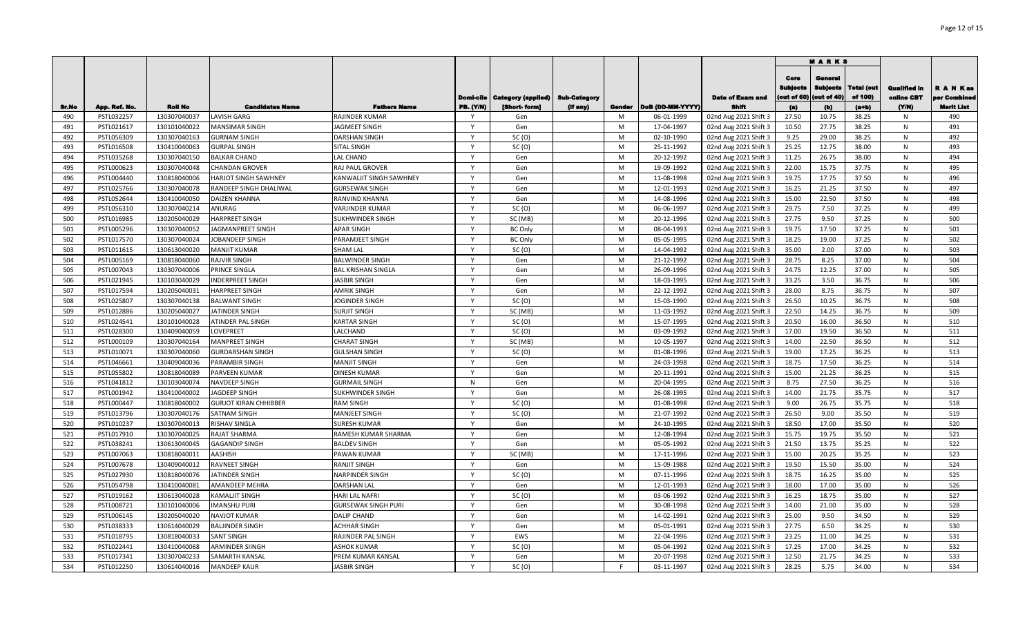|       |               |                |                              |                            |                  |                           |              |        |                  |                         |                                       | <b>MARKS</b>                              |                              |                                   |                               |
|-------|---------------|----------------|------------------------------|----------------------------|------------------|---------------------------|--------------|--------|------------------|-------------------------|---------------------------------------|-------------------------------------------|------------------------------|-----------------------------------|-------------------------------|
|       |               |                |                              |                            | Domi-cile        | <b>Category (applied)</b> | Sub-Category |        |                  | <b>Date of Exam and</b> | Core<br><b>Sublects</b><br>out of 60) | General<br><b>Subjects</b><br>(out of 40) | <b>Total (out</b><br>of 100) | <b>Qualified in</b><br>online CBT | <b>RANKas</b><br>per Combined |
| Sr.No | App. Ref. No. | <b>Roll No</b> | <b>Candidates Name</b>       | <b>Fathers Name</b>        | <b>PB. (Y/N)</b> | [Short-form]              | (If any)     | Gender | DoB (DD-MM-YYYY) | <b>Shift</b>            | (a)                                   | (b)                                       | (a+b)                        | (YM)                              | <b>Merit List</b>             |
| 490   | PSTL032257    | 130307040037   | LAVISH GARG                  | RAJINDER KUMAR             |                  | Gen                       |              | M      | 06-01-1999       | 02nd Aug 2021 Shift 3   | 27.50                                 | 10.75                                     | 38.25                        | N                                 | 490                           |
| 491   | PSTL021617    | 130101040022   | MANSIMAR SINGH               | <b>AGMEET SINGH</b>        | $\mathsf{Y}$     | Gen                       |              | M      | 17-04-1997       | 02nd Aug 2021 Shift 3   | 10.50                                 | 27.75                                     | 38.25                        | N                                 | 491                           |
| 492   | PSTL056309    | 130307040163   | <b>GURNAM SINGH</b>          | DARSHAN SINGH              | $\mathsf{Y}$     | SC(0)                     |              | M      | 02-10-1990       | 02nd Aug 2021 Shift 3   | 9.25                                  | 29.00                                     | 38.25                        | N                                 | 492                           |
| 493   | PSTL016508    | 130410040063   | <b>GURPAL SINGH</b>          | SITAL SINGH                | $\mathsf{Y}$     | SC(0)                     |              | M      | 25-11-1992       | 02nd Aug 2021 Shift 3   | 25.25                                 | 12.75                                     | 38.00                        | N                                 | 493                           |
| 494   | PSTL035268    | 130307040150   | <b>BALKAR CHAND</b>          | LAL CHAND                  | $\mathsf{Y}$     | Gen                       |              | M      | 20-12-1992       | 02nd Aug 2021 Shift 3   | 11.25                                 | 26.75                                     | 38.00                        | N                                 | 494                           |
| 495   | PSTL000623    | 130307040048   | <b>CHANDAN GROVER</b>        | RAJ PAUL GROVER            | $\mathsf{Y}$     | Gen                       |              | M      | 19-09-1992       | 02nd Aug 2021 Shift 3   | 22.00                                 | 15.75                                     | 37.75                        | N                                 | 495                           |
| 496   | PSTL004440    | 130818040006   | HARJOT SINGH SAWHNEY         | KANWALJIT SINGH SAWHNEY    | $\mathsf{Y}$     | Gen                       |              | M      | 11-08-1998       | 02nd Aug 2021 Shift 3   | 19.75                                 | 17.75                                     | 37.50                        | N                                 | 496                           |
| 497   | PSTL025766    | 130307040078   | RANDEEP SINGH DHALIWAL       | <b>GURSEWAK SINGH</b>      | $\mathsf{v}$     | Gen                       |              | M      | 12-01-1993       | 02nd Aug 2021 Shift 3   | 16.25                                 | 21.25                                     | 37.50                        | N                                 | 497                           |
| 498   | PSTL052644    | 130410040050   | DAIZEN KHANNA                | RANVIND KHANNA             | $\mathsf{v}$     | Gen                       |              | M      | 14-08-1996       | 02nd Aug 2021 Shift 3   | 15.00                                 | 22.50                                     | 37.50                        | N                                 | 498                           |
| 499   | PSTL056310    | 130307040214   | ANURAG                       | VARJINDER KUMAR            | $\mathsf{Y}$     | SC(0)                     |              | M      | 06-06-1997       | 02nd Aug 2021 Shift 3   | 29.75                                 | 7.50                                      | 37.25                        | N                                 | 499                           |
| 500   | PSTL016985    | 130205040029   | <b>HARPREET SINGH</b>        | SUKHWINDER SINGH           | $\mathsf{Y}$     | SC (MB)                   |              | M      | 20-12-1996       | 02nd Aug 2021 Shift 3   | 27.75                                 | 9.50                                      | 37.25                        | N                                 | 500                           |
| 501   | PSTL005296    | 130307040052   | JAGMANPREET SINGH            | APAR SINGH                 | $\mathsf{Y}$     | <b>BC Only</b>            |              | M      | 08-04-1993       | 02nd Aug 2021 Shift 3   | 19.75                                 | 17.50                                     | 37.25                        | N                                 | 501                           |
| 502   | PSTL017570    | 130307040024   | JOBANDEEP SINGH              | PARAMJEET SINGH            | $\mathsf{Y}$     | <b>BC Only</b>            |              | M      | 05-05-1995       | 02nd Aug 2021 Shift 3   | 18.25                                 | 19.00                                     | 37.25                        | N                                 | 502                           |
| 503   | PSTL011615    | 130613040020   | <b>MANJIT KUMAR</b>          | SHAM LAL                   | $\mathsf{Y}$     | SC(0)                     |              | M      | 14-04-1992       | 02nd Aug 2021 Shift 3   | 35.00                                 | 2.00                                      | 37.00                        | N                                 | 503                           |
| 504   | PSTL005169    | 130818040060   | RAJVIR SINGH                 | BALWINDER SINGH            | $\mathsf{Y}$     | Gen                       |              | M      | 21-12-1992       | 02nd Aug 2021 Shift 3   | 28.75                                 | 8.25                                      | 37.00                        | N                                 | 504                           |
| 505   | PSTL007043    | 130307040006   | PRINCE SINGLA                | BAL KRISHAN SINGLA         | Y                | Gen                       |              | M      | 26-09-1996       | 02nd Aug 2021 Shift 3   | 24.75                                 | 12.25                                     | 37.00                        | N                                 | 505                           |
| 506   | PSTL021945    | 130103040029   | <b>INDERPREET SINGH</b>      | JASBIR SINGH               | $\mathsf{Y}$     | Gen                       |              | M      | 18-03-1995       | 02nd Aug 2021 Shift 3   | 33.25                                 | 3.50                                      | 36.75                        | N                                 | 506                           |
| 507   | PSTL017594    | 130205040031   | HARPREET SINGH               | <b>AMRIK SINGH</b>         | <b>V</b>         | Gen                       |              | M      | 22-12-1992       | 02nd Aug 2021 Shift 3   | 28.00                                 | 8.75                                      | 36.75                        | N                                 | 507                           |
| 508   | PSTL025807    | 130307040138   | <b>BALWANT SINGH</b>         | <b>IOGINDER SINGH</b>      | Y                | SC(0)                     |              | M      | 15-03-1990       | 02nd Aug 2021 Shift 3   | 26.50                                 | 10.25                                     | 36.75                        | N                                 | 508                           |
| 509   | PSTL012886    | 130205040027   | <b>ATINDER SINGH</b>         | <b>SURJIT SINGH</b>        | <b>Y</b>         | SC (MB)                   |              | M      | 11-03-1992       | 02nd Aug 2021 Shift 3   | 22.50                                 | 14.25                                     | 36.75                        | N                                 | 509                           |
| 510   | PSTL024541    | 130101040028   | <b>ATINDER PAL SINGH</b>     | KARTAR SINGH               | $\checkmark$     | SC(0)                     |              | M      | 15-07-1995       | 02nd Aug 2021 Shift 3   | 20.50                                 | 16.00                                     | 36.50                        | N                                 | 510                           |
| 511   | PSTL028300    | 130409040059   | LOVEPREET                    | LALCHAND                   | $\mathsf{v}$     | SC(0)                     |              | M      | 03-09-1992       | 02nd Aug 2021 Shift 3   | 17.00                                 | 19.50                                     | 36.50                        | N                                 | 511                           |
| 512   | PSTL000109    | 130307040164   | <b>MANPREET SINGH</b>        | <b>CHARAT SINGH</b>        | Y                | SC (MB)                   |              | M      | 10-05-1997       | 02nd Aug 2021 Shift 3   | 14.00                                 | 22.50                                     | 36.50                        | N                                 | 512                           |
| 513   | PSTL010071    | 130307040060   | GURDARSHAN SINGH             | <b>GULSHAN SINGH</b>       | $\mathsf{v}$     | SC(0)                     |              | M      | 01-08-1996       | 02nd Aug 2021 Shift 3   | 19.00                                 | 17.25                                     | 36.25                        | N                                 | 513                           |
| 514   | PSTL046661    | 130409040036   | PARAMBIR SINGH               | <b>MANJIT SINGH</b>        | $\mathsf{v}$     | Gen                       |              | M      | 24-03-1998       | 02nd Aug 2021 Shift 3   | 18.75                                 | 17.50                                     | 36.25                        | N                                 | 514                           |
| 515   | PSTL055802    | 130818040089   | PARVEEN KUMAR                | DINESH KUMAR               | $\mathsf{Y}$     | Gen                       |              | M      | 20-11-1991       | 02nd Aug 2021 Shift 3   | 15.00                                 | 21.25                                     | 36.25                        | N                                 | 515                           |
| 516   | PSTL041812    | 130103040074   | NAVDEEP SINGH                | <b>GURMAIL SINGH</b>       | N                | Gen                       |              | M      | 20-04-1995       | 02nd Aug 2021 Shift 3   | 8.75                                  | 27.50                                     | 36.25                        | N                                 | 516                           |
| 517   | PSTL001942    | 130410040002   | JAGDEEP SINGH                | SUKHWINDER SINGH           | $\mathsf{v}$     | Gen                       |              | M      | 26-08-1995       | 02nd Aug 2021 Shift 3   | 14.00                                 | 21.75                                     | 35.75                        | N                                 | 517                           |
| 518   | PSTL000447    | 130818040002   | <b>GURJOT KIRAN CHHIBBER</b> | RAM SINGH                  | $\mathsf{Y}$     | SC(0)                     |              | M      | 01-08-1998       | 02nd Aug 2021 Shift 3   | 9.00                                  | 26.75                                     | 35.75                        | N                                 | 518                           |
| 519   | PSTL013796    | 130307040176   | SATNAM SINGH                 | <b>MANJEET SINGH</b>       | $\mathsf{v}$     | SC(0)                     |              | M      | 21-07-1992       | 02nd Aug 2021 Shift 3   | 26.50                                 | 9.00                                      | 35.50                        | N                                 | 519                           |
| 520   | PSTL010237    | 130307040013   | RISHAV SINGLA                | SURESH KUMAR               | $\mathsf{v}$     | Gen                       |              | M      | 24-10-1995       | 02nd Aug 2021 Shift 3   | 18.50                                 | 17.00                                     | 35.50                        | N                                 | 520                           |
| 521   | PSTL017910    | 130307040025   | RAJAT SHARMA                 | RAMESH KUMAR SHARMA        | $\mathsf{Y}$     | Gen                       |              | M      | 12-08-1994       | 02nd Aug 2021 Shift 3   | 15.75                                 | 19.75                                     | 35.50                        | N                                 | 521                           |
| 522   | PSTL038241    | 130613040045   | GAGANDIP SINGH               | <b>BALDEV SINGH</b>        | $\mathsf{Y}$     | Gen                       |              | M      | 05-05-1992       | 02nd Aug 2021 Shift 3   | 21.50                                 | 13.75                                     | 35.25                        | N                                 | 522                           |
| 523   | PSTL007063    | 130818040011   | AASHISH                      | PAWAN KUMAR                | $\mathsf{Y}$     | SC (MB)                   |              | M      | 17-11-1996       | 02nd Aug 2021 Shift 3   | 15.00                                 | 20.25                                     | 35.25                        | N                                 | 523                           |
| 524   | PSTL007678    | 130409040012   | RAVNEET SINGH                | RANJIT SINGH               | Y                | Gen                       |              | M      | 15-09-1988       | 02nd Aug 2021 Shift 3   | 19.50                                 | 15.50                                     | 35.00                        | N                                 | 524                           |
| 525   | PSTL027930    | 130818040076   | JATINDER SINGH               | NARPINDER SINGH            | Y                | SC(0)                     |              | M      | 07-11-1996       | 02nd Aug 2021 Shift 3   | 18.75                                 | 16.25                                     | 35.00                        | N                                 | 525                           |
| 526   | PSTL054798    | 130410040081   | AMANDEEP MEHRA               | DARSHAN LAL                | Y                | Gen                       |              | M      | 12-01-1993       | 02nd Aug 2021 Shift 3   | 18.00                                 | 17.00                                     | 35.00                        | N                                 | 526                           |
| 527   | PSTL019162    | 130613040028   | <b>KAMALJIT SINGH</b>        | HARI LAL NAFRI             | $\mathsf{Y}$     | SC(0)                     |              | M      | 03-06-1992       | 02nd Aug 2021 Shift 3   | 16.25                                 | 18.75                                     | 35.00                        | N                                 | 527                           |
| 528   | PSTL008721    | 130101040006   | <b>MANSHU PURI</b>           | <b>GURSEWAK SINGH PURI</b> | Y                | Gen                       |              | M      | 30-08-1998       | 02nd Aug 2021 Shift 3   | 14.00                                 | 21.00                                     | 35.00                        | N                                 | 528                           |
| 529   | PSTL006145    | 130205040020   | NAVJOT KUMAR                 | DALIP CHAND                | $\mathsf{v}$     | Gen                       |              | M      | 14-02-1991       | 02nd Aug 2021 Shift 3   | 25.00                                 | 9.50                                      | 34.50                        | N                                 | 529                           |
| 530   | PSTL038333    | 130614040029   | <b>BALJINDER SINGH</b>       | <b>ACHHAR SINGH</b>        | $\mathsf{v}$     | Gen                       |              | M      | 05-01-1991       | 02nd Aug 2021 Shift 3   | 27.75                                 | 6.50                                      | 34.25                        | N                                 | 530                           |
| 531   | PSTL018795    | 130818040033   | SANT SINGH                   | RAJINDER PAL SINGH         | v                | EWS                       |              | M      | 22-04-1996       | 02nd Aug 2021 Shift 3   | 23.25                                 | 11.00                                     | 34.25                        | N                                 | 531                           |
| 532   | PSTL022441    | 130410040068   | <b>ARMINDER SIINGH</b>       | <b>ASHOK KUMAR</b>         |                  | SC(0)                     |              | M      | 05-04-1992       | 02nd Aug 2021 Shift 3   | 17.25                                 | 17.00                                     | 34.25                        | N                                 | 532                           |
| 533   | PSTL017341    | 130307040233   | SAMARTH KANSAL               | PREM KUMAR KANSAL          | v                | Gen                       |              | M      | 20-07-1998       | 02nd Aug 2021 Shift 3   | 12.50                                 | 21.75                                     | 34.25                        | N                                 | 533                           |
| 534   | PSTL012250    | 130614040016   | <b>MANDEEP KAUR</b>          | <b>ASBIR SINGH</b>         | Y                | SC(0)                     |              | F      | 03-11-1997       | 02nd Aug 2021 Shift 3   | 28.25                                 | 5.75                                      | 34.00                        | N                                 | 534                           |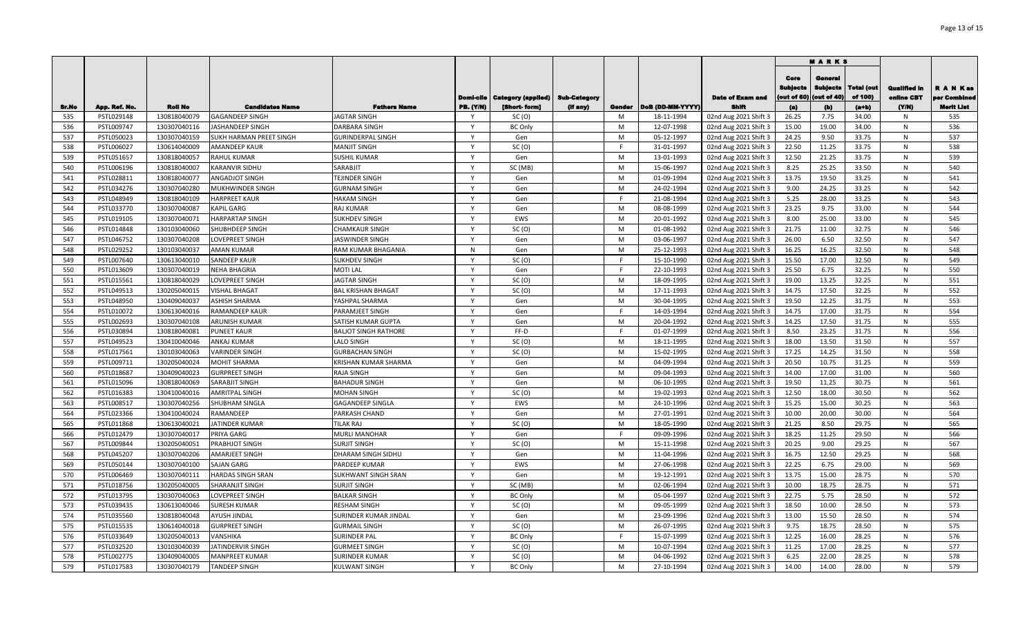|            |                          |                              |                                                    |                                           |              |                                          |          |        |                          |                                                | <b>MARKS</b>                          |                                           |                              |                                   |                               |
|------------|--------------------------|------------------------------|----------------------------------------------------|-------------------------------------------|--------------|------------------------------------------|----------|--------|--------------------------|------------------------------------------------|---------------------------------------|-------------------------------------------|------------------------------|-----------------------------------|-------------------------------|
|            |                          |                              |                                                    |                                           | Domi-cile    | <b>Category (applied)   Sub-Category</b> |          |        |                          | <b>Date of Exam and</b>                        | Core<br><b>Sublects</b><br>out of 60) | General<br><b>Subjects</b><br>(out of 40) | <b>Total (out</b><br>of 100) | <b>Qualified in</b><br>online CBT | <b>RANKas</b><br>per Combined |
| Sr.No      | App. Ref. No.            | <b>Roll No</b>               | <b>Candidates Name</b>                             | <b>Fathers Name</b>                       | PB. (Y/N)    | [Short-form]                             | (If any) | Gender | DoB (DD-MM-YYYY)         | <b>Shift</b>                                   | (a)                                   | (b)                                       | (a+b)                        | (YM)                              | <b>Merit List</b>             |
| 535        | PSTL029148               | 130818040079                 | GAGANDEEP SINGH                                    | <b>JAGTAR SINGH</b>                       | $\mathsf{Y}$ | SC(0)                                    |          | M      | 18-11-1994               | 02nd Aug 2021 Shift 3                          | 26.25                                 | 7.75                                      | 34.00                        | N                                 | 535                           |
| 536<br>537 | PSTL009747<br>PSTL050023 | 130307040116<br>130307040159 | <b>IASHANDEEP SINGH</b><br>SUKH HARMAN PREET SINGH | DARBARA SINGH<br><b>GURINDERPAL SINGH</b> | $\mathsf{Y}$ | <b>BC Only</b><br>Gen                    |          | M<br>M | 12-07-1998<br>05-12-1997 | 02nd Aug 2021 Shift 3                          | 15.00<br>24.25                        | 19.00<br>9.50                             | 34.00<br>33.75               | N<br>N                            | 536<br>537                    |
| 538        | PSTL006027               | 130614040009                 | AMANDEEP KAUR                                      | <b>MANJIT SINGH</b>                       | $\mathsf{Y}$ | SC(0)                                    |          | E      | 31-01-1997               | 02nd Aug 2021 Shift 3<br>02nd Aug 2021 Shift 3 | 22.50                                 | 11.25                                     | 33.75                        | N                                 | 538                           |
| 539        | PSTL051657               | 130818040057                 | RAHUL KUMAR                                        | SUSHIL KUMAR                              | $\mathsf{Y}$ | Gen                                      |          | M      | 13-01-1993               | 02nd Aug 2021 Shift 3                          | 12.50                                 | 21.25                                     | 33.75                        | N                                 | 539                           |
| 540        | PSTL006196               | 130818040007                 | KARANVIR SIDHU                                     | SARABJIT                                  | $\mathsf{Y}$ | SC (MB)                                  |          | M      | 15-06-1997               | 02nd Aug 2021 Shift 3                          | 8.25                                  | 25.25                                     | 33.50                        | N                                 | 540                           |
| 541        | PSTL028811               | 130818040077                 | ANGADJOT SINGH                                     | TEJINDER SINGH                            | $\mathsf{Y}$ | Gen                                      |          | M      | 01-09-1994               | 02nd Aug 2021 Shift 3                          | 13.75                                 | 19.50                                     | 33.25                        | N                                 | 541                           |
| 542        | PSTL034276               | 130307040280                 | MUKHWINDER SINGH                                   | <b>GURNAM SINGH</b>                       | $\mathsf{v}$ | Gen                                      |          | M      | 24-02-1994               | 02nd Aug 2021 Shift 3                          | 9.00                                  | 24.25                                     | 33.25                        | N                                 | 542                           |
| 543        | PSTL048949               | 130818040109                 | <b>HARPREET KAUR</b>                               | HAKAM SINGH                               | $\mathsf{v}$ | Gen                                      |          | E      | 21-08-1994               | 02nd Aug 2021 Shift 3                          | 5.25                                  | 28.00                                     | 33.25                        | N                                 | 543                           |
| 544        | PSTL033770               | 130307040087                 | KAPIL GARG                                         | RAJ KUMAR                                 | $\mathsf{v}$ | Gen                                      |          | M      | 08-08-1999               | 02nd Aug 2021 Shift 3                          | 23.25                                 | 9.75                                      | 33.00                        | N                                 | 544                           |
| 545        | PSTL019105               | 130307040071                 | <b>HARPARTAP SINGH</b>                             | SUKHDEV SINGH                             | $\mathsf{v}$ | EWS                                      |          | M      | 20-01-1992               | 02nd Aug 2021 Shift 3                          | 8.00                                  | 25.00                                     | 33.00                        | N                                 | 545                           |
| 546        | PSTL014848               | 130103040060                 | SHUBHDEEP SINGH                                    | CHAMKAUR SINGH                            | Y            | SC(0)                                    |          | M      | 01-08-1992               | 02nd Aug 2021 Shift 3                          | 21.75                                 | 11.00                                     | 32.75                        | N                                 | 546                           |
| 547        | PSTL046752               | 130307040208                 | LOVEPREET SINGH                                    | JASWINDER SINGH                           | $\mathsf{Y}$ | Gen                                      |          | M      | 03-06-1997               | 02nd Aug 2021 Shift 3                          | 26.00                                 | 6.50                                      | 32.50                        | N                                 | 547                           |
| 548        | PSTL029252               | 130103040037                 | AMAN KUMAR                                         | RAM KUMAR BHAGANIA                        | N            | Gen                                      |          | M      | 25-12-1993               | 02nd Aug 2021 Shift 3                          | 16.25                                 | 16.25                                     | 32.50                        | N                                 | 548                           |
| 549        | PSTL007640               | 130613040010                 | <b>SANDEEP KAUR</b>                                | SUKHDEV SINGH                             | $\mathsf{Y}$ | SC(0)                                    |          | E      | 15-10-1990               | 02nd Aug 2021 Shift 3                          | 15.50                                 | 17.00                                     | 32.50                        | N                                 | 549                           |
| 550        | PSTL013609               | 130307040019                 | NEHA BHAGRIA                                       | MOTI LAL                                  | Y            | Gen                                      |          | F      | 22-10-1993               | 02nd Aug 2021 Shift 3                          | 25.50                                 | 6.75                                      | 32.25                        | N                                 | 550                           |
| 551        | PSTL015561               | 130818040029                 | LOVEPREET SINGH                                    | JAGTAR SINGH                              | $\mathsf{Y}$ | SC(0)                                    |          | M      | 18-09-1995               | 02nd Aug 2021 Shift 3                          | 19.00                                 | 13.25                                     | 32.25                        | N                                 | 551                           |
| 552        | PSTL049513               | 130205040015                 | <b>VISHAL BHAGAT</b>                               | <b>BAL KRISHAN BHAGAT</b>                 | <b>V</b>     | SC(0)                                    |          | M      | 17-11-1993               | 02nd Aug 2021 Shift 3                          | 14.75                                 | 17.50                                     | 32.25                        | N                                 | 552                           |
| 553        | PSTL048950               | 130409040037                 | ASHISH SHARMA                                      | YASHPAL SHARMA                            | Y            | Gen                                      |          | M      | 30-04-1995               | 02nd Aug 2021 Shift 3                          | 19.50                                 | 12.25                                     | 31.75                        | N                                 | 553                           |
| 554        | PSTL010072               | 130613040016                 | RAMANDEEP KAUR                                     | PARAMJEET SINGH                           | <b>Y</b>     | Gen                                      |          | F      | 14-03-1994               | 02nd Aug 2021 Shift 3                          | 14.75                                 | 17.00                                     | 31.75                        | N                                 | 554                           |
| 555        | PSTL002693               | 130307040108                 | ARUNISH KUMAR                                      | SATISH KUMAR GUPTA                        | $\checkmark$ | Gen                                      |          | M      | 20-04-1992               | 02nd Aug 2021 Shift 3                          | 14.25                                 | 17.50                                     | 31.75                        | N                                 | 555                           |
| 556        | PSTL030894               | 130818040081                 | <b>PUNEET KAUR</b>                                 | <b>BALJOT SINGH RATHORE</b>               | Y            | FF-D                                     |          |        | 01-07-1999               | 02nd Aug 2021 Shift 3                          | 8.50                                  | 23.25                                     | 31.75                        | N                                 | 556                           |
| 557        | PSTL049523               | 130410040046                 | ANKAJ KUMAR                                        | LALO SINGH                                | Y            | SC(0)                                    |          | M      | 18-11-1995               | 02nd Aug 2021 Shift 3                          | 18.00                                 | 13.50                                     | 31.50                        | N                                 | 557                           |
| 558        | PSTL017561               | 130103040063                 | <b>VARINDER SINGH</b>                              | GURBACHAN SINGH                           | $\mathsf{v}$ | SC(0)                                    |          | M      | 15-02-1995               | 02nd Aug 2021 Shift 3                          | 17.25                                 | 14.25                                     | 31.50                        | N                                 | 558                           |
| 559        | PSTL009711               | 130205040024                 | MOHIT SHARMA                                       | KRISHAN KUMAR SHARMA                      | $\mathsf{v}$ | Gen                                      |          | M      | 04-09-1994               | 02nd Aug 2021 Shift 3                          | 20.50                                 | 10.75                                     | 31.25                        | N                                 | 559                           |
| 560        | PSTL018687               | 130409040023                 | <b>GURPREET SINGH</b>                              | RAJA SINGH                                | $\mathsf{Y}$ | Gen                                      |          | M      | 09-04-1993               | 02nd Aug 2021 Shift 3                          | 14.00                                 | 17.00                                     | 31.00                        | N                                 | 560                           |
| 561        | PSTL015096               | 130818040069                 | SARABJIT SINGH                                     | <b>BAHADUR SINGH</b>                      | $\mathsf{Y}$ | Gen                                      |          | M      | 06-10-1995               | 02nd Aug 2021 Shift 3                          | 19.50                                 | 11.25                                     | 30.75                        | N                                 | 561                           |
| 562        | PSTL016383               | 130410040016                 | <b>AMRITPAL SINGH</b>                              | <b>MOHAN SINGH</b>                        | $\mathsf{v}$ | SC(0)                                    |          | M      | 19-02-1993               | 02nd Aug 2021 Shift 3                          | 12.50                                 | 18.00                                     | 30.50                        | N                                 | 562                           |
| 563        | PSTL008517               | 130307040256                 | SHUBHAM SINGLA                                     | GAGANDEEP SINGLA                          | $\mathsf{Y}$ | EWS                                      |          | M      | 24-10-1996               | 02nd Aug 2021 Shift 3                          | 15.25                                 | 15.00                                     | 30.25                        | N                                 | 563                           |
| 564        | PSTL023366               | 130410040024                 | RAMANDEEP                                          | PARKASH CHAND                             | $\mathsf{v}$ | Gen                                      |          | M      | 27-01-1991               | 02nd Aug 2021 Shift 3                          | 10.00                                 | 20.00                                     | 30.00                        | N                                 | 564                           |
| 565        | PSTL011868               | 130613040021                 | <b>IATINDER KUMAR</b>                              | <b>TILAK RAJ</b>                          | $\mathsf{v}$ | SC(0)                                    |          | M      | 18-05-1990               | 02nd Aug 2021 Shift 3                          | 21.25                                 | 8.50                                      | 29.75                        | N                                 | 565                           |
| 566        | PSTL012479               | 130307040017                 | PRIYA GARG                                         | MURLI MANOHAR                             | Y            | Gen                                      |          | F.     | 09-09-1996               | 02nd Aug 2021 Shift 3                          | 18.25                                 | 11.25                                     | 29.50                        | N                                 | 566                           |
| 567        | PSTL009844               | 130205040051                 | PRABHJOT SINGH                                     | SURJIT SINGH                              | Y            | SC(0)                                    |          | M      | 15-11-1998               | 02nd Aug 2021 Shift 3                          | 20.25                                 | 9.00                                      | 29.25                        | N                                 | 567                           |
| 568        | PSTL045207               | 130307040206                 | AMARJEET SINGH                                     | DHARAM SINGH SIDHU                        | $\mathsf{Y}$ | Gen                                      |          | M      | 11-04-1996               | 02nd Aug 2021 Shift 3                          | 16.75                                 | 12.50                                     | 29.25                        | N                                 | 568                           |
| 569        | PSTL050144               | 130307040100                 | SAJAN GARG                                         | PARDEEP KUMAR                             | Y            | EWS                                      |          | M      | 27-06-1998               | 02nd Aug 2021 Shift 3                          | 22.25                                 | 6.75                                      | 29.00                        | N                                 | 569                           |
| 570        | PSTL006469               | 130307040111                 | HARDAS SINGH SRAN                                  | SUKHWANT SINGH SRAN                       | Y            | Gen                                      |          | M      | 19-12-1991               | 02nd Aug 2021 Shift 3                          | 13.75                                 | 15.00                                     | 28.75                        | N                                 | 570                           |
| 571        | PSTL018756               | 130205040005                 | SHARANJIT SINGH                                    | SURJIT SINGH                              | Y            | SC (MB)                                  |          | M      | 02-06-1994               | 02nd Aug 2021 Shift 3                          | 10.00                                 | 18.75                                     | 28.75                        | N                                 | 571                           |
| 572        | PSTL013795               | 130307040063                 | LOVEPREET SINGH                                    | <b>BALKAR SINGH</b>                       | $\mathsf{Y}$ | <b>BC Only</b>                           |          | M      | 05-04-1997               | 02nd Aug 2021 Shift 3                          | 22.75                                 | 5.75                                      | 28.50                        | N                                 | 572                           |
| 573        | PSTL039435               | 130613040046                 | SURESH KUMAR                                       | RESHAM SINGH                              | Y            | SC(0)                                    |          | M      | 09-05-1999               | 02nd Aug 2021 Shift 3                          | 18.50                                 | 10.00                                     | 28.50                        | N                                 | 573                           |
| 574        | PSTL035560               | 130818040048                 | AYUSH JINDAL                                       | SURINDER KUMAR JINDAL                     | $\mathsf{v}$ | Gen                                      |          | M      | 23-09-1996               | 02nd Aug 2021 Shift 3                          | 13.00                                 | 15.50                                     | 28.50                        | N                                 | 574                           |
| 575        | PSTL015535               | 130614040018                 | <b>GURPREET SINGH</b>                              | <b>GURMAIL SINGH</b>                      | $\mathsf{v}$ | SC(0)                                    |          | M      | 26-07-1995               | 02nd Aug 2021 Shift 3                          | 9.75                                  | 18.75                                     | 28.50                        | N                                 | 575                           |
| 576        | PSTL033649               | 130205040013                 | VANSHIKA                                           | SURINDER PAL                              | v            | <b>BC Only</b>                           |          |        | 15-07-1999               | 02nd Aug 2021 Shift 3                          | 12.25                                 | 16.00                                     | 28.25                        | N                                 | 576                           |
| 577        | PSTL032520               | 130103040039                 | ATINDERVIR SINGH                                   | GURMEET SINGH                             |              | SC(0)                                    |          | M      | 10-07-1994               | 02nd Aug 2021 Shift 3                          | 11.25                                 | 17.00                                     | 28.25                        | N                                 | 577                           |
| 578        | PSTL002775               | 130409040005                 | MANPREET KUMAR                                     | SURINDER KUMAR                            | v            | SC(0)                                    |          | M      | 04-06-1992               | 02nd Aug 2021 Shift 3                          | 6.25                                  | 22.00                                     | 28.25                        | N                                 | 578                           |
| 579        | PSTL017583               | 130307040179                 | <b>TANDEEP SINGH</b>                               | KULWANT SINGH                             | Y            | <b>BC Only</b>                           |          | M      | 27-10-1994               | 02nd Aug 2021 Shift 3                          | 14.00                                 | 14.00                                     | 28.00                        | N                                 | 579                           |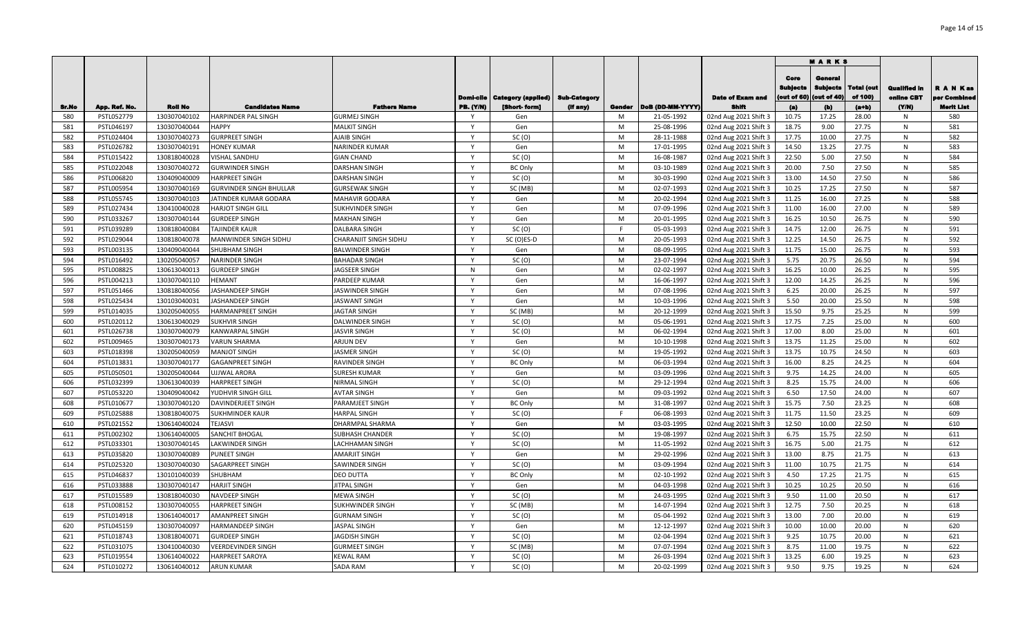|       |               |                |                                |                        |                  |                                          |          |        |                  |                         | <b>MARKS</b>                           |                                           |                              |                                   |                               |
|-------|---------------|----------------|--------------------------------|------------------------|------------------|------------------------------------------|----------|--------|------------------|-------------------------|----------------------------------------|-------------------------------------------|------------------------------|-----------------------------------|-------------------------------|
|       |               |                |                                |                        | Domi-cile        | <b>Category (applied)   Sub-Category</b> |          |        |                  | <b>Date of Exam and</b> | Core<br><b>Sublects</b><br>(out of 60) | General<br><b>Subjects</b><br>(out of 40) | <b>Total (out</b><br>of 100) | <b>Qualified In</b><br>online CBT | <b>RANKas</b><br>per Combined |
| Sr.No | App. Ref. No. | <b>Roll No</b> | <b>Candidates Name</b>         | <b>Fathers Name</b>    | <b>PB. (Y/N)</b> | [Short-form]                             | (If any) | Gender | DoB (DD-MM-YYYY) | Shift                   | (a)                                    | (b)                                       | (a+b)                        | (YM)                              | <b>Merit List</b>             |
| 580   | PSTL052779    | 130307040102   | <b>HARPINDER PAL SINGH</b>     | <b>GURMEJ SINGH</b>    |                  | Gen                                      |          | M      | 21-05-1992       | 02nd Aug 2021 Shift 3   | 10.75                                  | 17.25                                     | 28.00                        | N                                 | 580                           |
| 581   | PSTL046197    | 130307040044   | <b>HAPPY</b>                   | <b>MALKIT SINGH</b>    | $\mathsf{Y}$     | Gen                                      |          | M      | 25-08-1996       | 02nd Aug 2021 Shift 3   | 18.75                                  | 9.00                                      | 27.75                        | N                                 | 581                           |
| 582   | PSTL024404    | 130307040273   | <b>GURPREET SINGH</b>          | AJAIB SINGH            | $\mathsf{v}$     | SC(0)                                    |          | M      | 28-11-1988       | 02nd Aug 2021 Shift 3   | 17.75                                  | 10.00                                     | 27.75                        | N                                 | 582                           |
| 583   | PSTL026782    | 130307040191   | <b>HONEY KUMAR</b>             | <b>NARINDER KUMAR</b>  | $\mathsf{Y}$     | Gen                                      |          | M      | 17-01-1995       | 02nd Aug 2021 Shift 3   | 14.50                                  | 13.25                                     | 27.75                        | N                                 | 583                           |
| 584   | PSTL015422    | 130818040028   | VISHAL SANDHU                  | <b>GIAN CHAND</b>      | Y                | SC(0)                                    |          | M      | 16-08-1987       | 02nd Aug 2021 Shift 3   | 22.50                                  | 5.00                                      | 27.50                        | N                                 | 584                           |
| 585   | PSTL022048    | 130307040272   | <b>GURWINDER SINGH</b>         | <b>DARSHAN SINGH</b>   | Y                | <b>BC Only</b>                           |          | M      | 03-10-1989       | 02nd Aug 2021 Shift 3   | 20.00                                  | 7.50                                      | 27.50                        | N                                 | 585                           |
| 586   | PSTL006820    | 130409040009   | <b>HARPREET SINGH</b>          | <b>DARSHAN SINGH</b>   | $\mathsf{Y}$     | SC(0)                                    |          | M      | 30-03-1990       | 02nd Aug 2021 Shift 3   | 13.00                                  | 14.50                                     | 27.50                        | N                                 | 586                           |
| 587   | PSTL005954    | 130307040169   | <b>GURVINDER SINGH BHULLAR</b> | <b>GURSEWAK SINGH</b>  | $\mathsf{v}$     | SC (MB)                                  |          | M      | 02-07-1993       | 02nd Aug 2021 Shift 3   | 10.25                                  | 17.25                                     | 27.50                        | N                                 | 587                           |
| 588   | PSTL055745    | 130307040103   | JATINDER KUMAR GODARA          | <b>MAHAVIR GODARA</b>  | $\mathsf{v}$     | Gen                                      |          | M      | 20-02-1994       | 02nd Aug 2021 Shift 3   | 11.25                                  | 16.00                                     | 27.25                        | N                                 | 588                           |
| 589   | PSTL027434    | 130410040028   | <b>HARJOT SINGH GILL</b>       | SUKHVINDER SINGH       | Y                | Gen                                      |          | M      | 07-09-1996       | 02nd Aug 2021 Shift 3   | 11.00                                  | 16.00                                     | 27.00                        | N                                 | 589                           |
| 590   | PSTL033267    | 130307040144   | <b>GURDEEP SINGH</b>           | <b>MAKHAN SINGH</b>    | $\mathsf{v}$     | Gen                                      |          | M      | 20-01-1995       | 02nd Aug 2021 Shift 3   | 16.25                                  | 10.50                                     | 26.75                        | N                                 | 590                           |
| 591   | PSTL039289    | 130818040084   | <b>TAJINDER KAUR</b>           | <b>DALBARA SINGH</b>   | Y                | SC(0)                                    |          | F      | 05-03-1993       | 02nd Aug 2021 Shift 3   | 14.75                                  | 12.00                                     | 26.75                        | N                                 | 591                           |
| 592   | PSTL029044    | 130818040078   | <b>MANWINDER SINGH SIDHU</b>   | CHARANJIT SINGH SIDHU  | $\mathsf{Y}$     | SC (O)ES-D                               |          | M      | 20-05-1993       | 02nd Aug 2021 Shift 3   | 12.25                                  | 14.50                                     | 26.75                        | N                                 | 592                           |
| 593   | PSTL003135    | 130409040044   | <b>SHUBHAM SINGH</b>           | <b>BALWINDER SINGH</b> | Y                | Gen                                      |          | M      | 08-09-1995       | 02nd Aug 2021 Shift 3   | 11.75                                  | 15.00                                     | 26.75                        | N                                 | 593                           |
| 594   | PSTL016492    | 130205040057   | <b>NARINDER SINGH</b>          | <b>BAHADAR SINGH</b>   | Y                | SC (O)                                   |          | M      | 23-07-1994       | 02nd Aug 2021 Shift 3   | 5.75                                   | 20.75                                     | 26.50                        | N                                 | 594                           |
| 595   | PSTL008825    | 130613040013   | <b>GURDEEP SINGH</b>           | JAGSEER SINGH          | N                | Gen                                      |          | M      | 02-02-1997       | 02nd Aug 2021 Shift 3   | 16.25                                  | 10.00                                     | 26.25                        | N                                 | 595                           |
| 596   | PSTL004213    | 130307040110   | <b>HEMANT</b>                  | PARDEEP KUMAR          | Y                | Gen                                      |          | M      | 16-06-1997       | 02nd Aug 2021 Shift 3   | 12.00                                  | 14.25                                     | 26.25                        | N                                 | 596                           |
| 597   | PSTL051466    | 130818040056   | JASHANDEEP SINGH               | JASWINDER SINGH        | <b>Y</b>         | Gen                                      |          | M      | 07-08-1996       | 02nd Aug 2021 Shift 3   | 6.25                                   | 20.00                                     | 26.25                        | N                                 | 597                           |
| 598   | PSTL025434    | 130103040031   | JASHANDEEP SINGH               | <b>JASWANT SINGH</b>   | Y                | Gen                                      |          | M      | 10-03-1996       | 02nd Aug 2021 Shift 3   | 5.50                                   | 20.00                                     | 25.50                        | N                                 | 598                           |
| 599   | PSTL014035    | 130205040055   | <b>HARMANPREET SINGH</b>       | <b>JAGTAR SINGH</b>    |                  | SC (MB)                                  |          | M      | 20-12-1999       | 02nd Aug 2021 Shift 3   | 15.50                                  | 9.75                                      | 25.25                        | N                                 | 599                           |
| 600   | PSTL020112    | 130613040029   | <b>SUKHVIR SINGH</b>           | DALWINDER SINGH        | <b>V</b>         | SC(0)                                    |          | M      | 05-06-1991       | 02nd Aug 2021 Shift 3   | 17.75                                  | 7.25                                      | 25.00                        | N                                 | 600                           |
| 601   | PSTL026738    | 130307040079   | KANWARPAL SINGH                | <b>JASVIR SINGH</b>    |                  | SC(0)                                    |          | M      | 06-02-1994       | 02nd Aug 2021 Shift 3   | 17.00                                  | 8.00                                      | 25.00                        | N                                 | 601                           |
| 602   | PSTL009465    | 130307040173   | <b>VARUN SHARMA</b>            | <b>ARJUN DEV</b>       | <b>V</b>         | Gen                                      |          | M      | 10-10-1998       | 02nd Aug 2021 Shift 3   | 13.75                                  | 11.25                                     | 25.00                        | N                                 | 602                           |
| 603   | PSTL018398    | 130205040059   | <b>MANJOT SINGH</b>            | <b>JASMER SINGH</b>    | $\mathbf{v}$     | SC(0)                                    |          | M      | 19-05-1992       | 02nd Aug 2021 Shift 3   | 13.75                                  | 10.75                                     | 24.50                        | N                                 | 603                           |
| 604   | PSTL013831    | 130307040177   | GAGANPREET SINGH               | RAVINDER SINGH         | $\mathsf{v}$     | <b>BC Only</b>                           |          | M      | 06-03-1994       | 02nd Aug 2021 Shift 3   | 16.00                                  | 8.25                                      | 24.25                        | N                                 | 604                           |
| 605   | PSTL050501    | 130205040044   | UJJWAL ARORA                   | <b>SURESH KUMAR</b>    | $\mathsf{Y}$     | Gen                                      |          | M      | 03-09-1996       | 02nd Aug 2021 Shift 3   | 9.75                                   | 14.25                                     | 24.00                        | N                                 | 605                           |
| 606   | PSTL032399    | 130613040039   | <b>HARPREET SINGH</b>          | NIRMAL SINGH           | $\mathsf{Y}$     | SC(0)                                    |          | M      | 29-12-1994       | 02nd Aug 2021 Shift 3   | 8.25                                   | 15.75                                     | 24.00                        | N                                 | 606                           |
| 607   | PSTL053220    | 130409040042   | YUDHVIR SINGH GILL             | <b>AVTAR SINGH</b>     | Y                | Gen                                      |          | M      | 09-03-1992       | 02nd Aug 2021 Shift 3   | 6.50                                   | 17.50                                     | 24.00                        | N                                 | 607                           |
| 608   | PSTL010677    | 130307040120   | DAVINDERJEET SINGH             | PARAMJEET SINGH        | $\mathsf{v}$     | <b>BC Only</b>                           |          | M      | 31-08-1997       | 02nd Aug 2021 Shift 3   | 15.75                                  | 7.50                                      | 23.25                        | N                                 | 608                           |
| 609   | PSTL025888    | 130818040075   | <b>SUKHMINDER KAUR</b>         | <b>HARPAL SINGH</b>    | $\mathsf{Y}$     | SC(0)                                    |          | F.     | 06-08-1993       | 02nd Aug 2021 Shift 3   | 11.75                                  | 11.50                                     | 23.25                        | N                                 | 609                           |
| 610   | PSTL021552    | 130614040024   | TEJASVI                        | DHARMPAL SHARMA        | Y                | Gen                                      |          | M      | 03-03-1995       | 02nd Aug 2021 Shift 3   | 12.50                                  | 10.00                                     | 22.50                        | N                                 | 610                           |
| 611   | PSTL002302    | 130614040005   | <b>SANCHIT BHOGAL</b>          | SUBHASH CHANDER        | $\mathsf{Y}$     | SC(0)                                    |          | M      | 19-08-1997       | 02nd Aug 2021 Shift 3   | 6.75                                   | 15.75                                     | 22.50                        | N                                 | 611                           |
| 612   | PSTL033301    | 130307040145   | <b>LAKWINDER SINGH</b>         | LACHHAMAN SINGH        | Y                | SC(0)                                    |          | M      | 11-05-1992       | 02nd Aug 2021 Shift 3   | 16.75                                  | 5.00                                      | 21.75                        | N                                 | 612                           |
| 613   | PSTL035820    | 130307040089   | <b>PUNEET SINGH</b>            | AMARJIT SINGH          | $\mathsf{Y}$     | Gen                                      |          | M      | 29-02-1996       | 02nd Aug 2021 Shift 3   | 13.00                                  | 8.75                                      | 21.75                        | N                                 | 613                           |
| 614   | PSTL025320    | 130307040030   | SAGARPREET SINGH               | SAWINDER SINGH         | Y                | SC(0)                                    |          | M      | 03-09-1994       | 02nd Aug 2021 Shift 3   | 11.00                                  | 10.75                                     | 21.75                        | N                                 | 614                           |
| 615   | PSTL046837    | 130101040039   | SHUBHAM                        | <b>DEO DUTTA</b>       | Y                | <b>BC Only</b>                           |          | M      | 02-10-1992       | 02nd Aug 2021 Shift 3   | 4.50                                   | 17.25                                     | 21.75                        | N                                 | 615                           |
| 616   | PSTL033888    | 130307040147   | <b>HARJIT SINGH</b>            | <b>JITPAL SINGH</b>    | Y                | Gen                                      |          | M      | 04-03-1998       | 02nd Aug 2021 Shift 3   | 10.25                                  | 10.25                                     | 20.50                        | N                                 | 616                           |
| 617   | PSTL015589    | 130818040030   | NAVDEEP SINGH                  | <b>MEWA SINGH</b>      | $\mathsf{Y}$     | SC(0)                                    |          | M      | 24-03-1995       | 02nd Aug 2021 Shift 3   | 9.50                                   | 11.00                                     | 20.50                        | N                                 | 617                           |
| 618   | PSTL008152    | 130307040055   | <b>HARPREET SINGH</b>          | SUKHWINDER SINGH       | Y                | SC (MB)                                  |          | M      | 14-07-1994       | 02nd Aug 2021 Shift 3   | 12.75                                  | 7.50                                      | 20.25                        | N                                 | 618                           |
| 619   | PSTL014918    | 130614040017   | AMANPREET SINGH                | <b>GURNAM SINGH</b>    | Y                | SC(0)                                    |          | M      | 05-04-1992       | 02nd Aug 2021 Shift 3   | 13.00                                  | 7.00                                      | 20.00                        | N                                 | 619                           |
| 620   | PSTL045159    | 130307040097   | HARMANDEEP SINGH               | <b>JASPAL SINGH</b>    | <b>V</b>         | Gen                                      |          | M      | 12-12-1997       | 02nd Aug 2021 Shift 3   | 10.00                                  | 10.00                                     | 20.00                        | N                                 | 620                           |
| 621   | PSTL018743    | 130818040071   | <b>GURDEEP SINGH</b>           | <b>JAGDISH SINGH</b>   | <b>V</b>         | SC (O)                                   |          | M      | 02-04-1994       | 02nd Aug 2021 Shift 3   | 9.25                                   | 10.75                                     | 20.00                        | N                                 | 621                           |
| 622   | PSTL031075    | 130410040030   | VEERDEVINDER SINGH             | GURMEET SINGH          |                  | SC (MB)                                  |          | M      | 07-07-1994       | 02nd Aug 2021 Shift 3   | 8.75                                   | 11.00                                     | 19.75                        | N                                 | 622                           |
| 623   | PSTL019554    | 130614040022   | HARPREET SAROYA                | <b>KEWAL RAM</b>       | <b>V</b>         | SC(0)                                    |          | M      | 26-03-1994       | 02nd Aug 2021 Shift 3   | 13.25                                  | 6.00                                      | 19.25                        | N                                 | 623                           |
| 624   | PSTL010272    | 130614040012   | <b>ARUN KUMAR</b>              | SADA RAM               | Y                | SC(0)                                    |          | M      | 20-02-1999       | 02nd Aug 2021 Shift 3   | 9.50                                   | 9.75                                      | 19.25                        | N                                 | 624                           |